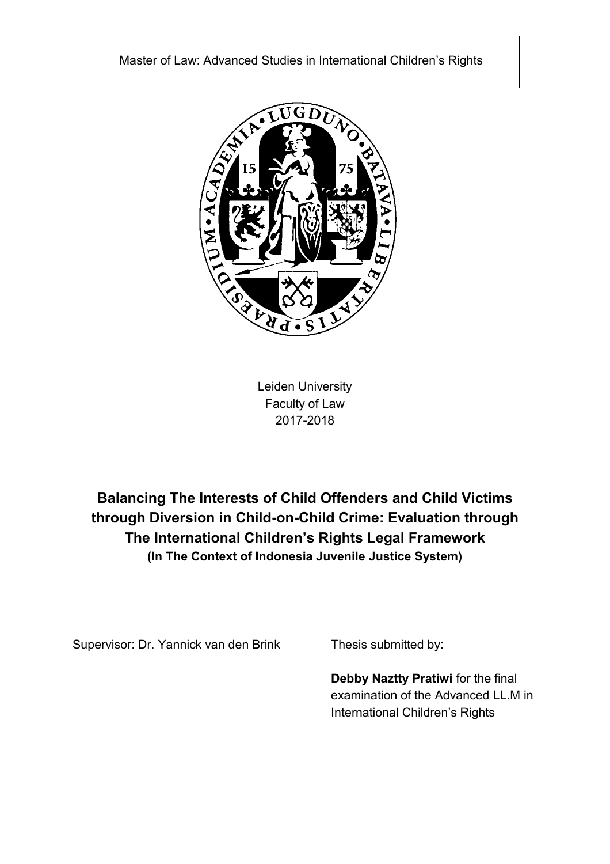

Leiden University Faculty of Law 2017-2018

**Balancing The Interests of Child Offenders and Child Victims through Diversion in Child-on-Child Crime: Evaluation through The International Children's Rights Legal Framework (In The Context of Indonesia Juvenile Justice System)**

Supervisor: Dr. Yannick van den Brink Thesis submitted by:

**Debby Naztty Pratiwi** for the final examination of the Advanced LL.M in International Children's Rights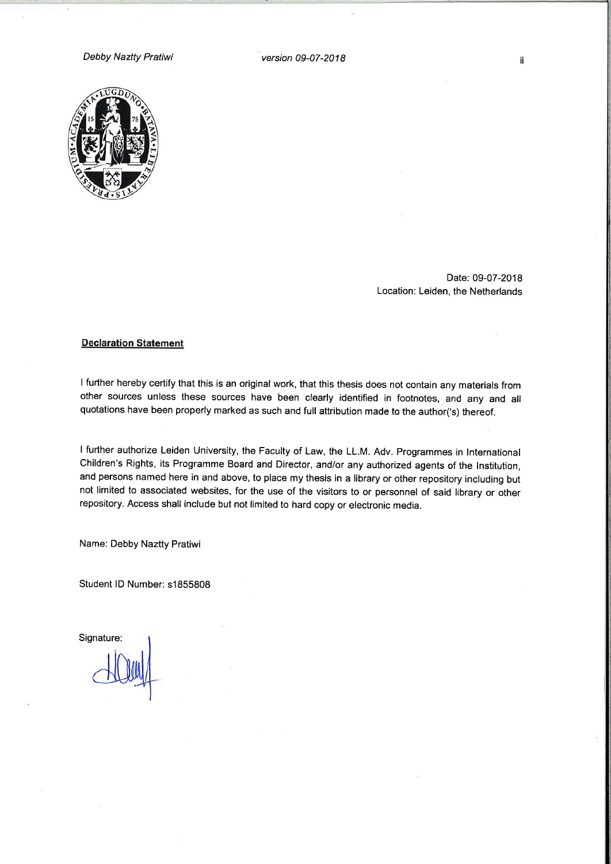Debby Naztty Pratiwi

version 09-07-2018



Date: 09-07-2018 Location: Leiden, the Netherlands

#### **Declaration Statement**

I further hereby certify that this is an original work, that this thesis does not contain any materials from other sources unless these sources have been clearly identified in footnotes, and any and all quotations have been properly marked as such and full attribution made to the author('s) thereof.

I further authorize Leiden University, the Faculty of Law, the LL.M. Adv. Programmes in International Children's Rights, its Programme Board and Director, and/or any authorized agents of the Institution, and persons named here in and above, to place my thesis in a library or other repository including but not limited to associated websites, for the use of the visitors to or personnel of said library or other repository. Access shall include but not limited to hard copy or electronic media.

Name: Debby Naztty Pratiwi

Student ID Number: s1855808

Signature: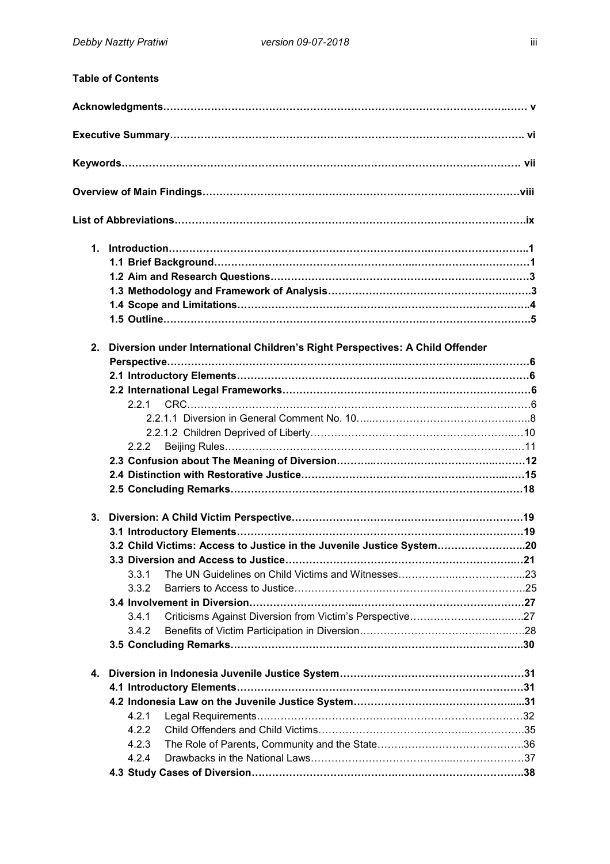|    | <b>Table of Contents</b>                                                      |  |
|----|-------------------------------------------------------------------------------|--|
|    |                                                                               |  |
|    |                                                                               |  |
|    |                                                                               |  |
|    |                                                                               |  |
|    |                                                                               |  |
|    |                                                                               |  |
|    |                                                                               |  |
|    |                                                                               |  |
|    |                                                                               |  |
|    |                                                                               |  |
|    |                                                                               |  |
|    |                                                                               |  |
| 2. | Diversion under International Children's Right Perspectives: A Child Offender |  |
|    |                                                                               |  |
|    |                                                                               |  |
|    |                                                                               |  |
|    | 2.2.1                                                                         |  |
|    |                                                                               |  |
|    |                                                                               |  |
|    | 2.2.2                                                                         |  |
|    |                                                                               |  |
|    |                                                                               |  |
|    |                                                                               |  |
|    |                                                                               |  |
| 3. |                                                                               |  |
|    |                                                                               |  |
|    | 3.2 Child Victims: Access to Justice in the Juvenile Justice System20         |  |
|    |                                                                               |  |
|    | 3.3.1                                                                         |  |
|    | 3.3.2                                                                         |  |
|    |                                                                               |  |
|    | 3.4.1                                                                         |  |
|    | 3.4.2                                                                         |  |
|    |                                                                               |  |
| 4. |                                                                               |  |
|    |                                                                               |  |
|    |                                                                               |  |
|    | 4.2.1                                                                         |  |
|    | 4.2.2                                                                         |  |
|    | 4.2.3                                                                         |  |
|    | 4.2.4                                                                         |  |
|    |                                                                               |  |
|    |                                                                               |  |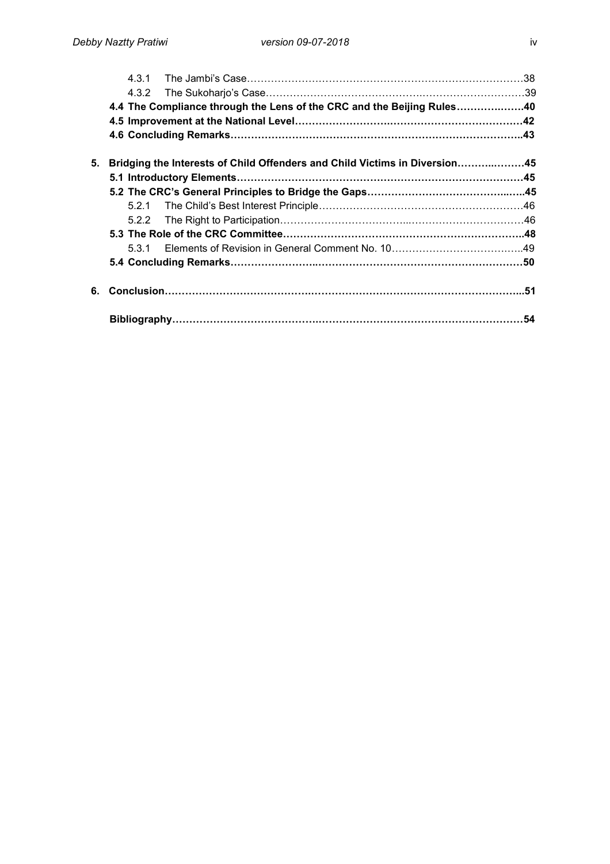|    | 4.4 The Compliance through the Lens of the CRC and the Beijing Rules40 |                                                                            |  |
|----|------------------------------------------------------------------------|----------------------------------------------------------------------------|--|
|    |                                                                        |                                                                            |  |
|    |                                                                        |                                                                            |  |
| 5. |                                                                        | Bridging the Interests of Child Offenders and Child Victims in Diversion45 |  |
|    |                                                                        |                                                                            |  |
|    |                                                                        |                                                                            |  |
|    |                                                                        |                                                                            |  |
|    |                                                                        |                                                                            |  |
|    |                                                                        |                                                                            |  |
|    |                                                                        |                                                                            |  |
|    |                                                                        |                                                                            |  |
| 6. |                                                                        |                                                                            |  |
|    |                                                                        |                                                                            |  |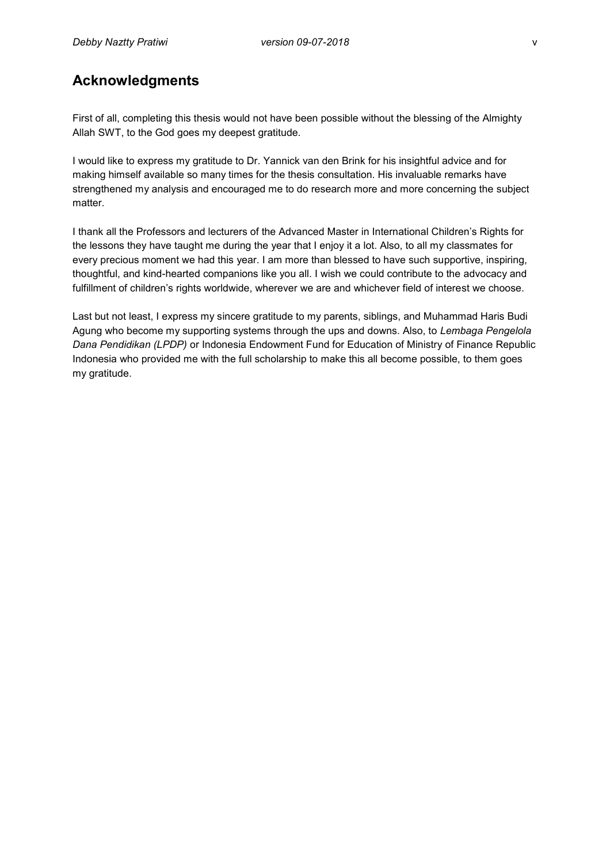# **Acknowledgments**

First of all, completing this thesis would not have been possible without the blessing of the Almighty Allah SWT, to the God goes my deepest gratitude.

I would like to express my gratitude to Dr. Yannick van den Brink for his insightful advice and for making himself available so many times for the thesis consultation. His invaluable remarks have strengthened my analysis and encouraged me to do research more and more concerning the subject matter.

I thank all the Professors and lecturers of the Advanced Master in International Children's Rights for the lessons they have taught me during the year that I enjoy it a lot. Also, to all my classmates for every precious moment we had this year. I am more than blessed to have such supportive, inspiring, thoughtful, and kind-hearted companions like you all. I wish we could contribute to the advocacy and fulfillment of children's rights worldwide, wherever we are and whichever field of interest we choose.

Last but not least, I express my sincere gratitude to my parents, siblings, and Muhammad Haris Budi Agung who become my supporting systems through the ups and downs. Also, to *Lembaga Pengelola Dana Pendidikan (LPDP)* or Indonesia Endowment Fund for Education of Ministry of Finance Republic Indonesia who provided me with the full scholarship to make this all become possible, to them goes my gratitude.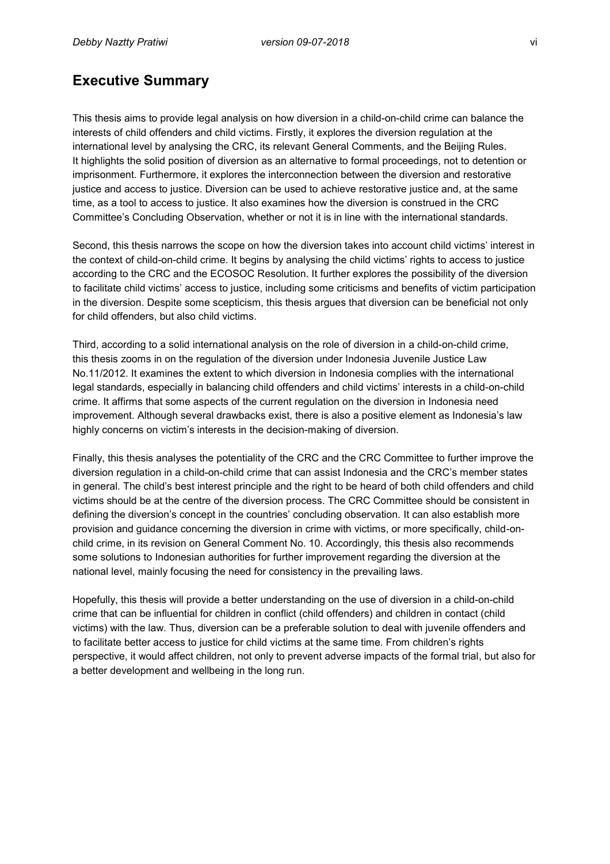# **Executive Summary**

This thesis aims to provide legal analysis on how diversion in a child-on-child crime can balance the interests of child offenders and child victims. Firstly, it explores the diversion regulation at the international level by analysing the CRC, its relevant General Comments, and the Beijing Rules. It highlights the solid position of diversion as an alternative to formal proceedings, not to detention or imprisonment. Furthermore, it explores the interconnection between the diversion and restorative justice and access to justice. Diversion can be used to achieve restorative justice and, at the same time, as a tool to access to justice. It also examines how the diversion is construed in the CRC Committee's Concluding Observation, whether or not it is in line with the international standards.

Second, this thesis narrows the scope on how the diversion takes into account child victims' interest in the context of child-on-child crime. It begins by analysing the child victims' rights to access to justice according to the CRC and the ECOSOC Resolution. It further explores the possibility of the diversion to facilitate child victims' access to justice, including some criticisms and benefits of victim participation in the diversion. Despite some scepticism, this thesis argues that diversion can be beneficial not only for child offenders, but also child victims.

Third, according to a solid international analysis on the role of diversion in a child-on-child crime, this thesis zooms in on the regulation of the diversion under Indonesia Juvenile Justice Law No.11/2012. It examines the extent to which diversion in Indonesia complies with the international legal standards, especially in balancing child offenders and child victims' interests in a child-on-child crime. It affirms that some aspects of the current regulation on the diversion in Indonesia need improvement. Although several drawbacks exist, there is also a positive element as Indonesia's law highly concerns on victim's interests in the decision-making of diversion.

Finally, this thesis analyses the potentiality of the CRC and the CRC Committee to further improve the diversion regulation in a child-on-child crime that can assist Indonesia and the CRC's member states in general. The child's best interest principle and the right to be heard of both child offenders and child victims should be at the centre of the diversion process. The CRC Committee should be consistent in defining the diversion's concept in the countries' concluding observation. It can also establish more provision and guidance concerning the diversion in crime with victims, or more specifically, child-onchild crime, in its revision on General Comment No. 10. Accordingly, this thesis also recommends some solutions to Indonesian authorities for further improvement regarding the diversion at the national level, mainly focusing the need for consistency in the prevailing laws.

Hopefully, this thesis will provide a better understanding on the use of diversion in a child-on-child crime that can be influential for children in conflict (child offenders) and children in contact (child victims) with the law. Thus, diversion can be a preferable solution to deal with juvenile offenders and to facilitate better access to justice for child victims at the same time. From children's rights perspective, it would affect children, not only to prevent adverse impacts of the formal trial, but also for a better development and wellbeing in the long run.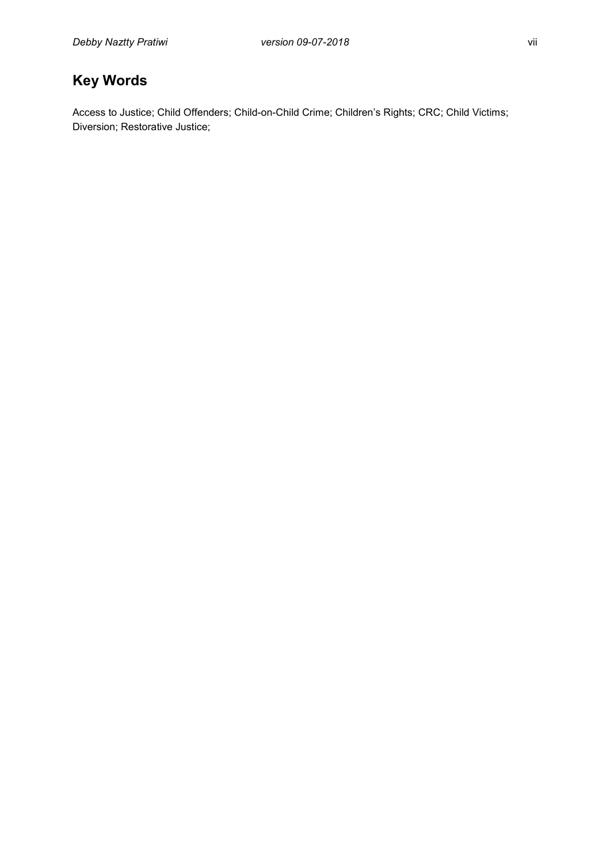# **Key Words**

Access to Justice; Child Offenders; Child-on-Child Crime; Children's Rights; CRC; Child Victims; Diversion; Restorative Justice;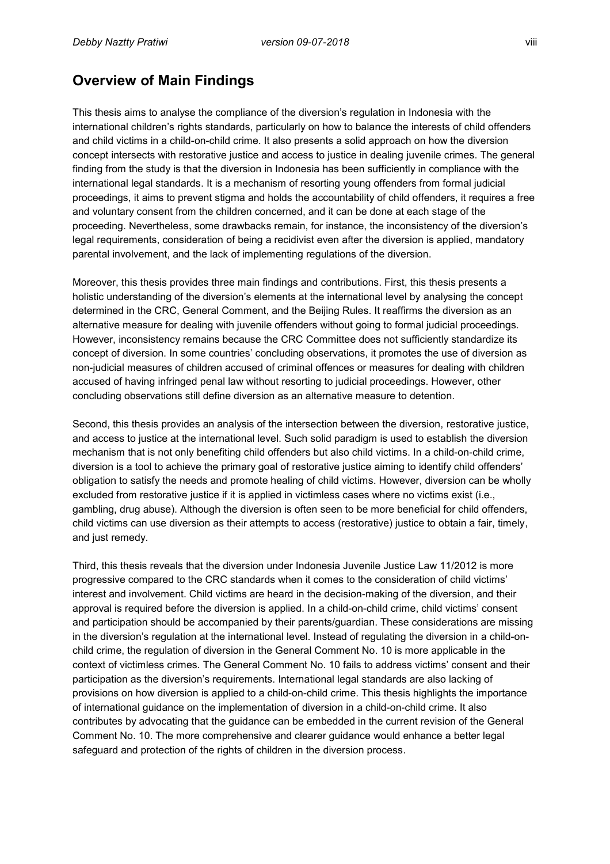# **Overview of Main Findings**

This thesis aims to analyse the compliance of the diversion's regulation in Indonesia with the international children's rights standards, particularly on how to balance the interests of child offenders and child victims in a child-on-child crime. It also presents a solid approach on how the diversion concept intersects with restorative justice and access to justice in dealing juvenile crimes. The general finding from the study is that the diversion in Indonesia has been sufficiently in compliance with the international legal standards. It is a mechanism of resorting young offenders from formal judicial proceedings, it aims to prevent stigma and holds the accountability of child offenders, it requires a free and voluntary consent from the children concerned, and it can be done at each stage of the proceeding. Nevertheless, some drawbacks remain, for instance, the inconsistency of the diversion's legal requirements, consideration of being a recidivist even after the diversion is applied, mandatory parental involvement, and the lack of implementing regulations of the diversion.

Moreover, this thesis provides three main findings and contributions. First, this thesis presents a holistic understanding of the diversion's elements at the international level by analysing the concept determined in the CRC, General Comment, and the Beijing Rules. It reaffirms the diversion as an alternative measure for dealing with juvenile offenders without going to formal judicial proceedings. However, inconsistency remains because the CRC Committee does not sufficiently standardize its concept of diversion. In some countries' concluding observations, it promotes the use of diversion as non-judicial measures of children accused of criminal offences or measures for dealing with children accused of having infringed penal law without resorting to judicial proceedings. However, other concluding observations still define diversion as an alternative measure to detention.

Second, this thesis provides an analysis of the intersection between the diversion, restorative justice, and access to justice at the international level. Such solid paradigm is used to establish the diversion mechanism that is not only benefiting child offenders but also child victims. In a child-on-child crime, diversion is a tool to achieve the primary goal of restorative justice aiming to identify child offenders' obligation to satisfy the needs and promote healing of child victims. However, diversion can be wholly excluded from restorative justice if it is applied in victimless cases where no victims exist (i.e., gambling, drug abuse). Although the diversion is often seen to be more beneficial for child offenders, child victims can use diversion as their attempts to access (restorative) justice to obtain a fair, timely, and just remedy.

Third, this thesis reveals that the diversion under Indonesia Juvenile Justice Law 11/2012 is more progressive compared to the CRC standards when it comes to the consideration of child victims' interest and involvement. Child victims are heard in the decision-making of the diversion, and their approval is required before the diversion is applied. In a child-on-child crime, child victims' consent and participation should be accompanied by their parents/guardian. These considerations are missing in the diversion's regulation at the international level. Instead of regulating the diversion in a child-onchild crime, the regulation of diversion in the General Comment No. 10 is more applicable in the context of victimless crimes. The General Comment No. 10 fails to address victims' consent and their participation as the diversion's requirements. International legal standards are also lacking of provisions on how diversion is applied to a child-on-child crime. This thesis highlights the importance of international guidance on the implementation of diversion in a child-on-child crime. It also contributes by advocating that the guidance can be embedded in the current revision of the General Comment No. 10. The more comprehensive and clearer guidance would enhance a better legal safeguard and protection of the rights of children in the diversion process.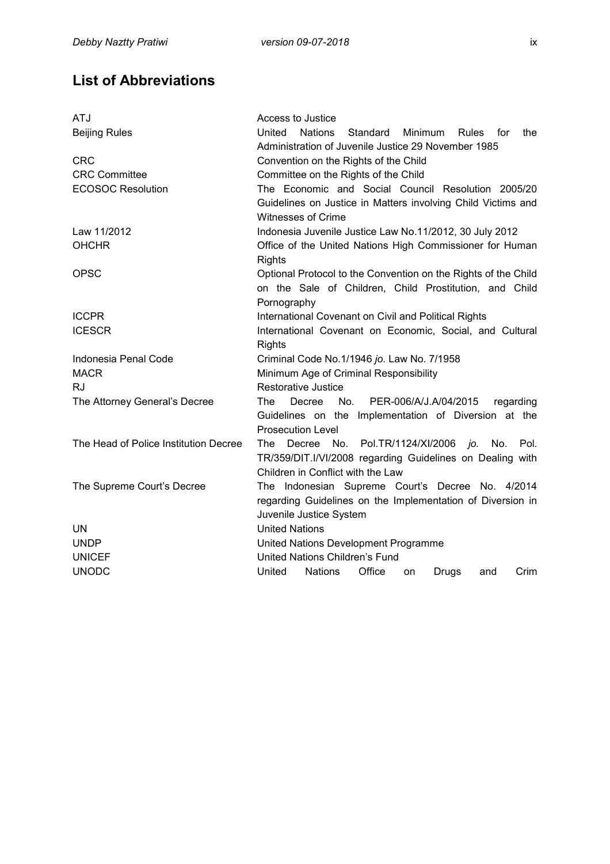# **List of Abbreviations**

| <b>ATJ</b>                            | Access to Justice                                                             |  |  |
|---------------------------------------|-------------------------------------------------------------------------------|--|--|
| <b>Beijing Rules</b>                  | United<br><b>Nations</b><br>Standard<br>Minimum<br><b>Rules</b><br>for<br>the |  |  |
|                                       | Administration of Juvenile Justice 29 November 1985                           |  |  |
| <b>CRC</b>                            | Convention on the Rights of the Child                                         |  |  |
| <b>CRC Committee</b>                  | Committee on the Rights of the Child                                          |  |  |
| <b>ECOSOC Resolution</b>              | The Economic and Social Council Resolution 2005/20                            |  |  |
|                                       | Guidelines on Justice in Matters involving Child Victims and                  |  |  |
|                                       | <b>Witnesses of Crime</b>                                                     |  |  |
| Law 11/2012                           | Indonesia Juvenile Justice Law No.11/2012, 30 July 2012                       |  |  |
| <b>OHCHR</b>                          | Office of the United Nations High Commissioner for Human                      |  |  |
|                                       | <b>Rights</b>                                                                 |  |  |
| <b>OPSC</b>                           | Optional Protocol to the Convention on the Rights of the Child                |  |  |
|                                       | on the Sale of Children, Child Prostitution, and Child                        |  |  |
|                                       | Pornography                                                                   |  |  |
| <b>ICCPR</b>                          | International Covenant on Civil and Political Rights                          |  |  |
| <b>ICESCR</b>                         | International Covenant on Economic, Social, and Cultural                      |  |  |
|                                       | <b>Rights</b>                                                                 |  |  |
| Indonesia Penal Code                  | Criminal Code No.1/1946 jo. Law No. 7/1958                                    |  |  |
| <b>MACR</b>                           | Minimum Age of Criminal Responsibility                                        |  |  |
| <b>RJ</b>                             | Restorative Justice                                                           |  |  |
| The Attorney General's Decree         | PER-006/A/J.A/04/2015<br>The .<br>Decree<br>No.<br>regarding                  |  |  |
|                                       | Guidelines on the Implementation of Diversion at the                          |  |  |
|                                       | <b>Prosecution Level</b>                                                      |  |  |
| The Head of Police Institution Decree | No. Pol.TR/1124/XI/2006<br>jo.<br>No.<br>The<br>Decree<br>Pol.                |  |  |
|                                       | TR/359/DIT.I/VI/2008 regarding Guidelines on Dealing with                     |  |  |
|                                       | Children in Conflict with the Law                                             |  |  |
| The Supreme Court's Decree            | The Indonesian Supreme Court's Decree No. 4/2014                              |  |  |
|                                       | regarding Guidelines on the Implementation of Diversion in                    |  |  |
|                                       | Juvenile Justice System                                                       |  |  |
| UN                                    | <b>United Nations</b>                                                         |  |  |
| <b>UNDP</b>                           | United Nations Development Programme                                          |  |  |
| <b>UNICEF</b>                         | United Nations Children's Fund                                                |  |  |
| <b>UNODC</b>                          | <b>Nations</b><br>Office<br>Crim<br>United<br>Drugs<br>and<br>on              |  |  |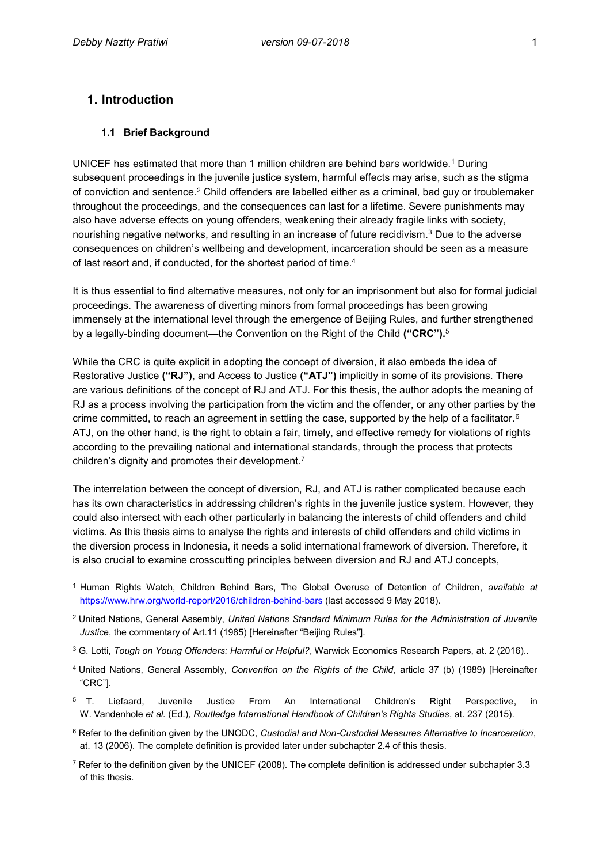### **1. Introduction**

 $\overline{a}$ 

#### **1.1 Brief Background**

UNICEF has estimated that more than 1 million children are behind bars worldwide.<sup>1</sup> During subsequent proceedings in the juvenile justice system, harmful effects may arise, such as the stigma of conviction and sentence.<sup>2</sup> Child offenders are labelled either as a criminal, bad guy or troublemaker throughout the proceedings, and the consequences can last for a lifetime. Severe punishments may also have adverse effects on young offenders, weakening their already fragile links with society, nourishing negative networks, and resulting in an increase of future recidivism.<sup>3</sup> Due to the adverse consequences on children's wellbeing and development, incarceration should be seen as a measure of last resort and, if conducted, for the shortest period of time.<sup>4</sup>

It is thus essential to find alternative measures, not only for an imprisonment but also for formal judicial proceedings. The awareness of diverting minors from formal proceedings has been growing immensely at the international level through the emergence of Beijing Rules, and further strengthened by a legally-binding document—the Convention on the Right of the Child **("CRC").**<sup>5</sup>

While the CRC is quite explicit in adopting the concept of diversion, it also embeds the idea of Restorative Justice **("RJ")**, and Access to Justice **("ATJ")** implicitly in some of its provisions. There are various definitions of the concept of RJ and ATJ. For this thesis, the author adopts the meaning of RJ as a process involving the participation from the victim and the offender, or any other parties by the crime committed, to reach an agreement in settling the case, supported by the help of a facilitator. $6$ ATJ, on the other hand, is the right to obtain a fair, timely, and effective remedy for violations of rights according to the prevailing national and international standards, through the process that protects children's dignity and promotes their development.<sup>7</sup>

The interrelation between the concept of diversion, RJ, and ATJ is rather complicated because each has its own characteristics in addressing children's rights in the juvenile justice system. However, they could also intersect with each other particularly in balancing the interests of child offenders and child victims. As this thesis aims to analyse the rights and interests of child offenders and child victims in the diversion process in Indonesia, it needs a solid international framework of diversion. Therefore, it is also crucial to examine crosscutting principles between diversion and RJ and ATJ concepts,

- <sup>4</sup> United Nations, General Assembly, *Convention on the Rights of the Child*, article 37 (b) (1989) [Hereinafter "CRC"].
- <sup>5</sup> T. Liefaard, Juvenile Justice From An International Children's Right Perspective, in W. Vandenhole *et al.* (Ed.)*, Routledge International Handbook of Children's Rights Studies*, at. 237 (2015).
- <sup>6</sup> Refer to the definition given by the UNODC, *Custodial and Non-Custodial Measures Alternative to Incarceration*, at. 13 (2006). The complete definition is provided later under subchapter 2.4 of this thesis.
- $7$  Refer to the definition given by the UNICEF (2008). The complete definition is addressed under subchapter 3.3 of this thesis.

<sup>1</sup> Human Rights Watch, Children Behind Bars, The Global Overuse of Detention of Children, *available at* <https://www.hrw.org/world-report/2016/children-behind-bars> (last accessed 9 May 2018).

<sup>2</sup> United Nations, General Assembly, *United Nations Standard Minimum Rules for the Administration of Juvenile Justice*, the commentary of Art.11 (1985) [Hereinafter "Beijing Rules"].

<sup>3</sup> G. Lotti, *Tough on Young Offenders: Harmful or Helpful?*, Warwick Economics Research Papers, at. 2 (2016)..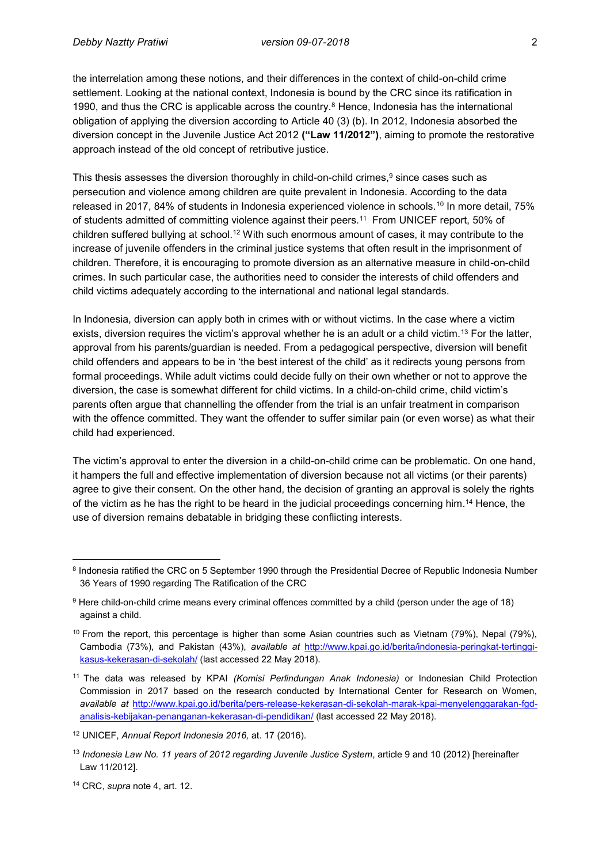the interrelation among these notions, and their differences in the context of child-on-child crime settlement. Looking at the national context, Indonesia is bound by the CRC since its ratification in 1990, and thus the CRC is applicable across the country. $8$  Hence, Indonesia has the international obligation of applying the diversion according to Article 40 (3) (b). In 2012, Indonesia absorbed the diversion concept in the Juvenile Justice Act 2012 **("Law 11/2012")**, aiming to promote the restorative approach instead of the old concept of retributive justice.

This thesis assesses the diversion thoroughly in child-on-child crimes,<sup>9</sup> since cases such as persecution and violence among children are quite prevalent in Indonesia. According to the data released in 2017, 84% of students in Indonesia experienced violence in schools.<sup>10</sup> In more detail, 75% of students admitted of committing violence against their peers.<sup>11</sup> From UNICEF report, 50% of children suffered bullying at school.<sup>12</sup> With such enormous amount of cases, it may contribute to the increase of juvenile offenders in the criminal justice systems that often result in the imprisonment of children. Therefore, it is encouraging to promote diversion as an alternative measure in child-on-child crimes. In such particular case, the authorities need to consider the interests of child offenders and child victims adequately according to the international and national legal standards.

In Indonesia, diversion can apply both in crimes with or without victims. In the case where a victim exists, diversion requires the victim's approval whether he is an adult or a child victim.<sup>13</sup> For the latter, approval from his parents/guardian is needed. From a pedagogical perspective, diversion will benefit child offenders and appears to be in 'the best interest of the child' as it redirects young persons from formal proceedings. While adult victims could decide fully on their own whether or not to approve the diversion, the case is somewhat different for child victims. In a child-on-child crime, child victim's parents often argue that channelling the offender from the trial is an unfair treatment in comparison with the offence committed. They want the offender to suffer similar pain (or even worse) as what their child had experienced.

The victim's approval to enter the diversion in a child-on-child crime can be problematic. On one hand, it hampers the full and effective implementation of diversion because not all victims (or their parents) agree to give their consent. On the other hand, the decision of granting an approval is solely the rights of the victim as he has the right to be heard in the judicial proceedings concerning him.<sup>14</sup> Hence, the use of diversion remains debatable in bridging these conflicting interests.

 $\overline{a}$ 

<sup>8</sup> Indonesia ratified the CRC on 5 September 1990 through the Presidential Decree of Republic Indonesia Number 36 Years of 1990 regarding The Ratification of the CRC

<sup>9</sup> Here child-on-child crime means every criminal offences committed by a child (person under the age of 18) against a child.

 $10$  From the report, this percentage is higher than some Asian countries such as Vietnam (79%), Nepal (79%), Cambodia (73%), and Pakistan (43%), *available at* [http://www.kpai.go.id/berita/indonesia-peringkat-tertinggi](http://www.kpai.go.id/berita/indonesia-peringkat-tertinggi-kasus-kekerasan-di-sekolah/)[kasus-kekerasan-di-sekolah/](http://www.kpai.go.id/berita/indonesia-peringkat-tertinggi-kasus-kekerasan-di-sekolah/) (last accessed 22 May 2018).

<sup>11</sup> The data was released by KPAI *(Komisi Perlindungan Anak Indonesia)* or Indonesian Child Protection Commission in 2017 based on the research conducted by International Center for Research on Women, *available at* [http://www.kpai.go.id/berita/pers-release-kekerasan-di-sekolah-marak-kpai-menyelenggarakan-fgd](http://www.kpai.go.id/berita/pers-release-kekerasan-di-sekolah-marak-kpai-menyelenggarakan-fgd-analisis-kebijakan-penanganan-kekerasan-di-pendidikan/)[analisis-kebijakan-penanganan-kekerasan-di-pendidikan/](http://www.kpai.go.id/berita/pers-release-kekerasan-di-sekolah-marak-kpai-menyelenggarakan-fgd-analisis-kebijakan-penanganan-kekerasan-di-pendidikan/) (last accessed 22 May 2018).

<sup>12</sup> UNICEF, *Annual Report Indonesia 2016,* at. 17 (2016).

<sup>13</sup> *Indonesia Law No. 11 years of 2012 regarding Juvenile Justice System*, article 9 and 10 (2012) [hereinafter Law 11/2012].

<sup>14</sup> CRC, *supra* note 4, art. 12.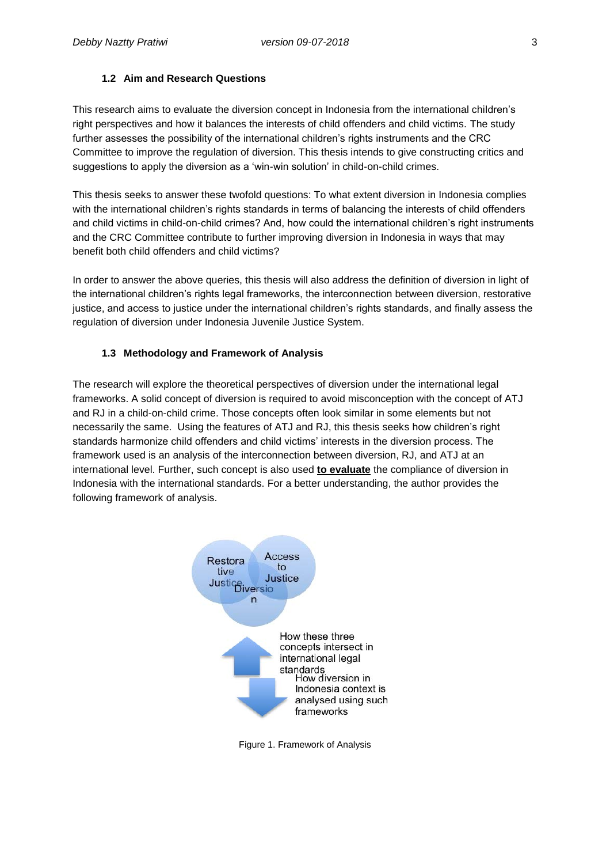#### **1.2 Aim and Research Questions**

This research aims to evaluate the diversion concept in Indonesia from the international children's right perspectives and how it balances the interests of child offenders and child victims. The study further assesses the possibility of the international children's rights instruments and the CRC Committee to improve the regulation of diversion. This thesis intends to give constructing critics and suggestions to apply the diversion as a 'win-win solution' in child-on-child crimes.

This thesis seeks to answer these twofold questions: To what extent diversion in Indonesia complies with the international children's rights standards in terms of balancing the interests of child offenders and child victims in child-on-child crimes? And, how could the international children's right instruments and the CRC Committee contribute to further improving diversion in Indonesia in ways that may benefit both child offenders and child victims?

In order to answer the above queries, this thesis will also address the definition of diversion in light of the international children's rights legal frameworks, the interconnection between diversion, restorative justice, and access to justice under the international children's rights standards, and finally assess the regulation of diversion under Indonesia Juvenile Justice System.

#### **1.3 Methodology and Framework of Analysis**

The research will explore the theoretical perspectives of diversion under the international legal frameworks. A solid concept of diversion is required to avoid misconception with the concept of ATJ and RJ in a child-on-child crime. Those concepts often look similar in some elements but not necessarily the same. Using the features of ATJ and RJ, this thesis seeks how children's right standards harmonize child offenders and child victims' interests in the diversion process. The framework used is an analysis of the interconnection between diversion, RJ, and ATJ at an international level. Further, such concept is also used **to evaluate** the compliance of diversion in Indonesia with the international standards. For a better understanding, the author provides the following framework of analysis.



Figure 1. Framework of Analysis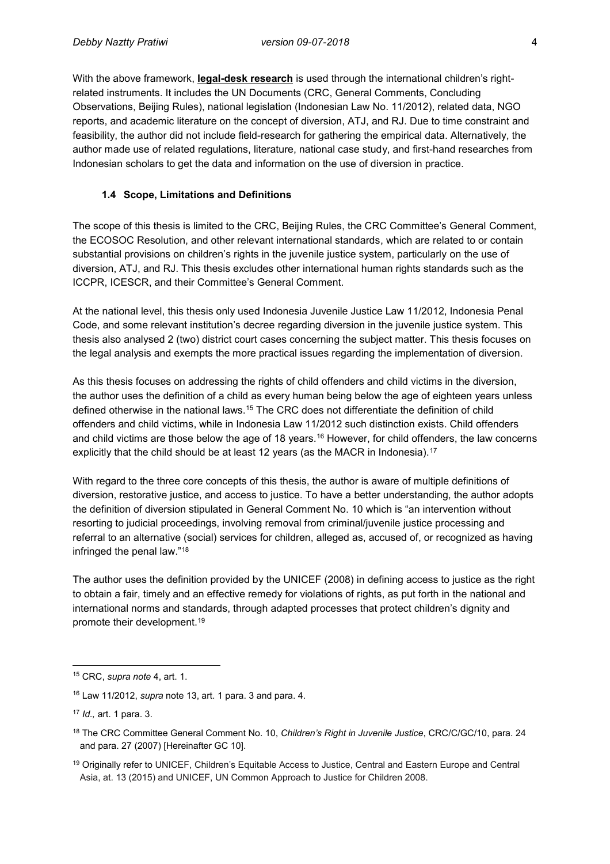With the above framework, **legal-desk research** is used through the international children's rightrelated instruments. It includes the UN Documents (CRC, General Comments, Concluding Observations, Beijing Rules), national legislation (Indonesian Law No. 11/2012), related data, NGO reports, and academic literature on the concept of diversion, ATJ, and RJ. Due to time constraint and feasibility, the author did not include field-research for gathering the empirical data. Alternatively, the author made use of related regulations, literature, national case study, and first-hand researches from Indonesian scholars to get the data and information on the use of diversion in practice.

#### **1.4 Scope, Limitations and Definitions**

The scope of this thesis is limited to the CRC, Beijing Rules, the CRC Committee's General Comment, the ECOSOC Resolution, and other relevant international standards, which are related to or contain substantial provisions on children's rights in the juvenile justice system, particularly on the use of diversion, ATJ, and RJ. This thesis excludes other international human rights standards such as the ICCPR, ICESCR, and their Committee's General Comment.

At the national level, this thesis only used Indonesia Juvenile Justice Law 11/2012, Indonesia Penal Code, and some relevant institution's decree regarding diversion in the juvenile justice system. This thesis also analysed 2 (two) district court cases concerning the subject matter. This thesis focuses on the legal analysis and exempts the more practical issues regarding the implementation of diversion.

As this thesis focuses on addressing the rights of child offenders and child victims in the diversion, the author uses the definition of a child as every human being below the age of eighteen years unless defined otherwise in the national laws.<sup>15</sup> The CRC does not differentiate the definition of child offenders and child victims, while in Indonesia Law 11/2012 such distinction exists. Child offenders and child victims are those below the age of 18 years.<sup>16</sup> However, for child offenders, the law concerns explicitly that the child should be at least 12 years (as the MACR in Indonesia).<sup>17</sup>

With regard to the three core concepts of this thesis, the author is aware of multiple definitions of diversion, restorative justice, and access to justice. To have a better understanding, the author adopts the definition of diversion stipulated in General Comment No. 10 which is "an intervention without resorting to judicial proceedings, involving removal from criminal/juvenile justice processing and referral to an alternative (social) services for children, alleged as, accused of, or recognized as having infringed the penal law."<sup>18</sup>

The author uses the definition provided by the UNICEF (2008) in defining access to justice as the right to obtain a fair, timely and an effective remedy for violations of rights, as put forth in the national and international norms and standards, through adapted processes that protect children's dignity and promote their development.<sup>19</sup>

 $\overline{\phantom{a}}$ <sup>15</sup> CRC, *supra note* 4, art. 1.

<sup>16</sup> Law 11/2012, *supra* note 13, art. 1 para. 3 and para. 4.

<sup>17</sup> *Id.,* art. 1 para. 3.

<sup>18</sup> The CRC Committee General Comment No. 10, *Children's Right in Juvenile Justice*, CRC/C/GC/10, para. 24 and para. 27 (2007) [Hereinafter GC 10].

<sup>&</sup>lt;sup>19</sup> Originally refer to UNICEF, Children's Equitable Access to Justice, Central and Eastern Europe and Central Asia, at. 13 (2015) and UNICEF, UN Common Approach to Justice for Children 2008.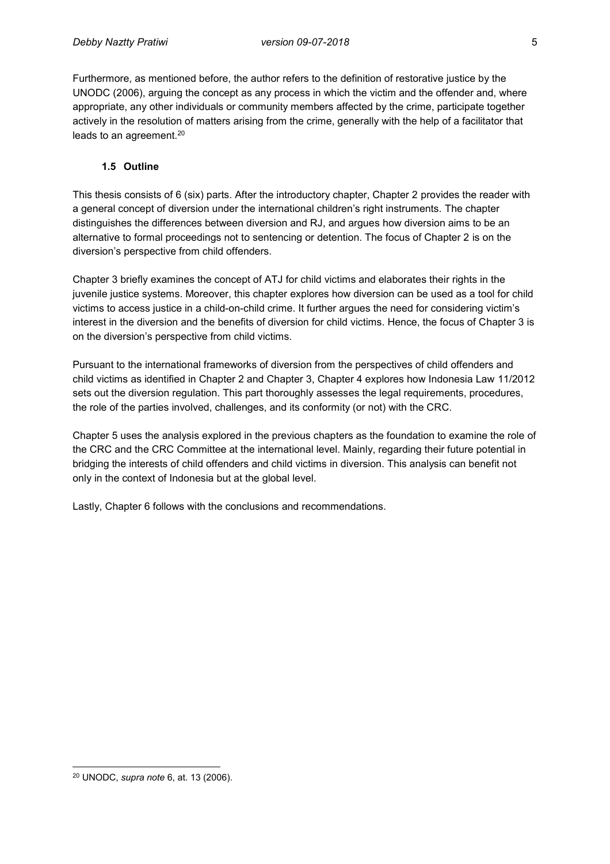Furthermore, as mentioned before, the author refers to the definition of restorative justice by the UNODC (2006), arguing the concept as any process in which the victim and the offender and, where appropriate, any other individuals or community members affected by the crime, participate together actively in the resolution of matters arising from the crime, generally with the help of a facilitator that leads to an agreement.<sup>20</sup>

#### **1.5 Outline**

This thesis consists of 6 (six) parts. After the introductory chapter, Chapter 2 provides the reader with a general concept of diversion under the international children's right instruments. The chapter distinguishes the differences between diversion and RJ, and argues how diversion aims to be an alternative to formal proceedings not to sentencing or detention. The focus of Chapter 2 is on the diversion's perspective from child offenders.

Chapter 3 briefly examines the concept of ATJ for child victims and elaborates their rights in the juvenile justice systems. Moreover, this chapter explores how diversion can be used as a tool for child victims to access justice in a child-on-child crime. It further argues the need for considering victim's interest in the diversion and the benefits of diversion for child victims. Hence, the focus of Chapter 3 is on the diversion's perspective from child victims.

Pursuant to the international frameworks of diversion from the perspectives of child offenders and child victims as identified in Chapter 2 and Chapter 3, Chapter 4 explores how Indonesia Law 11/2012 sets out the diversion regulation. This part thoroughly assesses the legal requirements, procedures, the role of the parties involved, challenges, and its conformity (or not) with the CRC.

Chapter 5 uses the analysis explored in the previous chapters as the foundation to examine the role of the CRC and the CRC Committee at the international level. Mainly, regarding their future potential in bridging the interests of child offenders and child victims in diversion. This analysis can benefit not only in the context of Indonesia but at the global level.

Lastly, Chapter 6 follows with the conclusions and recommendations.

 $\overline{\phantom{a}}$ 

<sup>20</sup> UNODC, *supra note* 6, at. 13 (2006).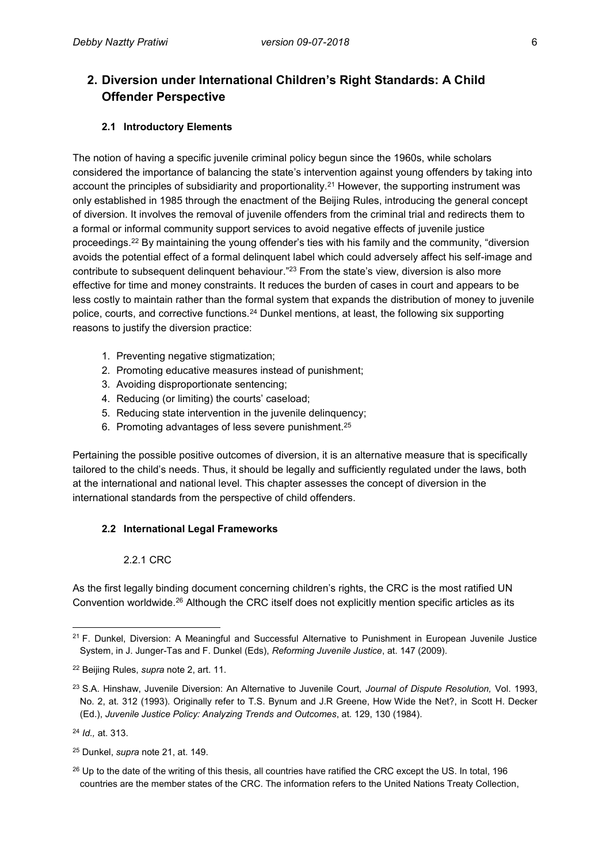# **2. Diversion under International Children's Right Standards: A Child Offender Perspective**

### **2.1 Introductory Elements**

The notion of having a specific juvenile criminal policy begun since the 1960s, while scholars considered the importance of balancing the state's intervention against young offenders by taking into account the principles of subsidiarity and proportionality. <sup>21</sup> However, the supporting instrument was only established in 1985 through the enactment of the Beijing Rules, introducing the general concept of diversion. It involves the removal of juvenile offenders from the criminal trial and redirects them to a formal or informal community support services to avoid negative effects of juvenile justice proceedings.<sup>22</sup> By maintaining the young offender's ties with his family and the community, "diversion avoids the potential effect of a formal delinquent label which could adversely affect his self-image and contribute to subsequent delinquent behaviour."<sup>23</sup> From the state's view, diversion is also more effective for time and money constraints. It reduces the burden of cases in court and appears to be less costly to maintain rather than the formal system that expands the distribution of money to juvenile police, courts, and corrective functions.<sup>24</sup> Dunkel mentions, at least, the following six supporting reasons to justify the diversion practice:

- 1. Preventing negative stigmatization;
- 2. Promoting educative measures instead of punishment;
- 3. Avoiding disproportionate sentencing;
- 4. Reducing (or limiting) the courts' caseload;
- 5. Reducing state intervention in the juvenile delinquency;
- 6. Promoting advantages of less severe punishment.<sup>25</sup>

Pertaining the possible positive outcomes of diversion, it is an alternative measure that is specifically tailored to the child's needs. Thus, it should be legally and sufficiently regulated under the laws, both at the international and national level. This chapter assesses the concept of diversion in the international standards from the perspective of child offenders.

#### **2.2 International Legal Frameworks**

#### 2.2.1 CRC

As the first legally binding document concerning children's rights, the CRC is the most ratified UN Convention worldwide.<sup>26</sup> Although the CRC itself does not explicitly mention specific articles as its

 $\overline{a}$ <sup>21</sup> F. Dunkel, Diversion: A Meaningful and Successful Alternative to Punishment in European Juvenile Justice System, in J. Junger-Tas and F. Dunkel (Eds), *Reforming Juvenile Justice*, at. 147 (2009).

<sup>22</sup> Beijing Rules, *supra* note 2, art. 11.

<sup>23</sup> S.A. Hinshaw, Juvenile Diversion: An Alternative to Juvenile Court, *Journal of Dispute Resolution,* Vol. 1993, No. 2, at. 312 (1993). Originally refer to T.S. Bynum and J.R Greene, How Wide the Net?, in Scott H. Decker (Ed.), *Juvenile Justice Policy: Analyzing Trends and Outcomes*, at. 129, 130 (1984).

<sup>24</sup> *Id.,* at. 313.

<sup>25</sup> Dunkel, *supra* note 21, at. 149.

<sup>&</sup>lt;sup>26</sup> Up to the date of the writing of this thesis, all countries have ratified the CRC except the US. In total, 196 countries are the member states of the CRC. The information refers to the United Nations Treaty Collection,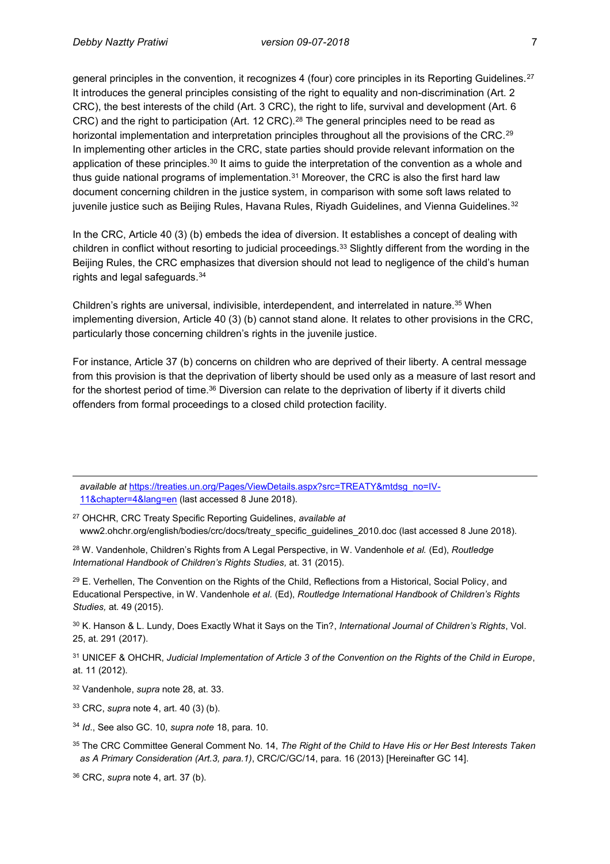general principles in the convention, it recognizes 4 (four) core principles in its Reporting Guidelines.<sup>27</sup> It introduces the general principles consisting of the right to equality and non-discrimination (Art. 2 CRC), the best interests of the child (Art. 3 CRC), the right to life, survival and development (Art. 6 CRC) and the right to participation (Art. 12 CRC).<sup>28</sup> The general principles need to be read as horizontal implementation and interpretation principles throughout all the provisions of the CRC.<sup>29</sup> In implementing other articles in the CRC, state parties should provide relevant information on the application of these principles.<sup>30</sup> It aims to guide the interpretation of the convention as a whole and thus guide national programs of implementation. $31$  Moreover, the CRC is also the first hard law document concerning children in the justice system, in comparison with some soft laws related to juvenile justice such as Beijing Rules, Havana Rules, Riyadh Guidelines, and Vienna Guidelines.<sup>32</sup>

In the CRC, Article 40 (3) (b) embeds the idea of diversion. It establishes a concept of dealing with children in conflict without resorting to judicial proceedings.<sup>33</sup> Slightly different from the wording in the Beijing Rules, the CRC emphasizes that diversion should not lead to negligence of the child's human rights and legal safeguards.<sup>34</sup>

Children's rights are universal, indivisible, interdependent, and interrelated in nature.<sup>35</sup> When implementing diversion, Article 40 (3) (b) cannot stand alone. It relates to other provisions in the CRC, particularly those concerning children's rights in the juvenile justice.

For instance, Article 37 (b) concerns on children who are deprived of their liberty. A central message from this provision is that the deprivation of liberty should be used only as a measure of last resort and for the shortest period of time.<sup>36</sup> Diversion can relate to the deprivation of liberty if it diverts child offenders from formal proceedings to a closed child protection facility.

*available at* [https://treaties.un.org/Pages/ViewDetails.aspx?src=TREATY&mtdsg\\_no=IV-](https://treaties.un.org/Pages/ViewDetails.aspx?src=TREATY&mtdsg_no=IV-11&chapter=4&lang=en)[11&chapter=4&lang=en](https://treaties.un.org/Pages/ViewDetails.aspx?src=TREATY&mtdsg_no=IV-11&chapter=4&lang=en) (last accessed 8 June 2018).

<sup>27</sup> OHCHR, CRC Treaty Specific Reporting Guidelines, *available at* www2.ohchr.org/english/bodies/crc/docs/treaty\_specific\_guidelines\_2010.doc (last accessed 8 June 2018).

<sup>28</sup> W. Vandenhole, Children's Rights from A Legal Perspective, in W. Vandenhole *et al.* (Ed), *Routledge International Handbook of Children's Rights Studies,* at. 31 (2015).

<sup>29</sup> E. Verhellen, The Convention on the Rights of the Child, Reflections from a Historical, Social Policy, and Educational Perspective, in W. Vandenhole *et al.* (Ed), *Routledge International Handbook of Children's Rights Studies,* at. 49 (2015).

<sup>30</sup> K. Hanson & L. Lundy, Does Exactly What it Says on the Tin?, *International Journal of Children's Rights*, Vol. 25, at. 291 (2017).

<sup>31</sup> UNICEF & OHCHR, *Judicial Implementation of Article 3 of the Convention on the Rights of the Child in Europe*, at. 11 (2012).

<sup>32</sup> Vandenhole, *supra* note 28, at. 33.

 $\overline{a}$ 

- <sup>33</sup> CRC, *supra* note 4, art. 40 (3) (b).
- <sup>34</sup> *Id*., See also GC. 10, *supra note* 18, para. 10.
- <sup>35</sup> The CRC Committee General Comment No. 14, *The Right of the Child to Have His or Her Best Interests Taken as A Primary Consideration (Art.3, para.1)*, CRC/C/GC/14, para. 16 (2013) [Hereinafter GC 14].
- <sup>36</sup> CRC, *supra* note 4, art. 37 (b).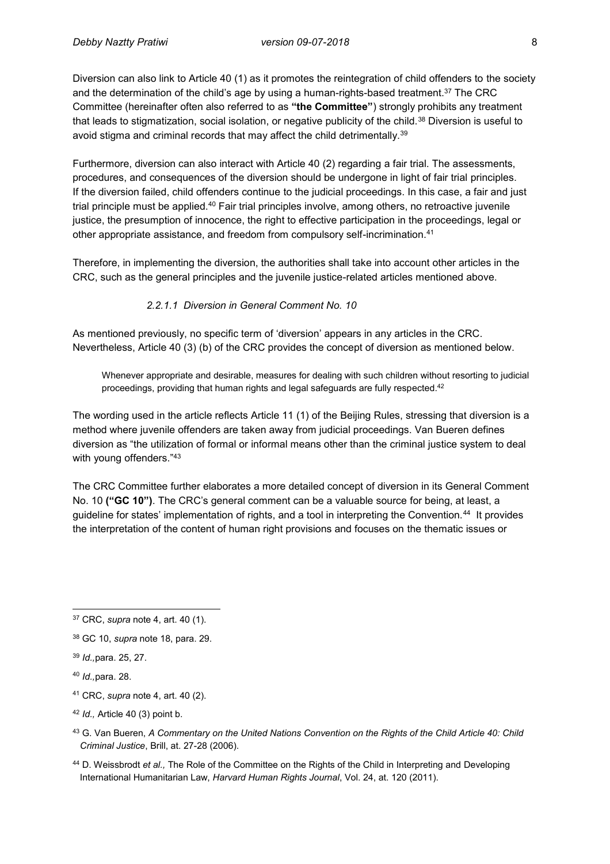Diversion can also link to Article 40 (1) as it promotes the reintegration of child offenders to the society and the determination of the child's age by using a human-rights-based treatment.<sup>37</sup> The CRC Committee (hereinafter often also referred to as **"the Committee"**) strongly prohibits any treatment that leads to stigmatization, social isolation, or negative publicity of the child.<sup>38</sup> Diversion is useful to avoid stigma and criminal records that may affect the child detrimentally.<sup>39</sup>

Furthermore, diversion can also interact with Article 40 (2) regarding a fair trial. The assessments, procedures, and consequences of the diversion should be undergone in light of fair trial principles. If the diversion failed, child offenders continue to the judicial proceedings. In this case, a fair and just trial principle must be applied.<sup>40</sup> Fair trial principles involve, among others, no retroactive juvenile justice, the presumption of innocence, the right to effective participation in the proceedings, legal or other appropriate assistance, and freedom from compulsory self-incrimination.<sup>41</sup>

Therefore, in implementing the diversion, the authorities shall take into account other articles in the CRC, such as the general principles and the juvenile justice-related articles mentioned above.

*2.2.1.1 Diversion in General Comment No. 10*

As mentioned previously, no specific term of 'diversion' appears in any articles in the CRC. Nevertheless, Article 40 (3) (b) of the CRC provides the concept of diversion as mentioned below.

Whenever appropriate and desirable, measures for dealing with such children without resorting to judicial proceedings, providing that human rights and legal safeguards are fully respected.<sup>42</sup>

The wording used in the article reflects Article 11 (1) of the Beijing Rules, stressing that diversion is a method where juvenile offenders are taken away from judicial proceedings. Van Bueren defines diversion as "the utilization of formal or informal means other than the criminal justice system to deal with young offenders."43

The CRC Committee further elaborates a more detailed concept of diversion in its General Comment No. 10 **("GC 10")**. The CRC's general comment can be a valuable source for being, at least, a guideline for states' implementation of rights, and a tool in interpreting the Convention.<sup>44</sup> It provides the interpretation of the content of human right provisions and focuses on the thematic issues or

<sup>44</sup> D. Weissbrodt *et al.,* The Role of the Committee on the Rights of the Child in Interpreting and Developing International Humanitarian Law, *Harvard Human Rights Journal*, Vol. 24, at. 120 (2011).

 $\overline{a}$ <sup>37</sup> CRC, *supra* note 4, art. 40 (1).

<sup>38</sup> GC 10, *supra* note 18, para. 29.

<sup>39</sup> *Id.,*para. 25, 27.

<sup>40</sup> *Id.,*para. 28.

<sup>41</sup> CRC, *supra* note 4, art. 40 (2).

<sup>42</sup> *Id.,* Article 40 (3) point b.

<sup>43</sup> G. Van Bueren, *A Commentary on the United Nations Convention on the Rights of the Child Article 40: Child Criminal Justice*, Brill, at. 27-28 (2006).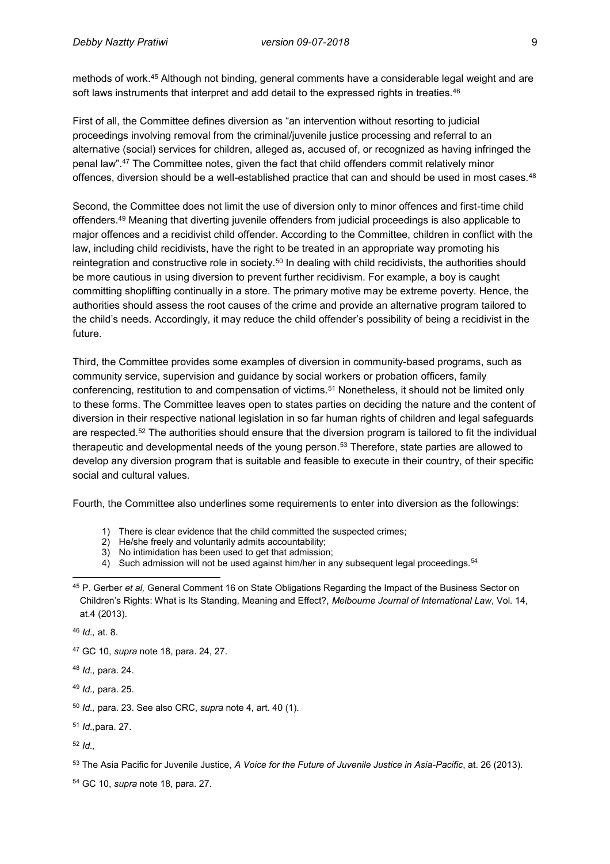methods of work.<sup>45</sup> Although not binding, general comments have a considerable legal weight and are soft laws instruments that interpret and add detail to the expressed rights in treaties.<sup>46</sup>

First of all, the Committee defines diversion as "an intervention without resorting to judicial proceedings involving removal from the criminal/juvenile justice processing and referral to an alternative (social) services for children, alleged as, accused of, or recognized as having infringed the penal law".<sup>47</sup> The Committee notes, given the fact that child offenders commit relatively minor offences, diversion should be a well-established practice that can and should be used in most cases.<sup>48</sup>

Second, the Committee does not limit the use of diversion only to minor offences and first-time child offenders.<sup>49</sup> Meaning that diverting juvenile offenders from judicial proceedings is also applicable to major offences and a recidivist child offender. According to the Committee, children in conflict with the law, including child recidivists, have the right to be treated in an appropriate way promoting his reintegration and constructive role in society.<sup>50</sup> In dealing with child recidivists, the authorities should be more cautious in using diversion to prevent further recidivism. For example, a boy is caught committing shoplifting continually in a store. The primary motive may be extreme poverty. Hence, the authorities should assess the root causes of the crime and provide an alternative program tailored to the child's needs. Accordingly, it may reduce the child offender's possibility of being a recidivist in the future.

Third, the Committee provides some examples of diversion in community-based programs, such as community service, supervision and guidance by social workers or probation officers, family conferencing, restitution to and compensation of victims.<sup>51</sup> Nonetheless, it should not be limited only to these forms. The Committee leaves open to states parties on deciding the nature and the content of diversion in their respective national legislation in so far human rights of children and legal safeguards are respected.<sup>52</sup> The authorities should ensure that the diversion program is tailored to fit the individual therapeutic and developmental needs of the young person.<sup>53</sup> Therefore, state parties are allowed to develop any diversion program that is suitable and feasible to execute in their country, of their specific social and cultural values.

Fourth, the Committee also underlines some requirements to enter into diversion as the followings:

- 1) There is clear evidence that the child committed the suspected crimes;<br>2) He/she freely and voluntarily admits accountability;
- He/she freely and voluntarily admits accountability;
- 3) No intimidation has been used to get that admission;
- 4) Such admission will not be used against him/her in any subsequent legal proceedings.<sup>54</sup>

<sup>46</sup> *Id.,* at. 8.

<sup>47</sup> GC 10, *supra* note 18, para. 24, 27.

<sup>48</sup> *Id.,* para. 24.

<sup>49</sup> *Id.,* para. 25.

<sup>51</sup> *Id.,*para. 27.

<sup>52</sup> *Id.,*

<sup>53</sup> The Asia Pacific for Juvenile Justice*, A Voice for the Future of Juvenile Justice in Asia-Pacific*, at. 26 (2013).

<sup>54</sup> GC 10, *supra* note 18, para. 27.

 $\overline{\phantom{a}}$ <sup>45</sup> P. Gerber *et al,* General Comment 16 on State Obligations Regarding the Impact of the Business Sector on Children's Rights: What is Its Standing, Meaning and Effect?, *Melbourne Journal of International Law*, Vol. 14, at.4 (2013).

<sup>50</sup> *Id.,* para. 23. See also CRC, *supra* note 4, art. 40 (1).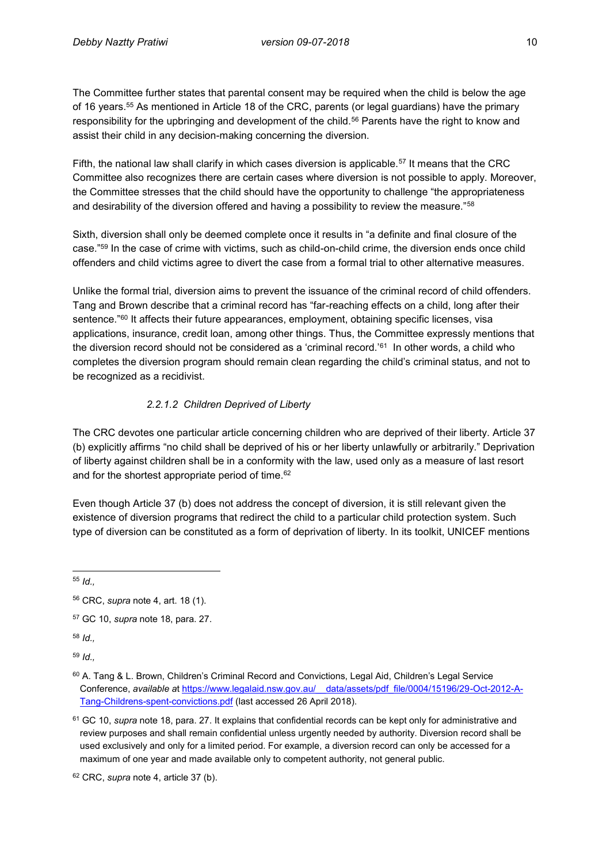The Committee further states that parental consent may be required when the child is below the age of 16 years.<sup>55</sup> As mentioned in Article 18 of the CRC, parents (or legal guardians) have the primary responsibility for the upbringing and development of the child.<sup>56</sup> Parents have the right to know and assist their child in any decision-making concerning the diversion.

Fifth, the national law shall clarify in which cases diversion is applicable.<sup>57</sup> It means that the CRC Committee also recognizes there are certain cases where diversion is not possible to apply. Moreover, the Committee stresses that the child should have the opportunity to challenge "the appropriateness and desirability of the diversion offered and having a possibility to review the measure."<sup>58</sup>

Sixth, diversion shall only be deemed complete once it results in "a definite and final closure of the case."<sup>59</sup> In the case of crime with victims, such as child-on-child crime, the diversion ends once child offenders and child victims agree to divert the case from a formal trial to other alternative measures.

Unlike the formal trial, diversion aims to prevent the issuance of the criminal record of child offenders. Tang and Brown describe that a criminal record has "far-reaching effects on a child, long after their sentence."<sup>60</sup> It affects their future appearances, employment, obtaining specific licenses, visa applications, insurance, credit loan, among other things. Thus, the Committee expressly mentions that the diversion record should not be considered as a 'criminal record.'<sup>61</sup> In other words, a child who completes the diversion program should remain clean regarding the child's criminal status, and not to be recognized as a recidivist.

# *2.2.1.2 Children Deprived of Liberty*

The CRC devotes one particular article concerning children who are deprived of their liberty. Article 37 (b) explicitly affirms "no child shall be deprived of his or her liberty unlawfully or arbitrarily." Deprivation of liberty against children shall be in a conformity with the law, used only as a measure of last resort and for the shortest appropriate period of time.<sup>62</sup>

Even though Article 37 (b) does not address the concept of diversion, it is still relevant given the existence of diversion programs that redirect the child to a particular child protection system. Such type of diversion can be constituted as a form of deprivation of liberty. In its toolkit, UNICEF mentions

 $\overline{a}$ <sup>55</sup> *Id.,*

<sup>58</sup> *Id.,*

<sup>59</sup> *Id.,*

<sup>56</sup> CRC, *supra* note 4, art. 18 (1).

<sup>57</sup> GC 10, *supra* note 18, para. 27.

<sup>&</sup>lt;sup>60</sup> A. Tang & L. Brown, Children's Criminal Record and Convictions, Legal Aid, Children's Legal Service Conference, *available a*[t https://www.legalaid.nsw.gov.au/\\_\\_data/assets/pdf\\_file/0004/15196/29-Oct-2012-A-](https://www.legalaid.nsw.gov.au/__data/assets/pdf_file/0004/15196/29-Oct-2012-A-Tang-Childrens-spent-convictions.pdf)[Tang-Childrens-spent-convictions.pdf](https://www.legalaid.nsw.gov.au/__data/assets/pdf_file/0004/15196/29-Oct-2012-A-Tang-Childrens-spent-convictions.pdf) (last accessed 26 April 2018).

<sup>61</sup> GC 10, *supra* note 18, para. 27. It explains that confidential records can be kept only for administrative and review purposes and shall remain confidential unless urgently needed by authority. Diversion record shall be used exclusively and only for a limited period. For example, a diversion record can only be accessed for a maximum of one year and made available only to competent authority, not general public.

<sup>62</sup> CRC, *supra* note 4, article 37 (b).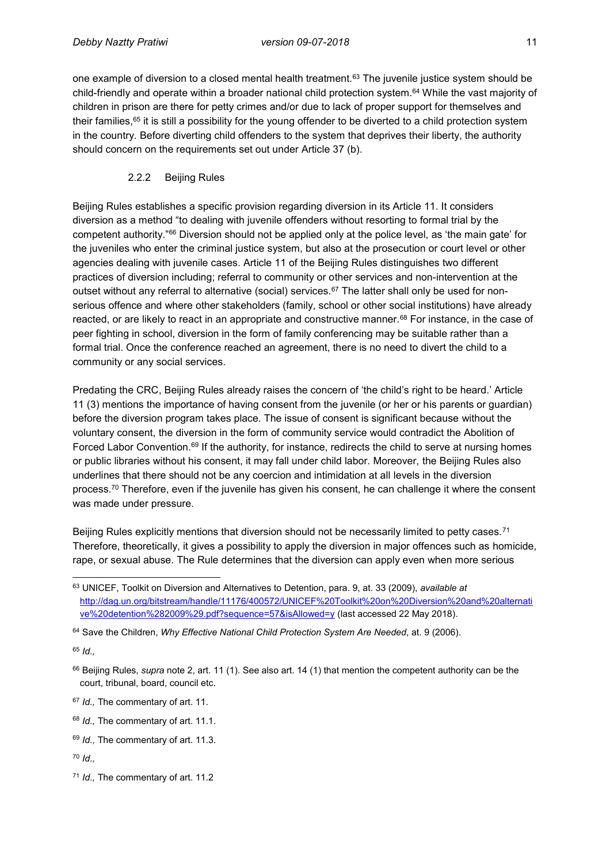one example of diversion to a closed mental health treatment.<sup>63</sup> The juvenile justice system should be child-friendly and operate within a broader national child protection system.<sup>64</sup> While the vast majority of children in prison are there for petty crimes and/or due to lack of proper support for themselves and their families,<sup>65</sup> it is still a possibility for the young offender to be diverted to a child protection system in the country. Before diverting child offenders to the system that deprives their liberty, the authority should concern on the requirements set out under Article 37 (b).

#### 2.2.2 Beijing Rules

Beijing Rules establishes a specific provision regarding diversion in its Article 11. It considers diversion as a method "to dealing with juvenile offenders without resorting to formal trial by the competent authority."<sup>66</sup> Diversion should not be applied only at the police level, as 'the main gate' for the juveniles who enter the criminal justice system, but also at the prosecution or court level or other agencies dealing with juvenile cases. Article 11 of the Beijing Rules distinguishes two different practices of diversion including; referral to community or other services and non-intervention at the outset without any referral to alternative (social) services.<sup>67</sup> The latter shall only be used for nonserious offence and where other stakeholders (family, school or other social institutions) have already reacted, or are likely to react in an appropriate and constructive manner.<sup>68</sup> For instance, in the case of peer fighting in school, diversion in the form of family conferencing may be suitable rather than a formal trial. Once the conference reached an agreement, there is no need to divert the child to a community or any social services.

Predating the CRC, Beijing Rules already raises the concern of 'the child's right to be heard.' Article 11 (3) mentions the importance of having consent from the juvenile (or her or his parents or guardian) before the diversion program takes place. The issue of consent is significant because without the voluntary consent, the diversion in the form of community service would contradict the Abolition of Forced Labor Convention.<sup>69</sup> If the authority, for instance, redirects the child to serve at nursing homes or public libraries without his consent, it may fall under child labor. Moreover, the Beijing Rules also underlines that there should not be any coercion and intimidation at all levels in the diversion process.<sup>70</sup> Therefore, even if the juvenile has given his consent, he can challenge it where the consent was made under pressure.

Beijing Rules explicitly mentions that diversion should not be necessarily limited to petty cases.<sup>71</sup> Therefore, theoretically, it gives a possibility to apply the diversion in major offences such as homicide, rape, or sexual abuse. The Rule determines that the diversion can apply even when more serious

<sup>65</sup> *Id.,*

 $\overline{a}$ <sup>63</sup> UNICEF, Toolkit on Diversion and Alternatives to Detention, para. 9, at. 33 (2009), *available at* [http://dag.un.org/bitstream/handle/11176/400572/UNICEF%20Toolkit%20on%20Diversion%20and%20alternati](http://dag.un.org/bitstream/handle/11176/400572/UNICEF%20Toolkit%20on%20Diversion%20and%20alternative%20detention%282009%29.pdf?sequence=57&isAllowed=y) [ve%20detention%282009%29.pdf?sequence=57&isAllowed=y](http://dag.un.org/bitstream/handle/11176/400572/UNICEF%20Toolkit%20on%20Diversion%20and%20alternative%20detention%282009%29.pdf?sequence=57&isAllowed=y) (last accessed 22 May 2018).

<sup>64</sup> Save the Children, *Why Effective National Child Protection System Are Needed*, at. 9 (2006).

<sup>66</sup> Beijing Rules, *supra* note 2, art. 11 (1). See also art. 14 (1) that mention the competent authority can be the court, tribunal, board, council etc.

<sup>67</sup> *Id.,* The commentary of art. 11.

<sup>68</sup> *Id.,* The commentary of art. 11.1.

<sup>69</sup> *Id.,* The commentary of art. 11.3.

<sup>70</sup> *Id.,*

<sup>71</sup> *Id.,* The commentary of art. 11.2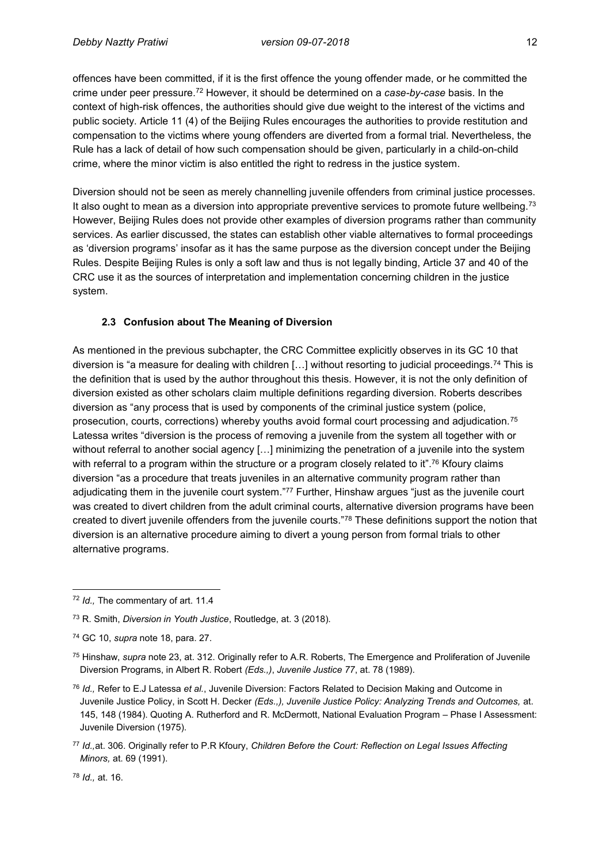offences have been committed, if it is the first offence the young offender made, or he committed the crime under peer pressure.<sup>72</sup> However, it should be determined on a *case-by-case* basis. In the context of high-risk offences, the authorities should give due weight to the interest of the victims and public society. Article 11 (4) of the Beijing Rules encourages the authorities to provide restitution and compensation to the victims where young offenders are diverted from a formal trial. Nevertheless, the Rule has a lack of detail of how such compensation should be given, particularly in a child-on-child crime, where the minor victim is also entitled the right to redress in the justice system.

Diversion should not be seen as merely channelling juvenile offenders from criminal justice processes. It also ought to mean as a diversion into appropriate preventive services to promote future wellbeing.<sup>73</sup> However, Beijing Rules does not provide other examples of diversion programs rather than community services. As earlier discussed, the states can establish other viable alternatives to formal proceedings as 'diversion programs' insofar as it has the same purpose as the diversion concept under the Beijing Rules. Despite Beijing Rules is only a soft law and thus is not legally binding, Article 37 and 40 of the CRC use it as the sources of interpretation and implementation concerning children in the justice system.

### **2.3 Confusion about The Meaning of Diversion**

As mentioned in the previous subchapter, the CRC Committee explicitly observes in its GC 10 that diversion is "a measure for dealing with children [...] without resorting to judicial proceedings.<sup>74</sup> This is the definition that is used by the author throughout this thesis. However, it is not the only definition of diversion existed as other scholars claim multiple definitions regarding diversion. Roberts describes diversion as "any process that is used by components of the criminal justice system (police, prosecution, courts, corrections) whereby youths avoid formal court processing and adjudication.<sup>75</sup> Latessa writes "diversion is the process of removing a juvenile from the system all together with or without referral to another social agency [...] minimizing the penetration of a juvenile into the system with referral to a program within the structure or a program closely related to it".<sup>76</sup> Kfoury claims diversion "as a procedure that treats juveniles in an alternative community program rather than adjudicating them in the juvenile court system."<sup>77</sup> Further, Hinshaw argues "just as the juvenile court was created to divert children from the adult criminal courts, alternative diversion programs have been created to divert juvenile offenders from the juvenile courts."<sup>78</sup> These definitions support the notion that diversion is an alternative procedure aiming to divert a young person from formal trials to other alternative programs.

<sup>78</sup> *Id.,* at. 16.

 $\overline{a}$ 

<sup>72</sup> *Id.,* The commentary of art. 11.4

<sup>73</sup> R. Smith, *Diversion in Youth Justice*, Routledge, at. 3 (2018).

<sup>74</sup> GC 10, *supra* note 18, para. 27.

<sup>75</sup> Hinshaw, *supra* note 23, at. 312. Originally refer to A.R. Roberts, The Emergence and Proliferation of Juvenile Diversion Programs, in Albert R. Robert *(Eds.,)*, *Juvenile Justice 77*, at. 78 (1989).

<sup>76</sup> *Id.,* Refer to E.J Latessa *et al.*, Juvenile Diversion: Factors Related to Decision Making and Outcome in Juvenile Justice Policy, in Scott H. Decker *(Eds.,), Juvenile Justice Policy: Analyzing Trends and Outcomes,* at. 145, 148 (1984). Quoting A. Rutherford and R. McDermott, National Evaluation Program – Phase I Assessment: Juvenile Diversion (1975).

<sup>77</sup> *Id.,*at. 306. Originally refer to P.R Kfoury, *Children Before the Court: Reflection on Legal Issues Affecting Minors,* at. 69 (1991).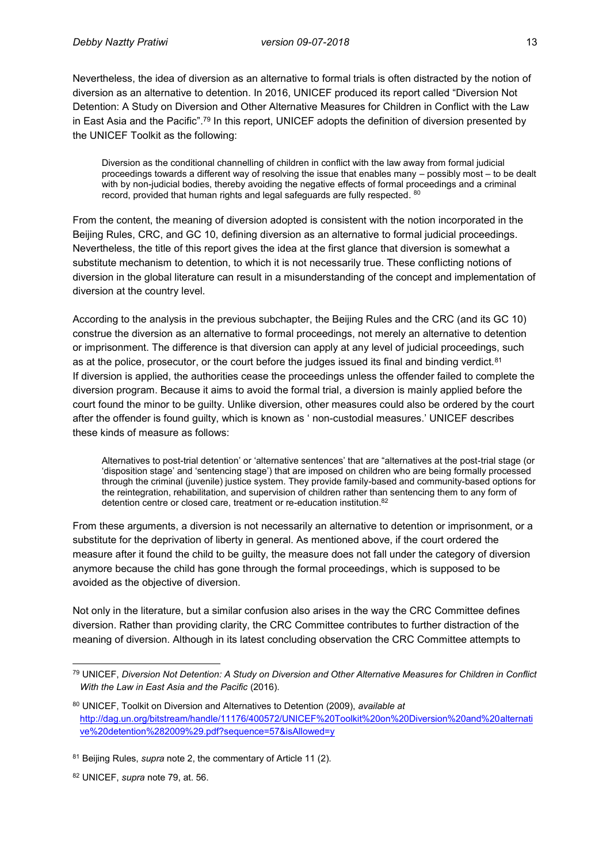Nevertheless, the idea of diversion as an alternative to formal trials is often distracted by the notion of diversion as an alternative to detention. In 2016, UNICEF produced its report called "Diversion Not Detention: A Study on Diversion and Other Alternative Measures for Children in Conflict with the Law in East Asia and the Pacific".<sup>79</sup> In this report, UNICEF adopts the definition of diversion presented by the UNICEF Toolkit as the following:

Diversion as the conditional channelling of children in conflict with the law away from formal judicial proceedings towards a different way of resolving the issue that enables many – possibly most – to be dealt with by non-judicial bodies, thereby avoiding the negative effects of formal proceedings and a criminal record, provided that human rights and legal safeguards are fully respected.  $^{\rm 80}$ 

From the content, the meaning of diversion adopted is consistent with the notion incorporated in the Beijing Rules, CRC, and GC 10, defining diversion as an alternative to formal judicial proceedings. Nevertheless, the title of this report gives the idea at the first glance that diversion is somewhat a substitute mechanism to detention, to which it is not necessarily true. These conflicting notions of diversion in the global literature can result in a misunderstanding of the concept and implementation of diversion at the country level.

According to the analysis in the previous subchapter, the Beijing Rules and the CRC (and its GC 10) construe the diversion as an alternative to formal proceedings, not merely an alternative to detention or imprisonment. The difference is that diversion can apply at any level of judicial proceedings, such as at the police, prosecutor, or the court before the judges issued its final and binding verdict.<sup>81</sup> If diversion is applied, the authorities cease the proceedings unless the offender failed to complete the diversion program. Because it aims to avoid the formal trial, a diversion is mainly applied before the court found the minor to be guilty. Unlike diversion, other measures could also be ordered by the court after the offender is found guilty, which is known as ' non-custodial measures.' UNICEF describes these kinds of measure as follows:

Alternatives to post-trial detention' or 'alternative sentences' that are "alternatives at the post-trial stage (or 'disposition stage' and 'sentencing stage') that are imposed on children who are being formally processed through the criminal (juvenile) justice system. They provide family-based and community-based options for the reintegration, rehabilitation, and supervision of children rather than sentencing them to any form of detention centre or closed care, treatment or re-education institution. 82

From these arguments, a diversion is not necessarily an alternative to detention or imprisonment, or a substitute for the deprivation of liberty in general. As mentioned above, if the court ordered the measure after it found the child to be guilty, the measure does not fall under the category of diversion anymore because the child has gone through the formal proceedings, which is supposed to be avoided as the objective of diversion.

Not only in the literature, but a similar confusion also arises in the way the CRC Committee defines diversion. Rather than providing clarity, the CRC Committee contributes to further distraction of the meaning of diversion. Although in its latest concluding observation the CRC Committee attempts to

<sup>82</sup> UNICEF, *supra* note 79, at. 56.

 $\overline{a}$ <sup>79</sup> UNICEF, *Diversion Not Detention: A Study on Diversion and Other Alternative Measures for Children in Conflict With the Law in East Asia and the Pacific* (2016).

<sup>80</sup> UNICEF, Toolkit on Diversion and Alternatives to Detention (2009), *available at* [http://dag.un.org/bitstream/handle/11176/400572/UNICEF%20Toolkit%20on%20Diversion%20and%20alternati](http://dag.un.org/bitstream/handle/11176/400572/UNICEF%20Toolkit%20on%20Diversion%20and%20alternative%20detention%282009%29.pdf?sequence=57&isAllowed=y) [ve%20detention%282009%29.pdf?sequence=57&isAllowed=y](http://dag.un.org/bitstream/handle/11176/400572/UNICEF%20Toolkit%20on%20Diversion%20and%20alternative%20detention%282009%29.pdf?sequence=57&isAllowed=y)

<sup>81</sup> Beijing Rules, *supra* note 2, the commentary of Article 11 (2).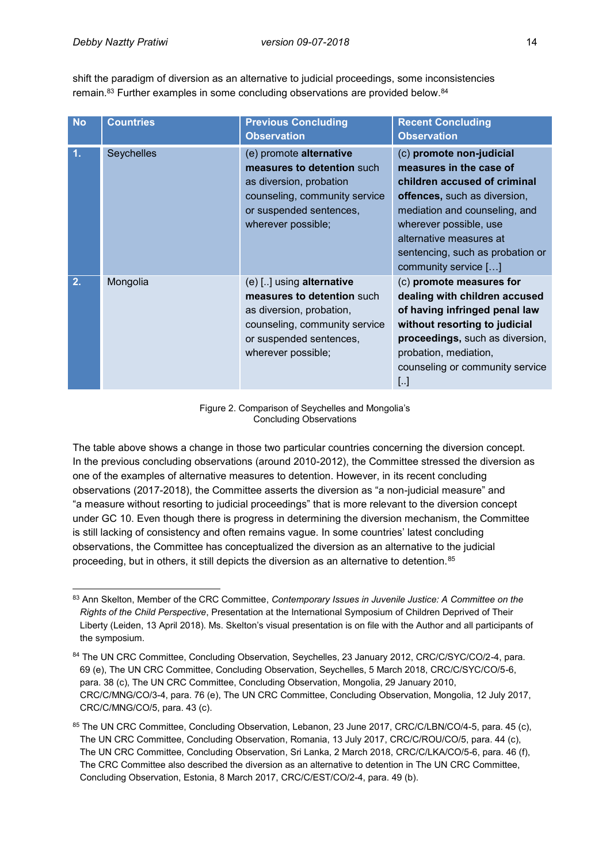shift the paradigm of diversion as an alternative to judicial proceedings, some inconsistencies remain.<sup>83</sup> Further examples in some concluding observations are provided below.<sup>84</sup>

| <b>No</b> | <b>Countries</b> | <b>Previous Concluding</b><br><b>Observation</b>                                                                                                                     | <b>Recent Concluding</b><br><b>Observation</b>                                                                                                                                                                                                                        |
|-----------|------------------|----------------------------------------------------------------------------------------------------------------------------------------------------------------------|-----------------------------------------------------------------------------------------------------------------------------------------------------------------------------------------------------------------------------------------------------------------------|
| 1.        | Seychelles       | (e) promote alternative<br>measures to detention such<br>as diversion, probation<br>counseling, community service<br>or suspended sentences,<br>wherever possible;   | (c) promote non-judicial<br>measures in the case of<br>children accused of criminal<br>offences, such as diversion,<br>mediation and counseling, and<br>wherever possible, use<br>alternative measures at<br>sentencing, such as probation or<br>community service [] |
| 2.        | Mongolia         | (e) [] using alternative<br>measures to detention such<br>as diversion, probation,<br>counseling, community service<br>or suspended sentences,<br>wherever possible; | (c) promote measures for<br>dealing with children accused<br>of having infringed penal law<br>without resorting to judicial<br>proceedings, such as diversion,<br>probation, mediation,<br>counseling or community service<br>$\left[ \ldots \right]$                 |

Figure 2. Comparison of Seychelles and Mongolia's Concluding Observations

The table above shows a change in those two particular countries concerning the diversion concept. In the previous concluding observations (around 2010-2012), the Committee stressed the diversion as one of the examples of alternative measures to detention. However, in its recent concluding observations (2017-2018), the Committee asserts the diversion as "a non-judicial measure" and "a measure without resorting to judicial proceedings" that is more relevant to the diversion concept under GC 10. Even though there is progress in determining the diversion mechanism, the Committee is still lacking of consistency and often remains vague. In some countries' latest concluding observations, the Committee has conceptualized the diversion as an alternative to the judicial proceeding, but in others, it still depicts the diversion as an alternative to detention.<sup>85</sup>

 $\overline{a}$ <sup>83</sup> Ann Skelton, Member of the CRC Committee, *Contemporary Issues in Juvenile Justice: A Committee on the Rights of the Child Perspective*, Presentation at the International Symposium of Children Deprived of Their Liberty (Leiden, 13 April 2018). Ms. Skelton's visual presentation is on file with the Author and all participants of the symposium.

<sup>84</sup> The UN CRC Committee, Concluding Observation, Seychelles, 23 January 2012, CRC/C/SYC/CO/2-4, para. 69 (e), The UN CRC Committee, Concluding Observation, Seychelles, 5 March 2018, CRC/C/SYC/CO/5-6, para. 38 (c), The UN CRC Committee, Concluding Observation, Mongolia, 29 January 2010, CRC/C/MNG/CO/3-4, para. 76 (e), The UN CRC Committee, Concluding Observation, Mongolia, 12 July 2017, CRC/C/MNG/CO/5, para. 43 (c).

<sup>85</sup> The UN CRC Committee, Concluding Observation, Lebanon, 23 June 2017, CRC/C/LBN/CO/4-5, para. 45 (c), The UN CRC Committee, Concluding Observation, Romania, 13 July 2017, CRC/C/ROU/CO/5, para. 44 (c), The UN CRC Committee, Concluding Observation, Sri Lanka, 2 March 2018, CRC/C/LKA/CO/5-6, para. 46 (f), The CRC Committee also described the diversion as an alternative to detention in The UN CRC Committee, Concluding Observation, Estonia, 8 March 2017, CRC/C/EST/CO/2-4, para. 49 (b).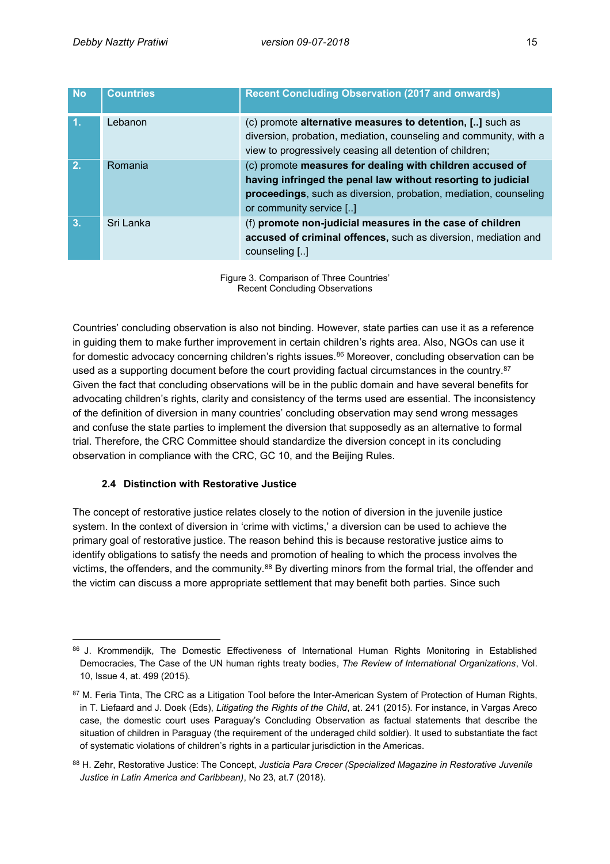| <b>No</b>      | <b>Countries</b> | <b>Recent Concluding Observation (2017 and onwards)</b>                                                                                                                                                                  |
|----------------|------------------|--------------------------------------------------------------------------------------------------------------------------------------------------------------------------------------------------------------------------|
| $\mathbf{1}$ . | Lebanon          | (c) promote alternative measures to detention, [] such as<br>diversion, probation, mediation, counseling and community, with a<br>view to progressively ceasing all detention of children;                               |
| 2.             | Romania          | (c) promote measures for dealing with children accused of<br>having infringed the penal law without resorting to judicial<br>proceedings, such as diversion, probation, mediation, counseling<br>or community service [] |
| 3.             | Sri Lanka        | (f) promote non-judicial measures in the case of children<br>accused of criminal offences, such as diversion, mediation and<br>counseling []                                                                             |

Figure 3. Comparison of Three Countries' Recent Concluding Observations

Countries' concluding observation is also not binding. However, state parties can use it as a reference in guiding them to make further improvement in certain children's rights area. Also, NGOs can use it for domestic advocacy concerning children's rights issues.<sup>86</sup> Moreover, concluding observation can be used as a supporting document before the court providing factual circumstances in the country.<sup>87</sup> Given the fact that concluding observations will be in the public domain and have several benefits for advocating children's rights, clarity and consistency of the terms used are essential. The inconsistency of the definition of diversion in many countries' concluding observation may send wrong messages and confuse the state parties to implement the diversion that supposedly as an alternative to formal trial. Therefore, the CRC Committee should standardize the diversion concept in its concluding observation in compliance with the CRC, GC 10, and the Beijing Rules.

# **2.4 Distinction with Restorative Justice**

The concept of restorative justice relates closely to the notion of diversion in the juvenile justice system. In the context of diversion in 'crime with victims,' a diversion can be used to achieve the primary goal of restorative justice. The reason behind this is because restorative justice aims to identify obligations to satisfy the needs and promotion of healing to which the process involves the victims, the offenders, and the community.<sup>88</sup> By diverting minors from the formal trial, the offender and the victim can discuss a more appropriate settlement that may benefit both parties. Since such

 $\overline{a}$ 86 J. Krommendijk, The Domestic Effectiveness of International Human Rights Monitoring in Established Democracies, The Case of the UN human rights treaty bodies, *The Review of International Organizations*, Vol. 10, Issue 4, at. 499 (2015).

<sup>87</sup> M. Feria Tinta, The CRC as a Litigation Tool before the Inter-American System of Protection of Human Rights, in T. Liefaard and J. Doek (Eds), *Litigating the Rights of the Child*, at. 241 (2015). For instance, in Vargas Areco case, the domestic court uses Paraguay's Concluding Observation as factual statements that describe the situation of children in Paraguay (the requirement of the underaged child soldier). It used to substantiate the fact of systematic violations of children's rights in a particular jurisdiction in the Americas.

<sup>88</sup> H. Zehr, Restorative Justice: The Concept, *Justicia Para Crecer (Specialized Magazine in Restorative Juvenile Justice in Latin America and Caribbean)*, No 23, at.7 (2018).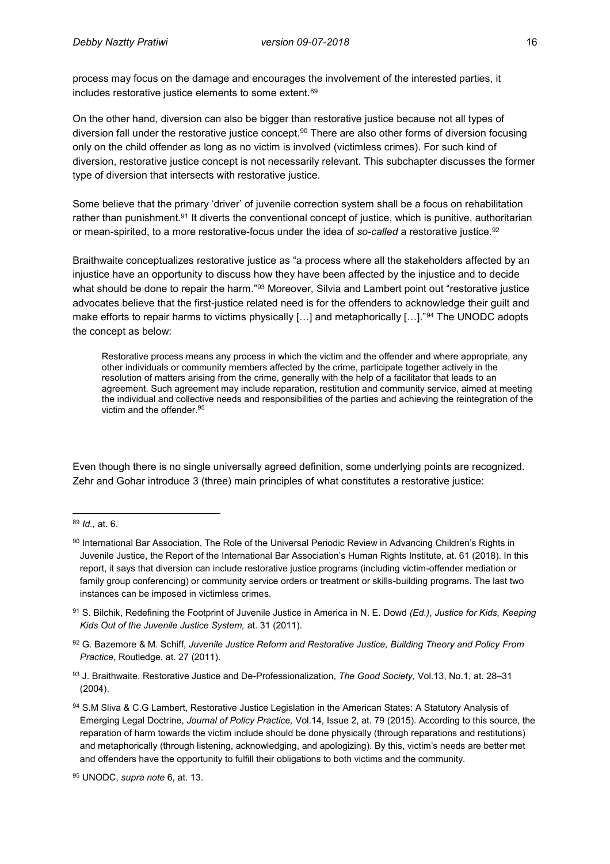process may focus on the damage and encourages the involvement of the interested parties, it includes restorative justice elements to some extent.<sup>89</sup>

On the other hand, diversion can also be bigger than restorative justice because not all types of diversion fall under the restorative justice concept.<sup>90</sup> There are also other forms of diversion focusing only on the child offender as long as no victim is involved (victimless crimes). For such kind of diversion, restorative justice concept is not necessarily relevant. This subchapter discusses the former type of diversion that intersects with restorative justice.

Some believe that the primary 'driver' of juvenile correction system shall be a focus on rehabilitation rather than punishment.<sup>91</sup> It diverts the conventional concept of justice, which is punitive, authoritarian or mean-spirited, to a more restorative-focus under the idea of *so-called* a restorative justice.<sup>92</sup>

Braithwaite conceptualizes restorative justice as "a process where all the stakeholders affected by an injustice have an opportunity to discuss how they have been affected by the injustice and to decide what should be done to repair the harm."<sup>93</sup> Moreover, Silvia and Lambert point out "restorative justice advocates believe that the first-justice related need is for the offenders to acknowledge their guilt and make efforts to repair harms to victims physically [...] and metaphorically [...]."<sup>94</sup> The UNODC adopts the concept as below:

Restorative process means any process in which the victim and the offender and where appropriate, any other individuals or community members affected by the crime, participate together actively in the resolution of matters arising from the crime, generally with the help of a facilitator that leads to an agreement. Such agreement may include reparation, restitution and community service, aimed at meeting the individual and collective needs and responsibilities of the parties and achieving the reintegration of the victim and the offender. 95

Even though there is no single universally agreed definition, some underlying points are recognized. Zehr and Gohar introduce 3 (three) main principles of what constitutes a restorative justice:

- <sup>92</sup> G. Bazemore & M. Schiff*, Juvenile Justice Reform and Restorative Justice, Building Theory and Policy From Practice*, Routledge, at. 27 (2011).
- <sup>93</sup> J. Braithwaite, Restorative Justice and De-Professionalization, *The Good Society,* Vol.13, No.1, at. 28–31 (2004).
- 94 S.M Sliva & C.G Lambert, Restorative Justice Legislation in the American States: A Statutory Analysis of Emerging Legal Doctrine, *Journal of Policy Practice,* Vol.14, Issue 2, at. 79 (2015). According to this source, the reparation of harm towards the victim include should be done physically (through reparations and restitutions) and metaphorically (through listening, acknowledging, and apologizing). By this, victim's needs are better met and offenders have the opportunity to fulfill their obligations to both victims and the community.

 $\overline{a}$ <sup>89</sup> *Id.,* at. 6.

<sup>90</sup> International Bar Association, The Role of the Universal Periodic Review in Advancing Children's Rights in Juvenile Justice, the Report of the International Bar Association's Human Rights Institute, at. 61 (2018). In this report, it says that diversion can include restorative justice programs (including victim-offender mediation or family group conferencing) or community service orders or treatment or skills-building programs. The last two instances can be imposed in victimless crimes.

<sup>91</sup> S. Bilchik, Redefining the Footprint of Juvenile Justice in America in N. E. Dowd *(Ed.)*, *Justice for Kids, Keeping Kids Out of the Juvenile Justice System,* at. 31 (2011).

<sup>95</sup> UNODC, *supra note* 6, at. 13.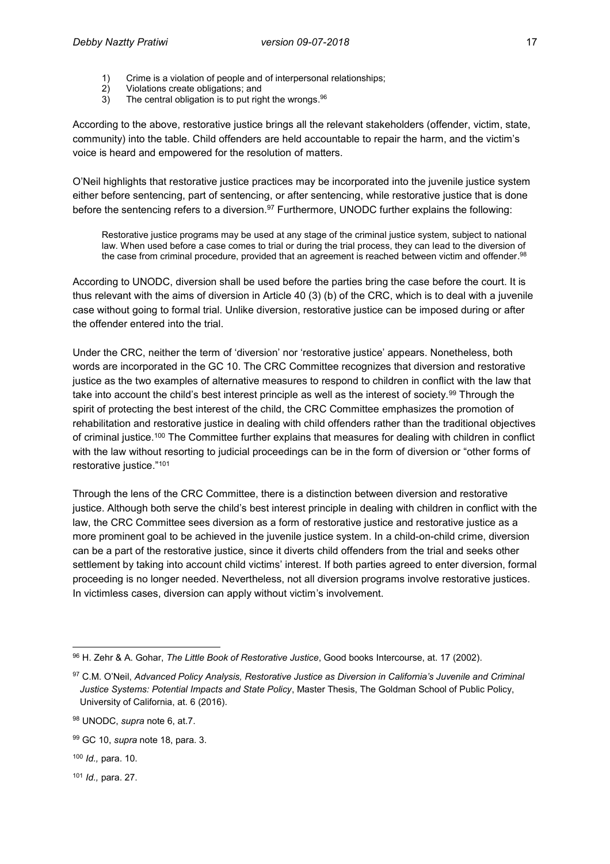- 1) Crime is a violation of people and of interpersonal relationships;
- 2) Violations create obligations; and<br>3) The central obligation is to put rig
- 3) The central obligation is to put right the wrongs.<sup>96</sup>

According to the above, restorative justice brings all the relevant stakeholders (offender, victim, state, community) into the table. Child offenders are held accountable to repair the harm, and the victim's voice is heard and empowered for the resolution of matters.

O'Neil highlights that restorative justice practices may be incorporated into the juvenile justice system either before sentencing, part of sentencing, or after sentencing, while restorative justice that is done before the sentencing refers to a diversion.<sup>97</sup> Furthermore, UNODC further explains the following:

Restorative justice programs may be used at any stage of the criminal justice system, subject to national law. When used before a case comes to trial or during the trial process, they can lead to the diversion of the case from criminal procedure, provided that an agreement is reached between victim and offender. 98

According to UNODC, diversion shall be used before the parties bring the case before the court. It is thus relevant with the aims of diversion in Article 40 (3) (b) of the CRC, which is to deal with a juvenile case without going to formal trial. Unlike diversion, restorative justice can be imposed during or after the offender entered into the trial.

Under the CRC, neither the term of 'diversion' nor 'restorative justice' appears. Nonetheless, both words are incorporated in the GC 10. The CRC Committee recognizes that diversion and restorative justice as the two examples of alternative measures to respond to children in conflict with the law that take into account the child's best interest principle as well as the interest of society.<sup>99</sup> Through the spirit of protecting the best interest of the child, the CRC Committee emphasizes the promotion of rehabilitation and restorative justice in dealing with child offenders rather than the traditional objectives of criminal justice.<sup>100</sup> The Committee further explains that measures for dealing with children in conflict with the law without resorting to judicial proceedings can be in the form of diversion or "other forms of restorative justice."<sup>101</sup>

Through the lens of the CRC Committee, there is a distinction between diversion and restorative justice. Although both serve the child's best interest principle in dealing with children in conflict with the law, the CRC Committee sees diversion as a form of restorative justice and restorative justice as a more prominent goal to be achieved in the juvenile justice system. In a child-on-child crime, diversion can be a part of the restorative justice, since it diverts child offenders from the trial and seeks other settlement by taking into account child victims' interest. If both parties agreed to enter diversion, formal proceeding is no longer needed. Nevertheless, not all diversion programs involve restorative justices. In victimless cases, diversion can apply without victim's involvement.

 $\overline{\phantom{a}}$ 

<sup>101</sup> *Id.,* para. 27.

<sup>96</sup> H. Zehr & A. Gohar, *The Little Book of Restorative Justice*, Good books Intercourse, at. 17 (2002).

<sup>97</sup> C.M. O'Neil, *Advanced Policy Analysis, Restorative Justice as Diversion in California's Juvenile and Criminal Justice Systems: Potential Impacts and State Policy*, Master Thesis, The Goldman School of Public Policy, University of California, at. 6 (2016).

<sup>98</sup> UNODC, *supra* note 6, at.7.

<sup>99</sup> GC 10, *supra* note 18, para. 3.

<sup>100</sup> *Id.,* para. 10.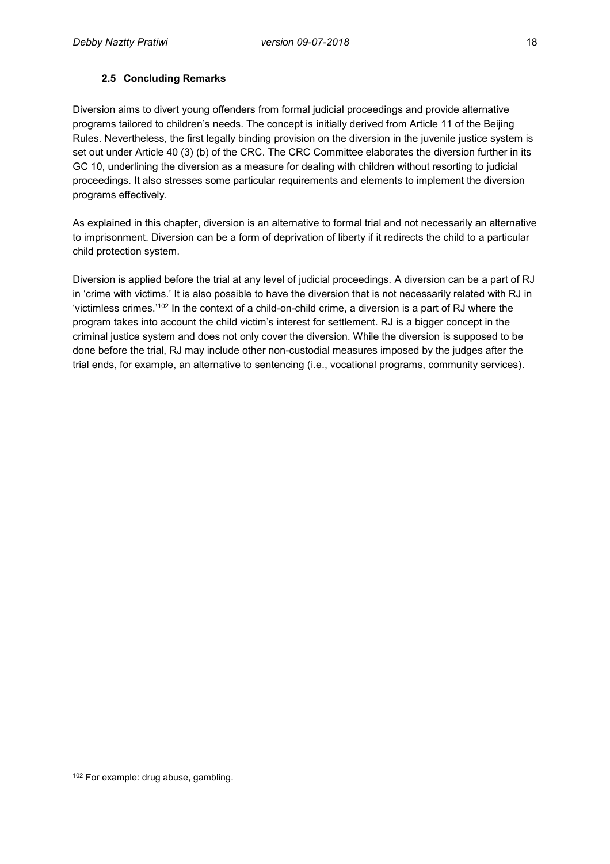### **2.5 Concluding Remarks**

Diversion aims to divert young offenders from formal judicial proceedings and provide alternative programs tailored to children's needs. The concept is initially derived from Article 11 of the Beijing Rules. Nevertheless, the first legally binding provision on the diversion in the juvenile justice system is set out under Article 40 (3) (b) of the CRC. The CRC Committee elaborates the diversion further in its GC 10, underlining the diversion as a measure for dealing with children without resorting to judicial proceedings. It also stresses some particular requirements and elements to implement the diversion programs effectively.

As explained in this chapter, diversion is an alternative to formal trial and not necessarily an alternative to imprisonment. Diversion can be a form of deprivation of liberty if it redirects the child to a particular child protection system.

Diversion is applied before the trial at any level of judicial proceedings. A diversion can be a part of RJ in 'crime with victims.' It is also possible to have the diversion that is not necessarily related with RJ in 'victimless crimes.'<sup>102</sup> In the context of a child-on-child crime, a diversion is a part of RJ where the program takes into account the child victim's interest for settlement. RJ is a bigger concept in the criminal justice system and does not only cover the diversion. While the diversion is supposed to be done before the trial, RJ may include other non-custodial measures imposed by the judges after the trial ends, for example, an alternative to sentencing (i.e., vocational programs, community services).

 $\overline{\phantom{a}}$ 

<sup>102</sup> For example: drug abuse, gambling.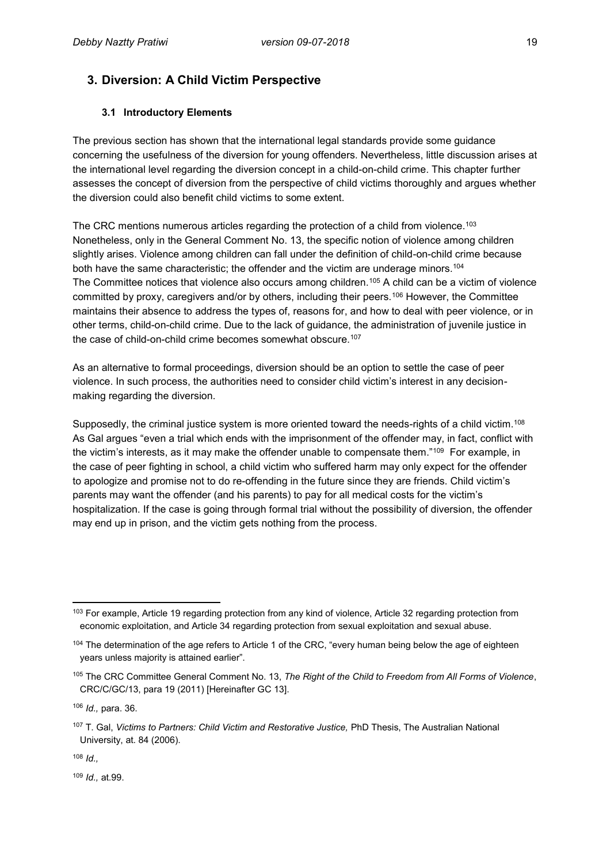# **3. Diversion: A Child Victim Perspective**

### **3.1 Introductory Elements**

The previous section has shown that the international legal standards provide some guidance concerning the usefulness of the diversion for young offenders. Nevertheless, little discussion arises at the international level regarding the diversion concept in a child-on-child crime. This chapter further assesses the concept of diversion from the perspective of child victims thoroughly and argues whether the diversion could also benefit child victims to some extent.

The CRC mentions numerous articles regarding the protection of a child from violence. $^{103}$ Nonetheless, only in the General Comment No. 13, the specific notion of violence among children slightly arises. Violence among children can fall under the definition of child-on-child crime because both have the same characteristic; the offender and the victim are underage minors.<sup>104</sup> The Committee notices that violence also occurs among children.<sup>105</sup> A child can be a victim of violence committed by proxy, caregivers and/or by others, including their peers.<sup>106</sup> However, the Committee maintains their absence to address the types of, reasons for, and how to deal with peer violence, or in other terms, child-on-child crime. Due to the lack of guidance, the administration of juvenile justice in the case of child-on-child crime becomes somewhat obscure.<sup>107</sup>

As an alternative to formal proceedings, diversion should be an option to settle the case of peer violence. In such process, the authorities need to consider child victim's interest in any decisionmaking regarding the diversion.

Supposedly, the criminal justice system is more oriented toward the needs-rights of a child victim.<sup>108</sup> As Gal argues "even a trial which ends with the imprisonment of the offender may, in fact, conflict with the victim's interests, as it may make the offender unable to compensate them."<sup>109</sup> For example, in the case of peer fighting in school, a child victim who suffered harm may only expect for the offender to apologize and promise not to do re-offending in the future since they are friends. Child victim's parents may want the offender (and his parents) to pay for all medical costs for the victim's hospitalization. If the case is going through formal trial without the possibility of diversion, the offender may end up in prison, and the victim gets nothing from the process.

<sup>108</sup> *Id.,*

<sup>109</sup> *Id.,* at.99.

 $\overline{a}$ <sup>103</sup> For example, Article 19 regarding protection from any kind of violence, Article 32 regarding protection from economic exploitation, and Article 34 regarding protection from sexual exploitation and sexual abuse.

<sup>104</sup> The determination of the age refers to Article 1 of the CRC, "every human being below the age of eighteen years unless majority is attained earlier".

<sup>105</sup> The CRC Committee General Comment No. 13, *The Right of the Child to Freedom from All Forms of Violence*, CRC/C/GC/13, para 19 (2011) [Hereinafter GC 13].

<sup>106</sup> *Id.,* para. 36.

<sup>107</sup> T. Gal, *Victims to Partners: Child Victim and Restorative Justice,* PhD Thesis, The Australian National University, at. 84 (2006).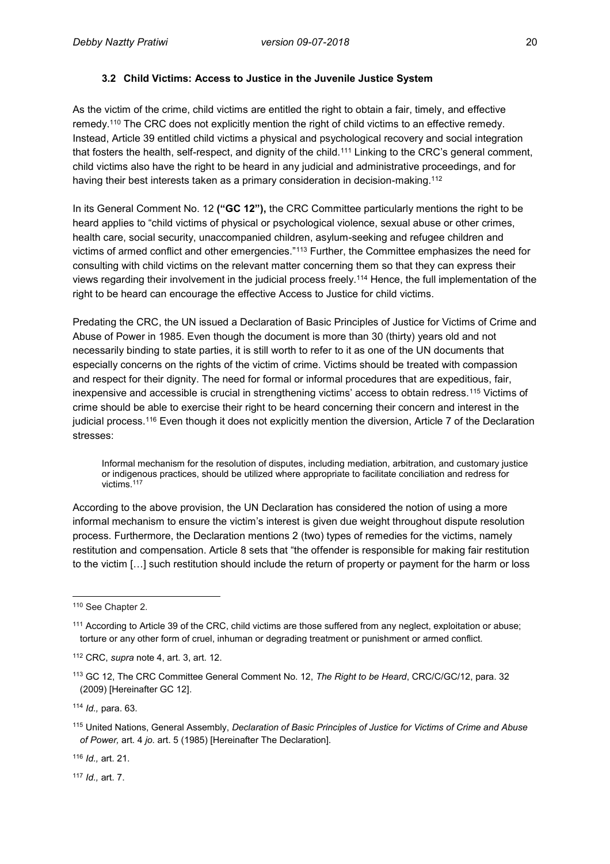#### **3.2 Child Victims: Access to Justice in the Juvenile Justice System**

As the victim of the crime, child victims are entitled the right to obtain a fair, timely, and effective remedy.<sup>110</sup> The CRC does not explicitly mention the right of child victims to an effective remedy. Instead, Article 39 entitled child victims a physical and psychological recovery and social integration that fosters the health, self-respect, and dignity of the child.<sup>111</sup> Linking to the CRC's general comment, child victims also have the right to be heard in any judicial and administrative proceedings, and for having their best interests taken as a primary consideration in decision-making.<sup>112</sup>

In its General Comment No. 12 **("GC 12"),** the CRC Committee particularly mentions the right to be heard applies to "child victims of physical or psychological violence, sexual abuse or other crimes, health care, social security, unaccompanied children, asylum-seeking and refugee children and victims of armed conflict and other emergencies."<sup>113</sup> Further, the Committee emphasizes the need for consulting with child victims on the relevant matter concerning them so that they can express their views regarding their involvement in the judicial process freely.<sup>114</sup> Hence, the full implementation of the right to be heard can encourage the effective Access to Justice for child victims.

Predating the CRC, the UN issued a Declaration of Basic Principles of Justice for Victims of Crime and Abuse of Power in 1985. Even though the document is more than 30 (thirty) years old and not necessarily binding to state parties, it is still worth to refer to it as one of the UN documents that especially concerns on the rights of the victim of crime. Victims should be treated with compassion and respect for their dignity. The need for formal or informal procedures that are expeditious, fair, inexpensive and accessible is crucial in strengthening victims' access to obtain redress.<sup>115</sup> Victims of crime should be able to exercise their right to be heard concerning their concern and interest in the judicial process.<sup>116</sup> Even though it does not explicitly mention the diversion, Article 7 of the Declaration stresses:

Informal mechanism for the resolution of disputes, including mediation, arbitration, and customary justice or indigenous practices, should be utilized where appropriate to facilitate conciliation and redress for victims. 117

According to the above provision, the UN Declaration has considered the notion of using a more informal mechanism to ensure the victim's interest is given due weight throughout dispute resolution process. Furthermore, the Declaration mentions 2 (two) types of remedies for the victims, namely restitution and compensation. Article 8 sets that "the offender is responsible for making fair restitution to the victim […] such restitution should include the return of property or payment for the harm or loss

<sup>116</sup> *Id.,* art. 21.

<sup>117</sup> *Id.,* art. 7.

 $\overline{a}$ <sup>110</sup> See Chapter 2.

<sup>111</sup> According to Article 39 of the CRC, child victims are those suffered from any neglect, exploitation or abuse; torture or any other form of cruel, inhuman or degrading treatment or punishment or armed conflict.

<sup>112</sup> CRC, *supra* note 4, art. 3, art. 12.

<sup>113</sup> GC 12, The CRC Committee General Comment No. 12, *The Right to be Heard*, CRC/C/GC/12, para. 32 (2009) [Hereinafter GC 12].

<sup>114</sup> *Id.,* para. 63.

<sup>115</sup> United Nations, General Assembly, *Declaration of Basic Principles of Justice for Victims of Crime and Abuse of Power,* art. 4 *jo.* art. 5 (1985) [Hereinafter The Declaration].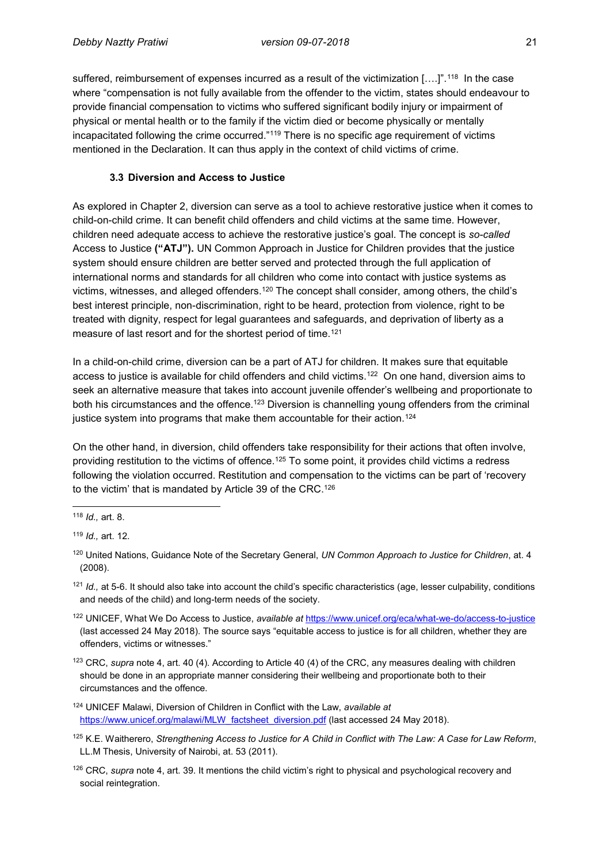suffered, reimbursement of expenses incurred as a result of the victimization [….]".<sup>118</sup> In the case where "compensation is not fully available from the offender to the victim, states should endeavour to provide financial compensation to victims who suffered significant bodily injury or impairment of physical or mental health or to the family if the victim died or become physically or mentally incapacitated following the crime occurred."<sup>119</sup> There is no specific age requirement of victims mentioned in the Declaration. It can thus apply in the context of child victims of crime.

#### **3.3 Diversion and Access to Justice**

As explored in Chapter 2, diversion can serve as a tool to achieve restorative justice when it comes to child-on-child crime. It can benefit child offenders and child victims at the same time. However, children need adequate access to achieve the restorative justice's goal. The concept is *so-called*  Access to Justice **("ATJ").** UN Common Approach in Justice for Children provides that the justice system should ensure children are better served and protected through the full application of international norms and standards for all children who come into contact with justice systems as victims, witnesses, and alleged offenders.<sup>120</sup> The concept shall consider, among others, the child's best interest principle, non-discrimination, right to be heard, protection from violence, right to be treated with dignity, respect for legal guarantees and safeguards, and deprivation of liberty as a measure of last resort and for the shortest period of time.<sup>121</sup>

In a child-on-child crime, diversion can be a part of ATJ for children. It makes sure that equitable access to justice is available for child offenders and child victims.<sup>122</sup> On one hand, diversion aims to seek an alternative measure that takes into account juvenile offender's wellbeing and proportionate to both his circumstances and the offence.<sup>123</sup> Diversion is channelling young offenders from the criminal justice system into programs that make them accountable for their action.<sup>124</sup>

On the other hand, in diversion, child offenders take responsibility for their actions that often involve, providing restitution to the victims of offence.<sup>125</sup> To some point, it provides child victims a redress following the violation occurred. Restitution and compensation to the victims can be part of 'recovery to the victim' that is mandated by Article 39 of the CRC.<sup>126</sup>

<sup>122</sup> UNICEF, What We Do Access to Justice, *available at* <https://www.unicef.org/eca/what-we-do/access-to-justice> (last accessed 24 May 2018). The source says "equitable access to justice is for all children, whether they are offenders, victims or witnesses."

<sup>123</sup> CRC, *supra* note 4, art. 40 (4). According to Article 40 (4) of the CRC, any measures dealing with children should be done in an appropriate manner considering their wellbeing and proportionate both to their circumstances and the offence.

- <sup>124</sup> UNICEF Malawi, Diversion of Children in Conflict with the Law, *available at* [https://www.unicef.org/malawi/MLW\\_factsheet\\_diversion.pdf](https://www.unicef.org/malawi/MLW_factsheet_diversion.pdf) (last accessed 24 May 2018).
- <sup>125</sup> K.E. Waitherero, *Strengthening Access to Justice for A Child in Conflict with The Law: A Case for Law Reform*, LL.M Thesis, University of Nairobi, at. 53 (2011).

 $\overline{a}$ <sup>118</sup> *Id.,* art. 8.

<sup>119</sup> *Id.,* art. 12.

<sup>120</sup> United Nations, Guidance Note of the Secretary General, *UN Common Approach to Justice for Children*, at. 4 (2008).

<sup>&</sup>lt;sup>121</sup> *Id.*, at 5-6. It should also take into account the child's specific characteristics (age, lesser culpability, conditions and needs of the child) and long-term needs of the society.

<sup>126</sup> CRC, *supra* note 4, art. 39. It mentions the child victim's right to physical and psychological recovery and social reintegration.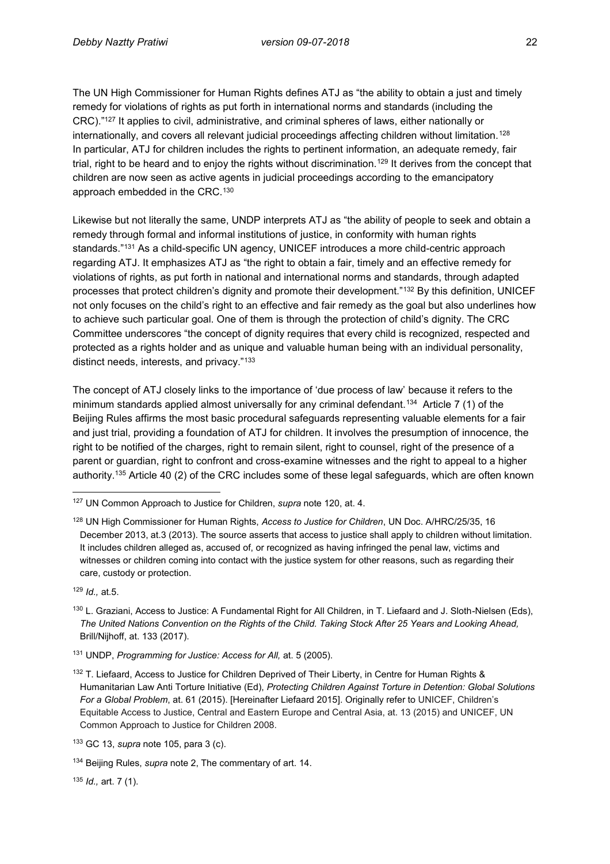The UN High Commissioner for Human Rights defines ATJ as "the ability to obtain a just and timely remedy for violations of rights as put forth in international norms and standards (including the CRC)."<sup>127</sup> It applies to civil, administrative, and criminal spheres of laws, either nationally or internationally, and covers all relevant judicial proceedings affecting children without limitation.<sup>128</sup> In particular, ATJ for children includes the rights to pertinent information, an adequate remedy, fair trial, right to be heard and to enjoy the rights without discrimination.<sup>129</sup> It derives from the concept that children are now seen as active agents in judicial proceedings according to the emancipatory approach embedded in the CRC.<sup>130</sup>

Likewise but not literally the same, UNDP interprets ATJ as "the ability of people to seek and obtain a remedy through formal and informal institutions of justice, in conformity with human rights standards."<sup>131</sup> As a child-specific UN agency, UNICEF introduces a more child-centric approach regarding ATJ. It emphasizes ATJ as "the right to obtain a fair, timely and an effective remedy for violations of rights, as put forth in national and international norms and standards, through adapted processes that protect children's dignity and promote their development."<sup>132</sup> By this definition, UNICEF not only focuses on the child's right to an effective and fair remedy as the goal but also underlines how to achieve such particular goal. One of them is through the protection of child's dignity. The CRC Committee underscores "the concept of dignity requires that every child is recognized, respected and protected as a rights holder and as unique and valuable human being with an individual personality, distinct needs, interests, and privacy."<sup>133</sup>

The concept of ATJ closely links to the importance of 'due process of law' because it refers to the minimum standards applied almost universally for any criminal defendant.<sup>134</sup> Article 7 (1) of the Beijing Rules affirms the most basic procedural safeguards representing valuable elements for a fair and just trial, providing a foundation of ATJ for children. It involves the presumption of innocence, the right to be notified of the charges, right to remain silent, right to counsel, right of the presence of a parent or guardian, right to confront and cross-examine witnesses and the right to appeal to a higher authority.<sup>135</sup> Article 40 (2) of the CRC includes some of these legal safeguards, which are often known

<sup>129</sup> *Id.,* at.5.

<sup>131</sup> UNDP, *Programming for Justice: Access for All,* at. 5 (2005).

<sup>135</sup> *Id.,* art. 7 (1).

 $\overline{a}$ <sup>127</sup> UN Common Approach to Justice for Children, *supra* note 120, at. 4.

<sup>128</sup> UN High Commissioner for Human Rights, *Access to Justice for Children*, UN Doc. A/HRC/25/35, 16 December 2013, at.3 (2013). The source asserts that access to justice shall apply to children without limitation. It includes children alleged as, accused of, or recognized as having infringed the penal law, victims and witnesses or children coming into contact with the justice system for other reasons, such as regarding their care, custody or protection.

<sup>130</sup> L. Graziani, Access to Justice: A Fundamental Right for All Children, in T. Liefaard and J. Sloth-Nielsen (Eds), *The United Nations Convention on the Rights of the Child. Taking Stock After 25 Years and Looking Ahead,* Brill/Nijhoff, at. 133 (2017).

<sup>132</sup> T. Liefaard, Access to Justice for Children Deprived of Their Liberty, in Centre for Human Rights & Humanitarian Law Anti Torture Initiative (Ed), *Protecting Children Against Torture in Detention: Global Solutions For a Global Problem*, at. 61 (2015). [Hereinafter Liefaard 2015]. Originally refer to UNICEF, Children's Equitable Access to Justice, Central and Eastern Europe and Central Asia, at. 13 (2015) and UNICEF, UN Common Approach to Justice for Children 2008.

<sup>133</sup> GC 13, *supra* note 105, para 3 (c).

<sup>134</sup> Beijing Rules, *supra* note 2, The commentary of art. 14.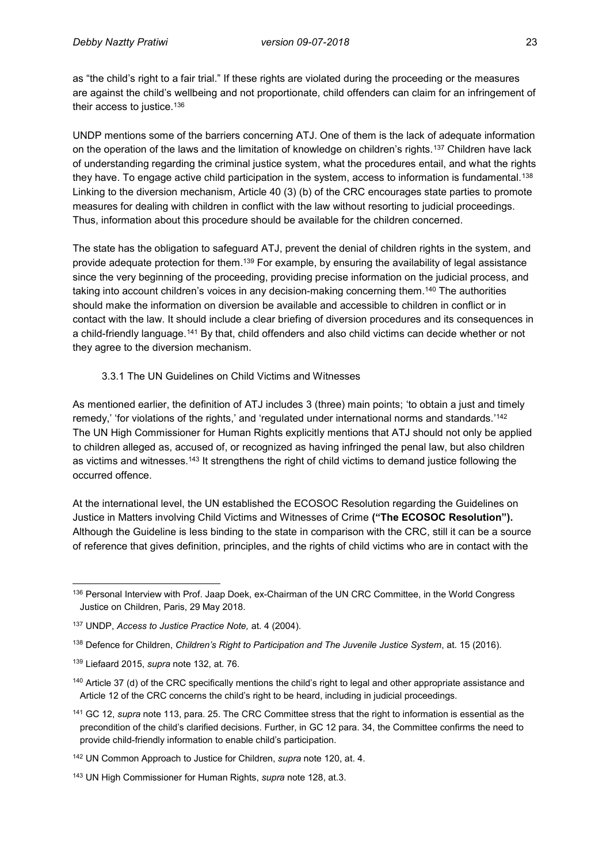as "the child's right to a fair trial." If these rights are violated during the proceeding or the measures are against the child's wellbeing and not proportionate, child offenders can claim for an infringement of their access to justice.<sup>136</sup>

UNDP mentions some of the barriers concerning ATJ. One of them is the lack of adequate information on the operation of the laws and the limitation of knowledge on children's rights.<sup>137</sup> Children have lack of understanding regarding the criminal justice system, what the procedures entail, and what the rights they have. To engage active child participation in the system, access to information is fundamental.<sup>138</sup> Linking to the diversion mechanism, Article 40 (3) (b) of the CRC encourages state parties to promote measures for dealing with children in conflict with the law without resorting to judicial proceedings. Thus, information about this procedure should be available for the children concerned.

The state has the obligation to safeguard ATJ, prevent the denial of children rights in the system, and provide adequate protection for them.<sup>139</sup> For example, by ensuring the availability of legal assistance since the very beginning of the proceeding, providing precise information on the judicial process, and taking into account children's voices in any decision-making concerning them.<sup>140</sup> The authorities should make the information on diversion be available and accessible to children in conflict or in contact with the law. It should include a clear briefing of diversion procedures and its consequences in a child-friendly language.<sup>141</sup> By that, child offenders and also child victims can decide whether or not they agree to the diversion mechanism.

#### 3.3.1 The UN Guidelines on Child Victims and Witnesses

As mentioned earlier, the definition of ATJ includes 3 (three) main points; 'to obtain a just and timely remedy,' 'for violations of the rights,' and 'regulated under international norms and standards.' 142 The UN High Commissioner for Human Rights explicitly mentions that ATJ should not only be applied to children alleged as, accused of, or recognized as having infringed the penal law, but also children as victims and witnesses.<sup>143</sup> It strengthens the right of child victims to demand justice following the occurred offence.

At the international level, the UN established the ECOSOC Resolution regarding the Guidelines on Justice in Matters involving Child Victims and Witnesses of Crime **("The ECOSOC Resolution").** Although the Guideline is less binding to the state in comparison with the CRC, still it can be a source of reference that gives definition, principles, and the rights of child victims who are in contact with the

<sup>139</sup> Liefaard 2015, *supra* note 132, at. 76.

<sup>141</sup> GC 12, *supra* note 113, para. 25. The CRC Committee stress that the right to information is essential as the precondition of the child's clarified decisions. Further, in GC 12 para. 34, the Committee confirms the need to provide child-friendly information to enable child's participation.

 $\overline{a}$ 136 Personal Interview with Prof. Jaap Doek, ex-Chairman of the UN CRC Committee, in the World Congress Justice on Children, Paris, 29 May 2018.

<sup>137</sup> UNDP, *Access to Justice Practice Note,* at. 4 (2004).

<sup>138</sup> Defence for Children, *Children's Right to Participation and The Juvenile Justice System*, at. 15 (2016).

<sup>&</sup>lt;sup>140</sup> Article 37 (d) of the CRC specifically mentions the child's right to legal and other appropriate assistance and Article 12 of the CRC concerns the child's right to be heard, including in judicial proceedings.

<sup>142</sup> UN Common Approach to Justice for Children, *supra* note 120, at. 4.

<sup>143</sup> UN High Commissioner for Human Rights, *supra* note 128, at.3.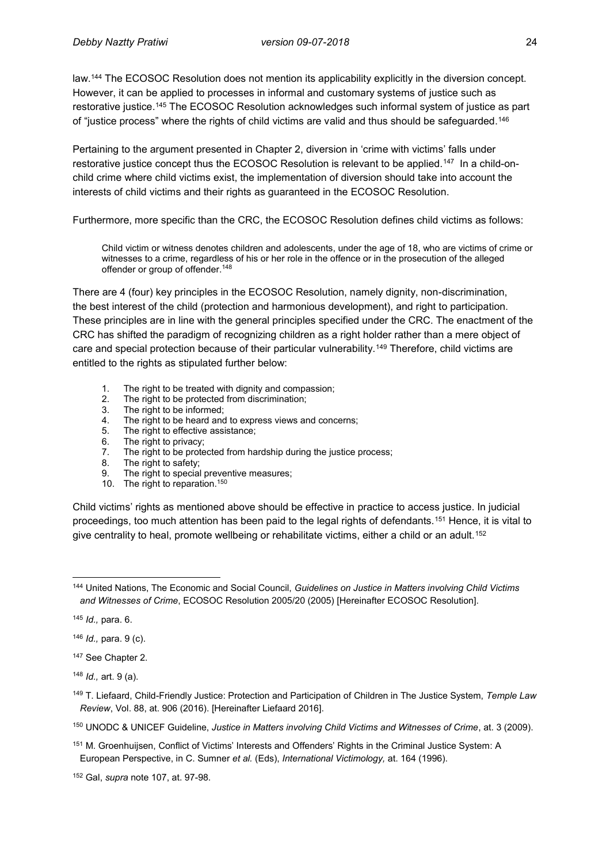law.<sup>144</sup> The ECOSOC Resolution does not mention its applicability explicitly in the diversion concept. However, it can be applied to processes in informal and customary systems of justice such as restorative justice.<sup>145</sup> The ECOSOC Resolution acknowledges such informal system of justice as part of "justice process" where the rights of child victims are valid and thus should be safeguarded.<sup>146</sup>

Pertaining to the argument presented in Chapter 2, diversion in 'crime with victims' falls under restorative justice concept thus the ECOSOC Resolution is relevant to be applied.<sup>147</sup> In a child-onchild crime where child victims exist, the implementation of diversion should take into account the interests of child victims and their rights as guaranteed in the ECOSOC Resolution.

Furthermore, more specific than the CRC, the ECOSOC Resolution defines child victims as follows:

Child victim or witness denotes children and adolescents, under the age of 18, who are victims of crime or witnesses to a crime, regardless of his or her role in the offence or in the prosecution of the alleged offender or group of offender. 148

There are 4 (four) key principles in the ECOSOC Resolution, namely dignity, non-discrimination, the best interest of the child (protection and harmonious development), and right to participation. These principles are in line with the general principles specified under the CRC. The enactment of the CRC has shifted the paradigm of recognizing children as a right holder rather than a mere object of care and special protection because of their particular vulnerability.<sup>149</sup> Therefore, child victims are entitled to the rights as stipulated further below:

- 1. The right to be treated with dignity and compassion;
- 2. The right to be protected from discrimination;<br>3. The right to be informed;
- 3. The right to be informed;<br>4. The right to be heard and
- 4. The right to be heard and to express views and concerns;<br>5. The right to effective assistance:
- 5. The right to effective assistance;<br>6. The right to privacy:
- The right to privacy;
- 7. The right to be protected from hardship during the justice process;
- 8. The right to safety;
- 9. The right to special preventive measures;
- 10. The right to reparation.<sup>150</sup>

Child victims' rights as mentioned above should be effective in practice to access justice. In judicial proceedings, too much attention has been paid to the legal rights of defendants.<sup>151</sup> Hence, it is vital to give centrality to heal, promote wellbeing or rehabilitate victims, either a child or an adult.<sup>152</sup>

<sup>145</sup> *Id.,* para. 6.

<sup>146</sup> *Id.,* para. 9 (c).

<sup>147</sup> See Chapter 2.

<sup>148</sup> *Id.,* art. 9 (a).

<sup>150</sup> UNODC & UNICEF Guideline, *Justice in Matters involving Child Victims and Witnesses of Crime*, at. 3 (2009).

 $\overline{a}$ <sup>144</sup> United Nations, The Economic and Social Council, *Guidelines on Justice in Matters involving Child Victims and Witnesses of Crime*, ECOSOC Resolution 2005/20 (2005) [Hereinafter ECOSOC Resolution].

<sup>149</sup> T. Liefaard, Child-Friendly Justice: Protection and Participation of Children in The Justice System, *Temple Law Review*, Vol. 88, at. 906 (2016). [Hereinafter Liefaard 2016].

<sup>151</sup> M. Groenhuijsen, Conflict of Victims' Interests and Offenders' Rights in the Criminal Justice System: A European Perspective, in C. Sumner *et al.* (Eds), *International Victimology,* at. 164 (1996).

<sup>152</sup> Gal, *supra* note 107, at. 97-98.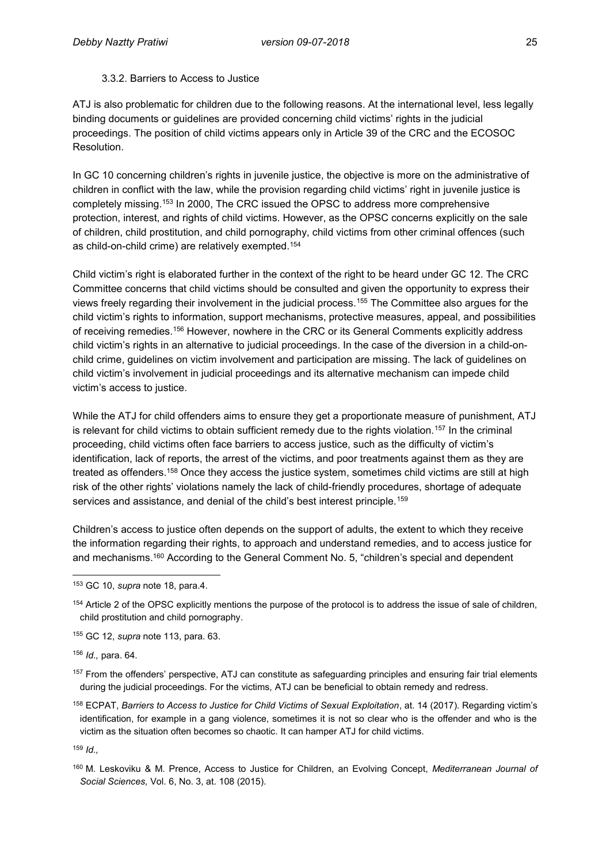#### 3.3.2. Barriers to Access to Justice

ATJ is also problematic for children due to the following reasons. At the international level, less legally binding documents or guidelines are provided concerning child victims' rights in the judicial proceedings. The position of child victims appears only in Article 39 of the CRC and the ECOSOC Resolution.

In GC 10 concerning children's rights in juvenile justice, the objective is more on the administrative of children in conflict with the law, while the provision regarding child victims' right in juvenile justice is completely missing.<sup>153</sup> In 2000, The CRC issued the OPSC to address more comprehensive protection, interest, and rights of child victims. However, as the OPSC concerns explicitly on the sale of children, child prostitution, and child pornography, child victims from other criminal offences (such as child-on-child crime) are relatively exempted.<sup>154</sup>

Child victim's right is elaborated further in the context of the right to be heard under GC 12. The CRC Committee concerns that child victims should be consulted and given the opportunity to express their views freely regarding their involvement in the judicial process.<sup>155</sup> The Committee also argues for the child victim's rights to information, support mechanisms, protective measures, appeal, and possibilities of receiving remedies.<sup>156</sup> However, nowhere in the CRC or its General Comments explicitly address child victim's rights in an alternative to judicial proceedings. In the case of the diversion in a child-onchild crime, guidelines on victim involvement and participation are missing. The lack of guidelines on child victim's involvement in judicial proceedings and its alternative mechanism can impede child victim's access to justice.

While the ATJ for child offenders aims to ensure they get a proportionate measure of punishment, ATJ is relevant for child victims to obtain sufficient remedy due to the rights violation.<sup>157</sup> In the criminal proceeding, child victims often face barriers to access justice, such as the difficulty of victim's identification, lack of reports, the arrest of the victims, and poor treatments against them as they are treated as offenders.<sup>158</sup> Once they access the justice system, sometimes child victims are still at high risk of the other rights' violations namely the lack of child-friendly procedures, shortage of adequate services and assistance, and denial of the child's best interest principle.<sup>159</sup>

Children's access to justice often depends on the support of adults, the extent to which they receive the information regarding their rights, to approach and understand remedies, and to access justice for and mechanisms.<sup>160</sup> According to the General Comment No. 5, "children's special and dependent

<sup>154</sup> Article 2 of the OPSC explicitly mentions the purpose of the protocol is to address the issue of sale of children, child prostitution and child pornography.

<sup>155</sup> GC 12, *supra* note 113, para. 63.

<sup>156</sup> *Id.,* para. 64.

<sup>157</sup> From the offenders' perspective, ATJ can constitute as safeguarding principles and ensuring fair trial elements during the judicial proceedings. For the victims, ATJ can be beneficial to obtain remedy and redress.

<sup>158</sup> ECPAT, *Barriers to Access to Justice for Child Victims of Sexual Exploitation*, at. 14 (2017). Regarding victim's identification, for example in a gang violence, sometimes it is not so clear who is the offender and who is the victim as the situation often becomes so chaotic. It can hamper ATJ for child victims.

<sup>159</sup> *Id.,*

 $\overline{a}$ 

<sup>153</sup> GC 10, *supra* note 18, para.4.

<sup>160</sup> M. Leskoviku & M. Prence, Access to Justice for Children, an Evolving Concept, *Mediterranean Journal of Social Sciences,* Vol. 6, No. 3, at. 108 (2015).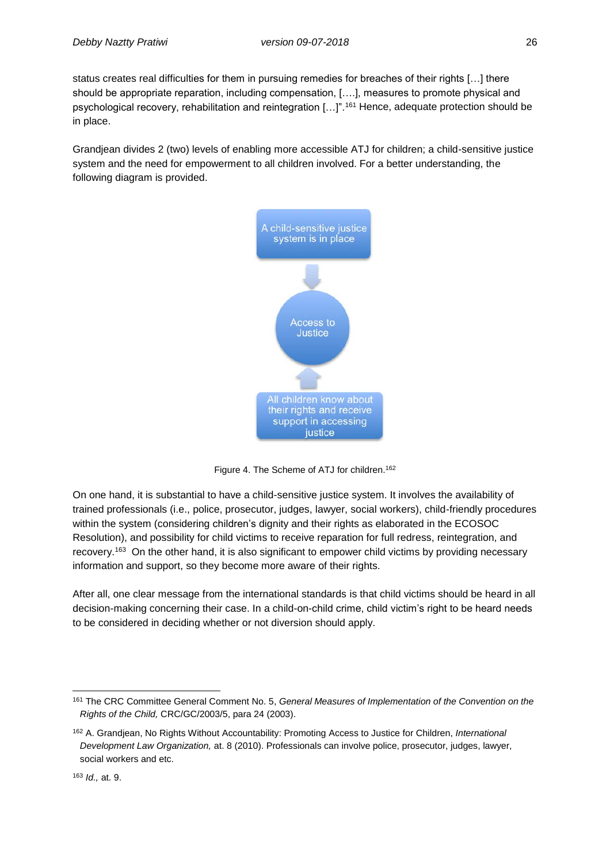status creates real difficulties for them in pursuing remedies for breaches of their rights […] there should be appropriate reparation, including compensation, [….], measures to promote physical and psychological recovery, rehabilitation and reintegration […]".<sup>161</sup> Hence, adequate protection should be in place.

Grandjean divides 2 (two) levels of enabling more accessible ATJ for children; a child-sensitive justice system and the need for empowerment to all children involved. For a better understanding, the following diagram is provided.



Figure 4. The Scheme of ATJ for children.<sup>162</sup>

On one hand, it is substantial to have a child-sensitive justice system. It involves the availability of trained professionals (i.e., police, prosecutor, judges, lawyer, social workers), child-friendly procedures within the system (considering children's dignity and their rights as elaborated in the ECOSOC Resolution), and possibility for child victims to receive reparation for full redress, reintegration, and recovery.163 On the other hand, it is also significant to empower child victims by providing necessary information and support, so they become more aware of their rights.

After all, one clear message from the international standards is that child victims should be heard in all decision-making concerning their case. In a child-on-child crime, child victim's right to be heard needs to be considered in deciding whether or not diversion should apply.

#### <sup>163</sup> *Id.,* at. 9.

 161 The CRC Committee General Comment No. 5, *General Measures of Implementation of the Convention on the Rights of the Child,* CRC/GC/2003/5, para 24 (2003).

<sup>162</sup> A. Grandjean, No Rights Without Accountability: Promoting Access to Justice for Children, *International Development Law Organization,* at. 8 (2010). Professionals can involve police, prosecutor, judges, lawyer, social workers and etc.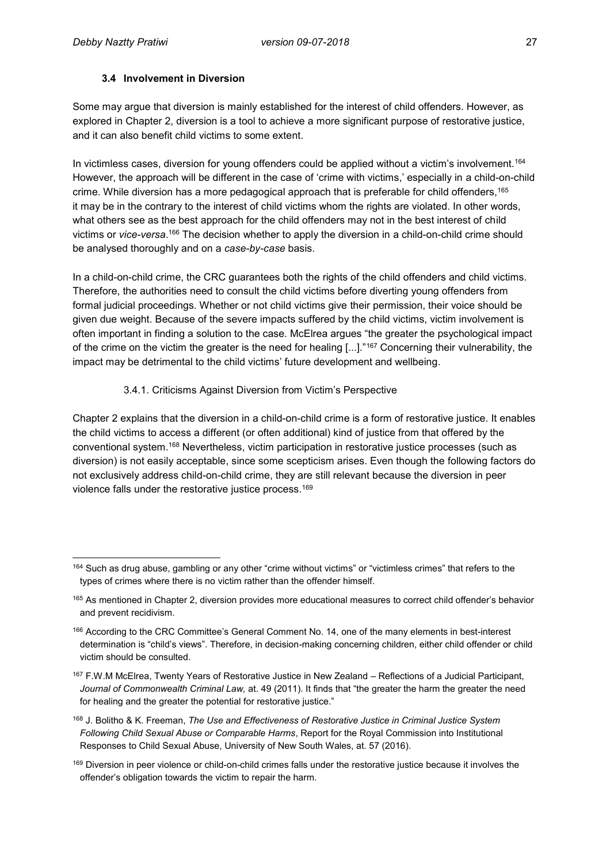#### **3.4 Involvement in Diversion**

Some may argue that diversion is mainly established for the interest of child offenders. However, as explored in Chapter 2, diversion is a tool to achieve a more significant purpose of restorative justice, and it can also benefit child victims to some extent.

In victimless cases, diversion for young offenders could be applied without a victim's involvement.<sup>164</sup> However, the approach will be different in the case of 'crime with victims,' especially in a child-on-child crime. While diversion has a more pedagogical approach that is preferable for child offenders,<sup>165</sup> it may be in the contrary to the interest of child victims whom the rights are violated. In other words, what others see as the best approach for the child offenders may not in the best interest of child victims or *vice-versa*. <sup>166</sup> The decision whether to apply the diversion in a child-on-child crime should be analysed thoroughly and on a *case-by-case* basis.

In a child-on-child crime, the CRC guarantees both the rights of the child offenders and child victims. Therefore, the authorities need to consult the child victims before diverting young offenders from formal judicial proceedings. Whether or not child victims give their permission, their voice should be given due weight. Because of the severe impacts suffered by the child victims, victim involvement is often important in finding a solution to the case. McElrea argues "the greater the psychological impact of the crime on the victim the greater is the need for healing [...]."<sup>167</sup> Concerning their vulnerability, the impact may be detrimental to the child victims' future development and wellbeing.

#### 3.4.1. Criticisms Against Diversion from Victim's Perspective

Chapter 2 explains that the diversion in a child-on-child crime is a form of restorative justice. It enables the child victims to access a different (or often additional) kind of justice from that offered by the conventional system.<sup>168</sup> Nevertheless, victim participation in restorative justice processes (such as diversion) is not easily acceptable, since some scepticism arises. Even though the following factors do not exclusively address child-on-child crime, they are still relevant because the diversion in peer violence falls under the restorative justice process.<sup>169</sup>

 $\overline{\phantom{a}}$ <sup>164</sup> Such as drug abuse, gambling or any other "crime without victims" or "victimless crimes" that refers to the types of crimes where there is no victim rather than the offender himself.

<sup>&</sup>lt;sup>165</sup> As mentioned in Chapter 2, diversion provides more educational measures to correct child offender's behavior and prevent recidivism.

<sup>166</sup> According to the CRC Committee's General Comment No. 14, one of the many elements in best-interest determination is "child's views". Therefore, in decision-making concerning children, either child offender or child victim should be consulted.

<sup>167</sup> F.W.M McElrea, Twenty Years of Restorative Justice in New Zealand – Reflections of a Judicial Participant, *Journal of Commonwealth Criminal Law,* at. 49 (2011). It finds that "the greater the harm the greater the need for healing and the greater the potential for restorative justice."

<sup>168</sup> J. Bolitho & K. Freeman, *The Use and Effectiveness of Restorative Justice in Criminal Justice System Following Child Sexual Abuse or Comparable Harms*, Report for the Royal Commission into Institutional Responses to Child Sexual Abuse, University of New South Wales, at. 57 (2016).

<sup>&</sup>lt;sup>169</sup> Diversion in peer violence or child-on-child crimes falls under the restorative justice because it involves the offender's obligation towards the victim to repair the harm.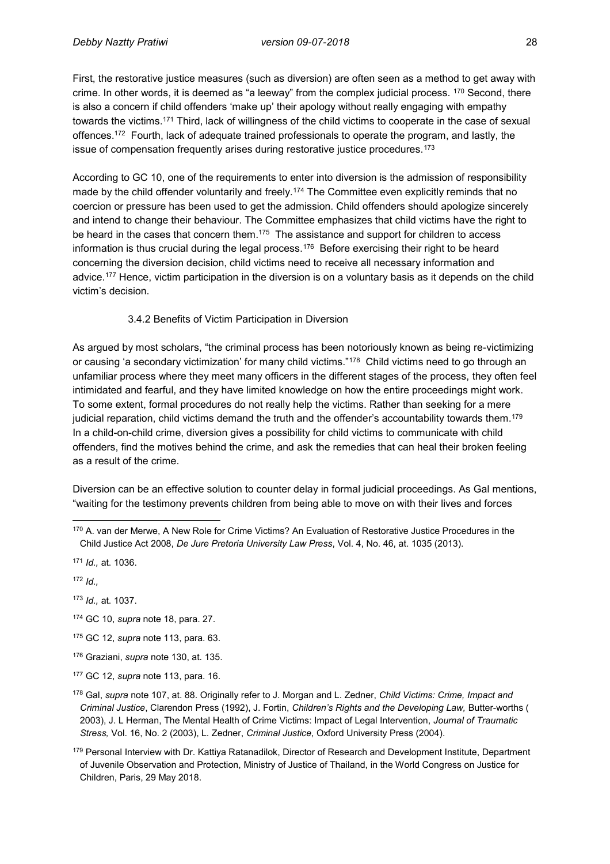First, the restorative justice measures (such as diversion) are often seen as a method to get away with crime. In other words, it is deemed as "a leeway" from the complex judicial process.  $170$  Second, there is also a concern if child offenders 'make up' their apology without really engaging with empathy towards the victims.<sup>171</sup> Third, lack of willingness of the child victims to cooperate in the case of sexual offences.<sup>172</sup> Fourth, lack of adequate trained professionals to operate the program, and lastly, the issue of compensation frequently arises during restorative justice procedures.<sup>173</sup>

According to GC 10, one of the requirements to enter into diversion is the admission of responsibility made by the child offender voluntarily and freely.<sup>174</sup> The Committee even explicitly reminds that no coercion or pressure has been used to get the admission. Child offenders should apologize sincerely and intend to change their behaviour. The Committee emphasizes that child victims have the right to be heard in the cases that concern them.<sup>175</sup> The assistance and support for children to access information is thus crucial during the legal process. $^{176}$  Before exercising their right to be heard concerning the diversion decision, child victims need to receive all necessary information and advice.<sup>177</sup> Hence, victim participation in the diversion is on a voluntary basis as it depends on the child victim's decision.

#### 3.4.2 Benefits of Victim Participation in Diversion

As argued by most scholars, "the criminal process has been notoriously known as being re-victimizing or causing 'a secondary victimization' for many child victims."<sup>178</sup> Child victims need to go through an unfamiliar process where they meet many officers in the different stages of the process, they often feel intimidated and fearful, and they have limited knowledge on how the entire proceedings might work. To some extent, formal procedures do not really help the victims. Rather than seeking for a mere judicial reparation, child victims demand the truth and the offender's accountability towards them.<sup>179</sup> In a child-on-child crime, diversion gives a possibility for child victims to communicate with child offenders, find the motives behind the crime, and ask the remedies that can heal their broken feeling as a result of the crime.

Diversion can be an effective solution to counter delay in formal judicial proceedings. As Gal mentions, "waiting for the testimony prevents children from being able to move on with their lives and forces

<sup>171</sup> *Id.,* at. 1036.

<sup>172</sup> *Id.,*

<sup>173</sup> *Id.,* at. 1037.

<sup>174</sup> GC 10, *supra* note 18, para. 27.

<sup>175</sup> GC 12, *supra* note 113, para. 63.

<sup>176</sup> Graziani, *supra* note 130, at. 135.

 $\overline{\phantom{a}}$ 170 A. van der Merwe, A New Role for Crime Victims? An Evaluation of Restorative Justice Procedures in the Child Justice Act 2008, *De Jure Pretoria University Law Press*, Vol. 4, No. 46, at. 1035 (2013).

<sup>177</sup> GC 12, *supra* note 113, para. 16.

<sup>178</sup> Gal, *supra* note 107, at. 88. Originally refer to J. Morgan and L. Zedner, *Child Victims: Crime, Impact and Criminal Justice*, Clarendon Press (1992), J. Fortin, *Children's Rights and the Developing Law,* Butter-worths ( 2003), J. L Herman, The Mental Health of Crime Victims: Impact of Legal Intervention, *Journal of Traumatic Stress,* Vol. 16, No. 2 (2003), L. Zedner, *Criminal Justice*, Oxford University Press (2004).

<sup>179</sup> Personal Interview with Dr. Kattiya Ratanadilok, Director of Research and Development Institute, Department of Juvenile Observation and Protection, Ministry of Justice of Thailand, in the World Congress on Justice for Children, Paris, 29 May 2018.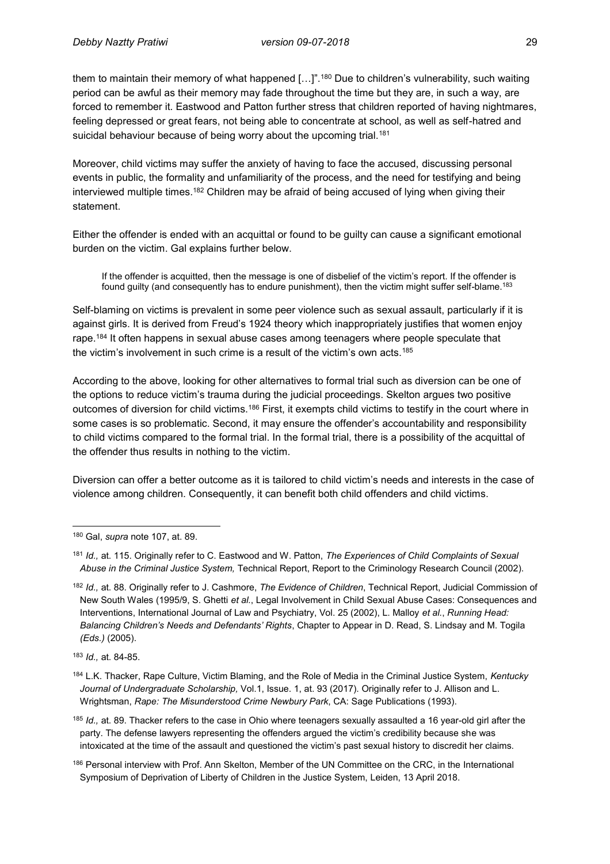them to maintain their memory of what happened [...]".<sup>180</sup> Due to children's vulnerability, such waiting period can be awful as their memory may fade throughout the time but they are, in such a way, are forced to remember it. Eastwood and Patton further stress that children reported of having nightmares, feeling depressed or great fears, not being able to concentrate at school, as well as self-hatred and suicidal behaviour because of being worry about the upcoming trial.<sup>181</sup>

Moreover, child victims may suffer the anxiety of having to face the accused, discussing personal events in public, the formality and unfamiliarity of the process, and the need for testifying and being interviewed multiple times.<sup>182</sup> Children may be afraid of being accused of lying when giving their statement.

Either the offender is ended with an acquittal or found to be guilty can cause a significant emotional burden on the victim. Gal explains further below.

If the offender is acquitted, then the message is one of disbelief of the victim's report. If the offender is found guilty (and consequently has to endure punishment), then the victim might suffer self-blame.<sup>183</sup>

Self-blaming on victims is prevalent in some peer violence such as sexual assault, particularly if it is against girls. It is derived from Freud's 1924 theory which inappropriately justifies that women enjoy rape.<sup>184</sup> It often happens in sexual abuse cases among teenagers where people speculate that the victim's involvement in such crime is a result of the victim's own acts.<sup>185</sup>

According to the above, looking for other alternatives to formal trial such as diversion can be one of the options to reduce victim's trauma during the judicial proceedings. Skelton argues two positive outcomes of diversion for child victims.<sup>186</sup> First, it exempts child victims to testify in the court where in some cases is so problematic. Second, it may ensure the offender's accountability and responsibility to child victims compared to the formal trial. In the formal trial, there is a possibility of the acquittal of the offender thus results in nothing to the victim.

Diversion can offer a better outcome as it is tailored to child victim's needs and interests in the case of violence among children. Consequently, it can benefit both child offenders and child victims.

 $\overline{a}$ 

<sup>180</sup> Gal, *supra* note 107, at. 89.

<sup>181</sup> *Id.,* at. 115. Originally refer to C. Eastwood and W. Patton, *The Experiences of Child Complaints of Sexual Abuse in the Criminal Justice System,* Technical Report, Report to the Criminology Research Council (2002).

<sup>182</sup> *Id.,* at. 88. Originally refer to J. Cashmore, *The Evidence of Children*, Technical Report, Judicial Commission of New South Wales (1995/9, S. Ghetti *et al.*, Legal Involvement in Child Sexual Abuse Cases: Consequences and Interventions, International Journal of Law and Psychiatry, Vol. 25 (2002), L. Malloy *et al.*, *Running Head: Balancing Children's Needs and Defendants' Rights*, Chapter to Appear in D. Read, S. Lindsay and M. Togila *(Eds.)* (2005).

<sup>183</sup> *Id.,* at. 84-85.

<sup>184</sup> L.K. Thacker, Rape Culture, Victim Blaming, and the Role of Media in the Criminal Justice System, *Kentucky Journal of Undergraduate Scholarship,* Vol.1, Issue. 1, at. 93 (2017). Originally refer to J. Allison and L. Wrightsman, *Rape: The Misunderstood Crime Newbury Park*, CA: Sage Publications (1993).

<sup>185</sup> *Id.,* at. 89. Thacker refers to the case in Ohio where teenagers sexually assaulted a 16 year-old girl after the party. The defense lawyers representing the offenders argued the victim's credibility because she was intoxicated at the time of the assault and questioned the victim's past sexual history to discredit her claims.

<sup>186</sup> Personal interview with Prof. Ann Skelton, Member of the UN Committee on the CRC, in the International Symposium of Deprivation of Liberty of Children in the Justice System, Leiden, 13 April 2018.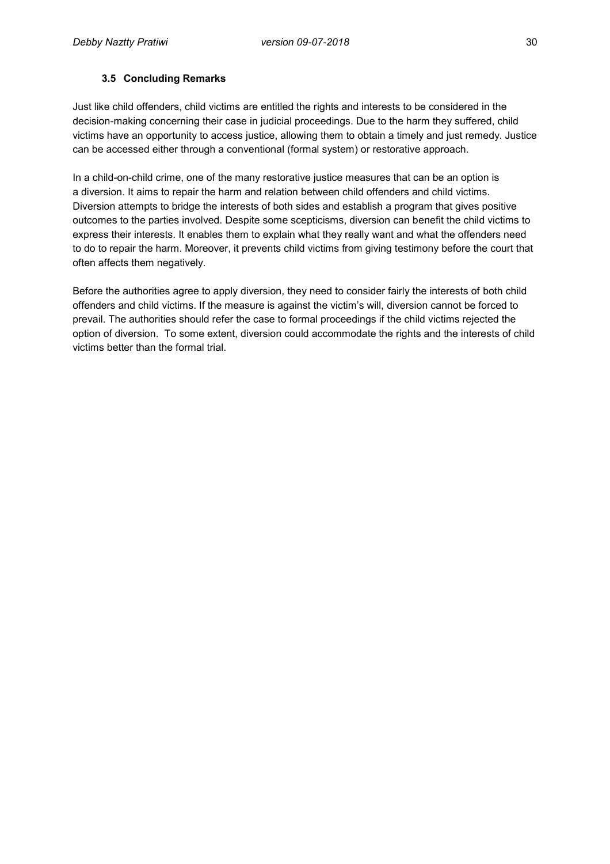### **3.5 Concluding Remarks**

Just like child offenders, child victims are entitled the rights and interests to be considered in the decision-making concerning their case in judicial proceedings. Due to the harm they suffered, child victims have an opportunity to access justice, allowing them to obtain a timely and just remedy. Justice can be accessed either through a conventional (formal system) or restorative approach.

In a child-on-child crime, one of the many restorative justice measures that can be an option is a diversion. It aims to repair the harm and relation between child offenders and child victims. Diversion attempts to bridge the interests of both sides and establish a program that gives positive outcomes to the parties involved. Despite some scepticisms, diversion can benefit the child victims to express their interests. It enables them to explain what they really want and what the offenders need to do to repair the harm. Moreover, it prevents child victims from giving testimony before the court that often affects them negatively.

Before the authorities agree to apply diversion, they need to consider fairly the interests of both child offenders and child victims. If the measure is against the victim's will, diversion cannot be forced to prevail. The authorities should refer the case to formal proceedings if the child victims rejected the option of diversion. To some extent, diversion could accommodate the rights and the interests of child victims better than the formal trial.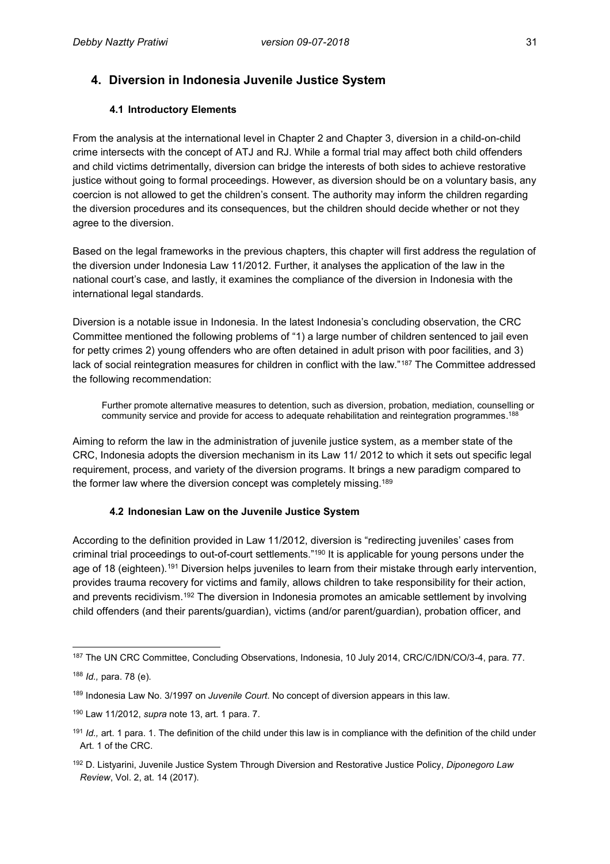# **4. Diversion in Indonesia Juvenile Justice System**

#### **4.1 Introductory Elements**

From the analysis at the international level in Chapter 2 and Chapter 3, diversion in a child-on-child crime intersects with the concept of ATJ and RJ. While a formal trial may affect both child offenders and child victims detrimentally, diversion can bridge the interests of both sides to achieve restorative justice without going to formal proceedings. However, as diversion should be on a voluntary basis, any coercion is not allowed to get the children's consent. The authority may inform the children regarding the diversion procedures and its consequences, but the children should decide whether or not they agree to the diversion.

Based on the legal frameworks in the previous chapters, this chapter will first address the regulation of the diversion under Indonesia Law 11/2012. Further, it analyses the application of the law in the national court's case, and lastly, it examines the compliance of the diversion in Indonesia with the international legal standards.

Diversion is a notable issue in Indonesia. In the latest Indonesia's concluding observation, the CRC Committee mentioned the following problems of "1) a large number of children sentenced to jail even for petty crimes 2) young offenders who are often detained in adult prison with poor facilities, and 3) lack of social reintegration measures for children in conflict with the law."<sup>187</sup> The Committee addressed the following recommendation:

Further promote alternative measures to detention, such as diversion, probation, mediation, counselling or community service and provide for access to adequate rehabilitation and reintegration programmes. 188

Aiming to reform the law in the administration of juvenile justice system, as a member state of the CRC, Indonesia adopts the diversion mechanism in its Law 11/ 2012 to which it sets out specific legal requirement, process, and variety of the diversion programs. It brings a new paradigm compared to the former law where the diversion concept was completely missing.<sup>189</sup>

#### **4.2 Indonesian Law on the Juvenile Justice System**

According to the definition provided in Law 11/2012, diversion is "redirecting juveniles' cases from criminal trial proceedings to out-of-court settlements."<sup>190</sup> It is applicable for young persons under the age of 18 (eighteen).<sup>191</sup> Diversion helps juveniles to learn from their mistake through early intervention, provides trauma recovery for victims and family, allows children to take responsibility for their action, and prevents recidivism.<sup>192</sup> The diversion in Indonesia promotes an amicable settlement by involving child offenders (and their parents/guardian), victims (and/or parent/guardian), probation officer, and

 $\overline{\phantom{a}}$ <sup>187</sup> The UN CRC Committee, Concluding Observations, Indonesia, 10 July 2014, CRC/C/IDN/CO/3-4, para. 77.

<sup>188</sup> *Id.,* para. 78 (e).

<sup>189</sup> Indonesia Law No. 3/1997 on *Juvenile Court*. No concept of diversion appears in this law.

<sup>190</sup> Law 11/2012, *supra* note 13, art. 1 para. 7.

<sup>191</sup> *Id.,* art. 1 para. 1. The definition of the child under this law is in compliance with the definition of the child under Art. 1 of the CRC.

<sup>192</sup> D. Listyarini, Juvenile Justice System Through Diversion and Restorative Justice Policy, *Diponegoro Law Review*, Vol. 2, at. 14 (2017).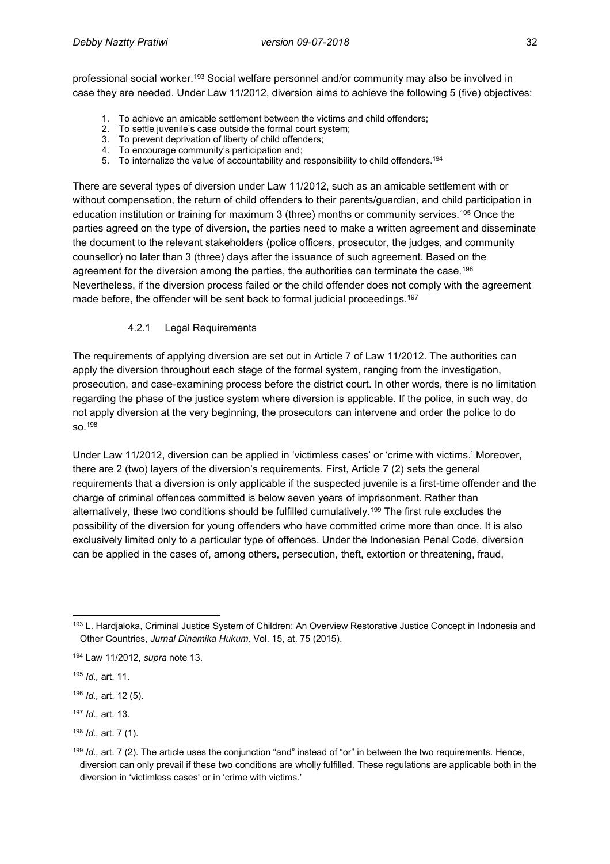professional social worker.<sup>193</sup> Social welfare personnel and/or community may also be involved in case they are needed. Under Law 11/2012, diversion aims to achieve the following 5 (five) objectives:

- 1. To achieve an amicable settlement between the victims and child offenders;
- 2. To settle juvenile's case outside the formal court system;
- 3. To prevent deprivation of liberty of child offenders;
- 4. To encourage community's participation and;
- 5. To internalize the value of accountability and responsibility to child offenders. 194

There are several types of diversion under Law 11/2012, such as an amicable settlement with or without compensation, the return of child offenders to their parents/guardian, and child participation in education institution or training for maximum 3 (three) months or community services.<sup>195</sup> Once the parties agreed on the type of diversion, the parties need to make a written agreement and disseminate the document to the relevant stakeholders (police officers, prosecutor, the judges, and community counsellor) no later than 3 (three) days after the issuance of such agreement. Based on the agreement for the diversion among the parties, the authorities can terminate the case.<sup>196</sup> Nevertheless, if the diversion process failed or the child offender does not comply with the agreement made before, the offender will be sent back to formal judicial proceedings. 197

#### 4.2.1 Legal Requirements

The requirements of applying diversion are set out in Article 7 of Law 11/2012. The authorities can apply the diversion throughout each stage of the formal system, ranging from the investigation, prosecution, and case-examining process before the district court. In other words, there is no limitation regarding the phase of the justice system where diversion is applicable. If the police, in such way, do not apply diversion at the very beginning, the prosecutors can intervene and order the police to do so.<sup>198</sup>

Under Law 11/2012, diversion can be applied in 'victimless cases' or 'crime with victims.' Moreover, there are 2 (two) layers of the diversion's requirements. First, Article 7 (2) sets the general requirements that a diversion is only applicable if the suspected juvenile is a first-time offender and the charge of criminal offences committed is below seven years of imprisonment. Rather than alternatively, these two conditions should be fulfilled cumulatively.<sup>199</sup> The first rule excludes the possibility of the diversion for young offenders who have committed crime more than once. It is also exclusively limited only to a particular type of offences. Under the Indonesian Penal Code, diversion can be applied in the cases of, among others, persecution, theft, extortion or threatening, fraud,

 $\overline{a}$ 193 L. Hardjaloka, Criminal Justice System of Children: An Overview Restorative Justice Concept in Indonesia and Other Countries, *Jurnal Dinamika Hukum,* Vol. 15, at. 75 (2015).

<sup>194</sup> Law 11/2012, *supra* note 13.

<sup>195</sup> *Id.,* art. 11.

<sup>196</sup> *Id.,* art. 12 (5).

<sup>197</sup> *Id.,* art. 13.

<sup>198</sup> *Id.,* art. 7 (1).

<sup>199</sup> *Id.,* art. 7 (2). The article uses the conjunction "and" instead of "or" in between the two requirements. Hence, diversion can only prevail if these two conditions are wholly fulfilled. These regulations are applicable both in the diversion in 'victimless cases' or in 'crime with victims.'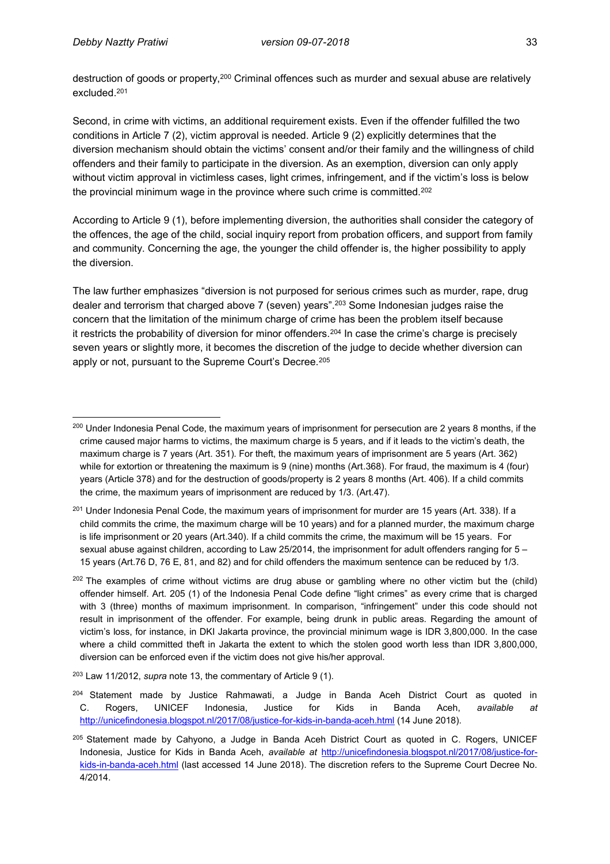$\overline{a}$ 

destruction of goods or property,<sup>200</sup> Criminal offences such as murder and sexual abuse are relatively excluded.<sup>201</sup>

Second, in crime with victims, an additional requirement exists. Even if the offender fulfilled the two conditions in Article 7 (2), victim approval is needed. Article 9 (2) explicitly determines that the diversion mechanism should obtain the victims' consent and/or their family and the willingness of child offenders and their family to participate in the diversion. As an exemption, diversion can only apply without victim approval in victimless cases, light crimes, infringement, and if the victim's loss is below the provincial minimum wage in the province where such crime is committed.<sup>202</sup>

According to Article 9 (1), before implementing diversion, the authorities shall consider the category of the offences, the age of the child, social inquiry report from probation officers, and support from family and community. Concerning the age, the younger the child offender is, the higher possibility to apply the diversion.

The law further emphasizes "diversion is not purposed for serious crimes such as murder, rape, drug dealer and terrorism that charged above 7 (seven) years".<sup>203</sup> Some Indonesian judges raise the concern that the limitation of the minimum charge of crime has been the problem itself because it restricts the probability of diversion for minor offenders.<sup>204</sup> In case the crime's charge is precisely seven years or slightly more, it becomes the discretion of the judge to decide whether diversion can apply or not, pursuant to the Supreme Court's Decree.<sup>205</sup>

<sup>&</sup>lt;sup>200</sup> Under Indonesia Penal Code, the maximum years of imprisonment for persecution are 2 years 8 months, if the crime caused major harms to victims, the maximum charge is 5 years, and if it leads to the victim's death, the maximum charge is 7 years (Art. 351). For theft, the maximum years of imprisonment are 5 years (Art. 362) while for extortion or threatening the maximum is 9 (nine) months (Art.368). For fraud, the maximum is 4 (four) years (Article 378) and for the destruction of goods/property is 2 years 8 months (Art. 406). If a child commits the crime, the maximum years of imprisonment are reduced by 1/3. (Art.47).

 $^{201}$  Under Indonesia Penal Code, the maximum years of imprisonment for murder are 15 years (Art. 338). If a child commits the crime, the maximum charge will be 10 years) and for a planned murder, the maximum charge is life imprisonment or 20 years (Art.340). If a child commits the crime, the maximum will be 15 years. For sexual abuse against children, according to Law 25/2014, the imprisonment for adult offenders ranging for 5 – 15 years (Art.76 D, 76 E, 81, and 82) and for child offenders the maximum sentence can be reduced by 1/3.

 $202$  The examples of crime without victims are drug abuse or gambling where no other victim but the (child) offender himself. Art. 205 (1) of the Indonesia Penal Code define "light crimes" as every crime that is charged with 3 (three) months of maximum imprisonment. In comparison, "infringement" under this code should not result in imprisonment of the offender. For example, being drunk in public areas. Regarding the amount of victim's loss, for instance, in DKI Jakarta province, the provincial minimum wage is IDR 3,800,000. In the case where a child committed theft in Jakarta the extent to which the stolen good worth less than IDR 3,800,000, diversion can be enforced even if the victim does not give his/her approval.

<sup>203</sup> Law 11/2012, *supra* note 13, the commentary of Article 9 (1).

<sup>&</sup>lt;sup>204</sup> Statement made by Justice Rahmawati, a Judge in Banda Aceh District Court as quoted in C. Rogers, UNICEF Indonesia, Justice for Kids in Banda Aceh, *available at* <http://unicefindonesia.blogspot.nl/2017/08/justice-for-kids-in-banda-aceh.html> (14 June 2018).

<sup>205</sup> Statement made by Cahyono, a Judge in Banda Aceh District Court as quoted in C. Rogers, UNICEF Indonesia, Justice for Kids in Banda Aceh, *available at* [http://unicefindonesia.blogspot.nl/2017/08/justice-for](http://unicefindonesia.blogspot.nl/2017/08/justice-for-kids-in-banda-aceh.html)[kids-in-banda-aceh.html](http://unicefindonesia.blogspot.nl/2017/08/justice-for-kids-in-banda-aceh.html) (last accessed 14 June 2018). The discretion refers to the Supreme Court Decree No. 4/2014.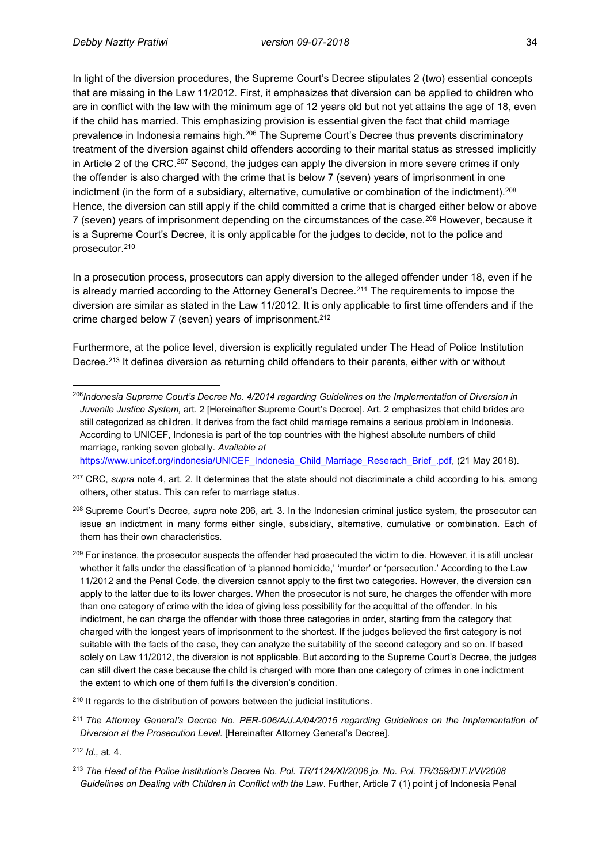In light of the diversion procedures, the Supreme Court's Decree stipulates 2 (two) essential concepts that are missing in the Law 11/2012. First, it emphasizes that diversion can be applied to children who are in conflict with the law with the minimum age of 12 years old but not yet attains the age of 18, even if the child has married. This emphasizing provision is essential given the fact that child marriage prevalence in Indonesia remains high.<sup>206</sup> The Supreme Court's Decree thus prevents discriminatory treatment of the diversion against child offenders according to their marital status as stressed implicitly in Article 2 of the CRC.<sup>207</sup> Second, the judges can apply the diversion in more severe crimes if only the offender is also charged with the crime that is below 7 (seven) years of imprisonment in one indictment (in the form of a subsidiary, alternative, cumulative or combination of the indictment). $^{208}$ Hence, the diversion can still apply if the child committed a crime that is charged either below or above 7 (seven) years of imprisonment depending on the circumstances of the case.<sup>209</sup> However, because it is a Supreme Court's Decree, it is only applicable for the judges to decide, not to the police and prosecutor.<sup>210</sup>

In a prosecution process, prosecutors can apply diversion to the alleged offender under 18, even if he is already married according to the Attorney General's Decree.<sup>211</sup> The requirements to impose the diversion are similar as stated in the Law 11/2012. It is only applicable to first time offenders and if the crime charged below 7 (seven) years of imprisonment.<sup>212</sup>

Furthermore, at the police level, diversion is explicitly regulated under The Head of Police Institution Decree.<sup>213</sup> It defines diversion as returning child offenders to their parents, either with or without

[https://www.unicef.org/indonesia/UNICEF\\_Indonesia\\_Child\\_Marriage\\_Reserach\\_Brief\\_.pdf,](https://www.unicef.org/indonesia/UNICEF_Indonesia_Child_Marriage_Reserach_Brief_.pdf) (21 May 2018).

<sup>207</sup> CRC, *supra* note 4, art. 2. It determines that the state should not discriminate a child according to his, among others, other status. This can refer to marriage status.

<sup>208</sup> Supreme Court's Decree, *supra* note 206, art. 3. In the Indonesian criminal justice system, the prosecutor can issue an indictment in many forms either single, subsidiary, alternative, cumulative or combination. Each of them has their own characteristics.

<sup>209</sup> For instance, the prosecutor suspects the offender had prosecuted the victim to die. However, it is still unclear whether it falls under the classification of 'a planned homicide,' 'murder' or 'persecution.' According to the Law 11/2012 and the Penal Code, the diversion cannot apply to the first two categories. However, the diversion can apply to the latter due to its lower charges. When the prosecutor is not sure, he charges the offender with more than one category of crime with the idea of giving less possibility for the acquittal of the offender. In his indictment, he can charge the offender with those three categories in order, starting from the category that charged with the longest years of imprisonment to the shortest. If the judges believed the first category is not suitable with the facts of the case, they can analyze the suitability of the second category and so on. If based solely on Law 11/2012, the diversion is not applicable. But according to the Supreme Court's Decree, the judges can still divert the case because the child is charged with more than one category of crimes in one indictment the extent to which one of them fulfills the diversion's condition.

<sup>210</sup> It regards to the distribution of powers between the judicial institutions.

<sup>211</sup> *The Attorney General's Decree No. PER-006/A/J.A/04/2015 regarding Guidelines on the Implementation of Diversion at the Prosecution Level.* [Hereinafter Attorney General's Decree].

<sup>212</sup> *Id.,* at. 4.

 $\overline{a}$ <sup>206</sup>*Indonesia Supreme Court's Decree No. 4/2014 regarding Guidelines on the Implementation of Diversion in Juvenile Justice System,* art. 2 [Hereinafter Supreme Court's Decree]. Art. 2 emphasizes that child brides are still categorized as children. It derives from the fact child marriage remains a serious problem in Indonesia. According to UNICEF, Indonesia is part of the top countries with the highest absolute numbers of child marriage, ranking seven globally. *Available at* 

<sup>213</sup> *The Head of the Police Institution's Decree No. Pol. TR/1124/XI/2006 jo. No. Pol. TR/359/DIT.I/VI/2008 Guidelines on Dealing with Children in Conflict with the Law*. Further, Article 7 (1) point j of Indonesia Penal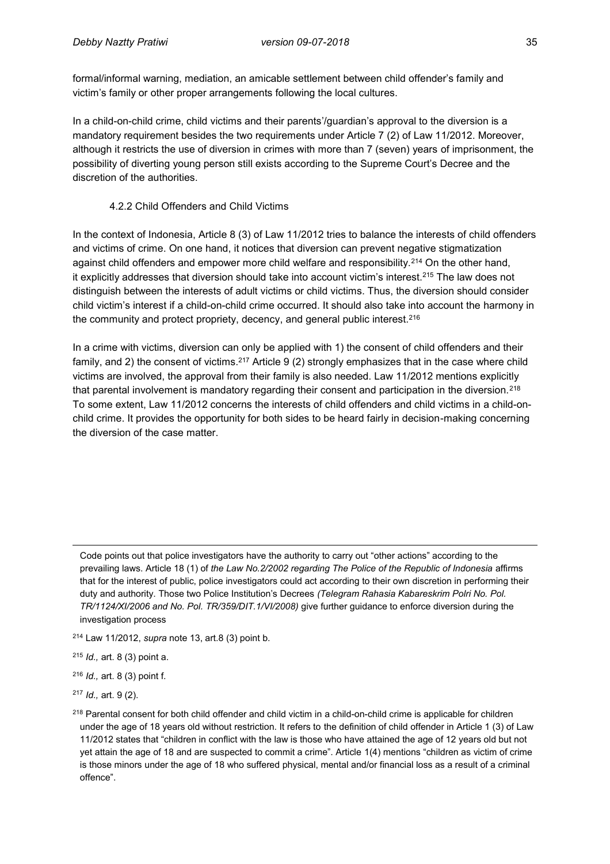formal/informal warning, mediation, an amicable settlement between child offender's family and victim's family or other proper arrangements following the local cultures.

In a child-on-child crime, child victims and their parents'/guardian's approval to the diversion is a mandatory requirement besides the two requirements under Article 7 (2) of Law 11/2012. Moreover, although it restricts the use of diversion in crimes with more than 7 (seven) years of imprisonment, the possibility of diverting young person still exists according to the Supreme Court's Decree and the discretion of the authorities.

#### 4.2.2 Child Offenders and Child Victims

In the context of Indonesia, Article 8 (3) of Law 11/2012 tries to balance the interests of child offenders and victims of crime. On one hand, it notices that diversion can prevent negative stigmatization against child offenders and empower more child welfare and responsibility.<sup>214</sup> On the other hand, it explicitly addresses that diversion should take into account victim's interest.<sup>215</sup> The law does not distinguish between the interests of adult victims or child victims. Thus, the diversion should consider child victim's interest if a child-on-child crime occurred. It should also take into account the harmony in the community and protect propriety, decency, and general public interest.<sup>216</sup>

In a crime with victims, diversion can only be applied with 1) the consent of child offenders and their family, and 2) the consent of victims.<sup>217</sup> Article 9 (2) strongly emphasizes that in the case where child victims are involved, the approval from their family is also needed. Law 11/2012 mentions explicitly that parental involvement is mandatory regarding their consent and participation in the diversion.<sup>218</sup> To some extent, Law 11/2012 concerns the interests of child offenders and child victims in a child-onchild crime. It provides the opportunity for both sides to be heard fairly in decision-making concerning the diversion of the case matter.

Code points out that police investigators have the authority to carry out "other actions" according to the prevailing laws. Article 18 (1) of *the Law No.2/2002 regarding The Police of the Republic of Indonesia* affirms that for the interest of public, police investigators could act according to their own discretion in performing their duty and authority. Those two Police Institution's Decrees *(Telegram Rahasia Kabareskrim Polri No. Pol. TR/1124/XI/2006 and No. Pol. TR/359/DIT.1/VI/2008)* give further guidance to enforce diversion during the investigation process

<sup>214</sup> Law 11/2012, *supra* note 13, art.8 (3) point b.

<sup>215</sup> *Id.,* art. 8 (3) point a.

<sup>216</sup> *Id.,* art. 8 (3) point f.

<sup>217</sup> *Id.,* art. 9 (2).

 $\overline{\phantom{a}}$ 

<sup>218</sup> Parental consent for both child offender and child victim in a child-on-child crime is applicable for children under the age of 18 years old without restriction. It refers to the definition of child offender in Article 1 (3) of Law 11/2012 states that "children in conflict with the law is those who have attained the age of 12 years old but not yet attain the age of 18 and are suspected to commit a crime". Article 1(4) mentions "children as victim of crime is those minors under the age of 18 who suffered physical, mental and/or financial loss as a result of a criminal offence".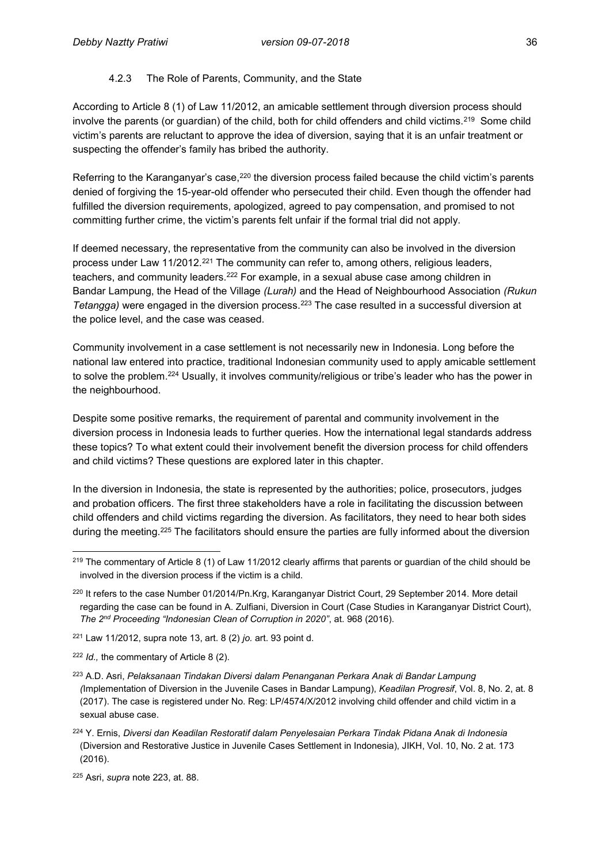#### 4.2.3 The Role of Parents, Community, and the State

According to Article 8 (1) of Law 11/2012, an amicable settlement through diversion process should involve the parents (or guardian) of the child, both for child offenders and child victims.<sup>219</sup> Some child victim's parents are reluctant to approve the idea of diversion, saying that it is an unfair treatment or suspecting the offender's family has bribed the authority.

Referring to the Karanganyar's case,<sup>220</sup> the diversion process failed because the child victim's parents denied of forgiving the 15-year-old offender who persecuted their child. Even though the offender had fulfilled the diversion requirements, apologized, agreed to pay compensation, and promised to not committing further crime, the victim's parents felt unfair if the formal trial did not apply.

If deemed necessary, the representative from the community can also be involved in the diversion process under Law 11/2012.<sup>221</sup> The community can refer to, among others, religious leaders, teachers, and community leaders.<sup>222</sup> For example, in a sexual abuse case among children in Bandar Lampung, the Head of the Village *(Lurah)* and the Head of Neighbourhood Association *(Rukun Tetangga)* were engaged in the diversion process.<sup>223</sup> The case resulted in a successful diversion at the police level, and the case was ceased.

Community involvement in a case settlement is not necessarily new in Indonesia. Long before the national law entered into practice, traditional Indonesian community used to apply amicable settlement to solve the problem.<sup>224</sup> Usually, it involves community/religious or tribe's leader who has the power in the neighbourhood.

Despite some positive remarks, the requirement of parental and community involvement in the diversion process in Indonesia leads to further queries. How the international legal standards address these topics? To what extent could their involvement benefit the diversion process for child offenders and child victims? These questions are explored later in this chapter.

In the diversion in Indonesia, the state is represented by the authorities; police, prosecutors, judges and probation officers. The first three stakeholders have a role in facilitating the discussion between child offenders and child victims regarding the diversion. As facilitators, they need to hear both sides during the meeting. <sup>225</sup> The facilitators should ensure the parties are fully informed about the diversion

<sup>222</sup> *Id.,* the commentary of Article 8 (2).

 $\overline{\phantom{a}}$  $219$  The commentary of Article 8 (1) of Law 11/2012 clearly affirms that parents or guardian of the child should be involved in the diversion process if the victim is a child.

<sup>220</sup> It refers to the case Number 01/2014/Pn.Krg, Karanganyar District Court, 29 September 2014. More detail regarding the case can be found in A. Zulfiani, Diversion in Court (Case Studies in Karanganyar District Court), *The 2nd Proceeding "Indonesian Clean of Corruption in 2020"*, at. 968 (2016).

<sup>221</sup> Law 11/2012, supra note 13, art. 8 (2) *jo.* art. 93 point d.

<sup>223</sup> A.D. Asri, *Pelaksanaan Tindakan Diversi dalam Penanganan Perkara Anak di Bandar Lampung (*Implementation of Diversion in the Juvenile Cases in Bandar Lampung), *Keadilan Progresif*, Vol. 8, No. 2, at. 8 (2017). The case is registered under No. Reg: LP/4574/X/2012 involving child offender and child victim in a sexual abuse case.

<sup>224</sup> Y. Ernis, *Diversi dan Keadilan Restoratif dalam Penyelesaian Perkara Tindak Pidana Anak di Indonesia* (Diversion and Restorative Justice in Juvenile Cases Settlement in Indonesia), JIKH, Vol. 10, No. 2 at. 173 (2016).

<sup>225</sup> Asri, *supra* note 223, at. 88.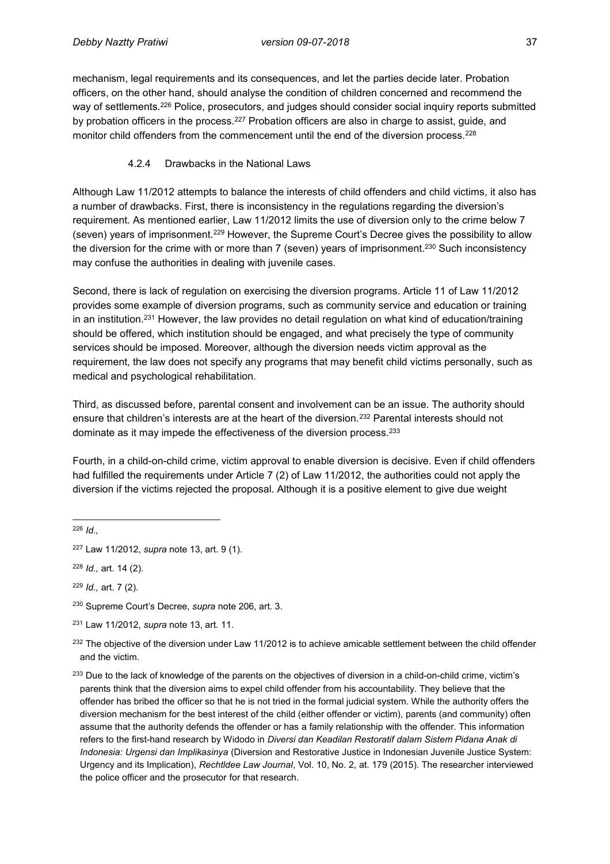mechanism, legal requirements and its consequences, and let the parties decide later. Probation officers, on the other hand, should analyse the condition of children concerned and recommend the way of settlements.<sup>226</sup> Police, prosecutors, and judges should consider social inquiry reports submitted by probation officers in the process.<sup>227</sup> Probation officers are also in charge to assist, guide, and monitor child offenders from the commencement until the end of the diversion process.<sup>228</sup>

#### 4.2.4 Drawbacks in the National Laws

Although Law 11/2012 attempts to balance the interests of child offenders and child victims, it also has a number of drawbacks. First, there is inconsistency in the regulations regarding the diversion's requirement. As mentioned earlier, Law 11/2012 limits the use of diversion only to the crime below 7 (seven) years of imprisonment.<sup>229</sup> However, the Supreme Court's Decree gives the possibility to allow the diversion for the crime with or more than 7 (seven) years of imprisonment.<sup>230</sup> Such inconsistency may confuse the authorities in dealing with juvenile cases.

Second, there is lack of regulation on exercising the diversion programs. Article 11 of Law 11/2012 provides some example of diversion programs, such as community service and education or training in an institution.<sup>231</sup> However, the law provides no detail regulation on what kind of education/training should be offered, which institution should be engaged, and what precisely the type of community services should be imposed. Moreover, although the diversion needs victim approval as the requirement, the law does not specify any programs that may benefit child victims personally, such as medical and psychological rehabilitation.

Third, as discussed before, parental consent and involvement can be an issue. The authority should ensure that children's interests are at the heart of the diversion.<sup>232</sup> Parental interests should not dominate as it may impede the effectiveness of the diversion process.<sup>233</sup>

Fourth, in a child-on-child crime, victim approval to enable diversion is decisive. Even if child offenders had fulfilled the requirements under Article 7 (2) of Law 11/2012, the authorities could not apply the diversion if the victims rejected the proposal. Although it is a positive element to give due weight

 $\overline{a}$ <sup>226</sup> *Id.,*

<sup>227</sup> Law 11/2012, *supra* note 13, art. 9 (1).

<sup>228</sup> *Id.,* art. 14 (2).

<sup>229</sup> *Id.,* art. 7 (2).

<sup>230</sup> Supreme Court's Decree, *supra* note 206, art. 3.

<sup>231</sup> Law 11/2012, *supra* note 13, art. 11.

<sup>&</sup>lt;sup>232</sup> The objective of the diversion under Law 11/2012 is to achieve amicable settlement between the child offender and the victim.

<sup>&</sup>lt;sup>233</sup> Due to the lack of knowledge of the parents on the objectives of diversion in a child-on-child crime, victim's parents think that the diversion aims to expel child offender from his accountability. They believe that the offender has bribed the officer so that he is not tried in the formal judicial system. While the authority offers the diversion mechanism for the best interest of the child (either offender or victim), parents (and community) often assume that the authority defends the offender or has a family relationship with the offender. This information refers to the first-hand research by Widodo in *Diversi dan Keadilan Restoratif dalam Sistem Pidana Anak di Indonesia: Urgensi dan Implikasinya* (Diversion and Restorative Justice in Indonesian Juvenile Justice System: Urgency and its Implication), *Rechtldee Law Journal*, Vol. 10, No. 2, at. 179 (2015). The researcher interviewed the police officer and the prosecutor for that research.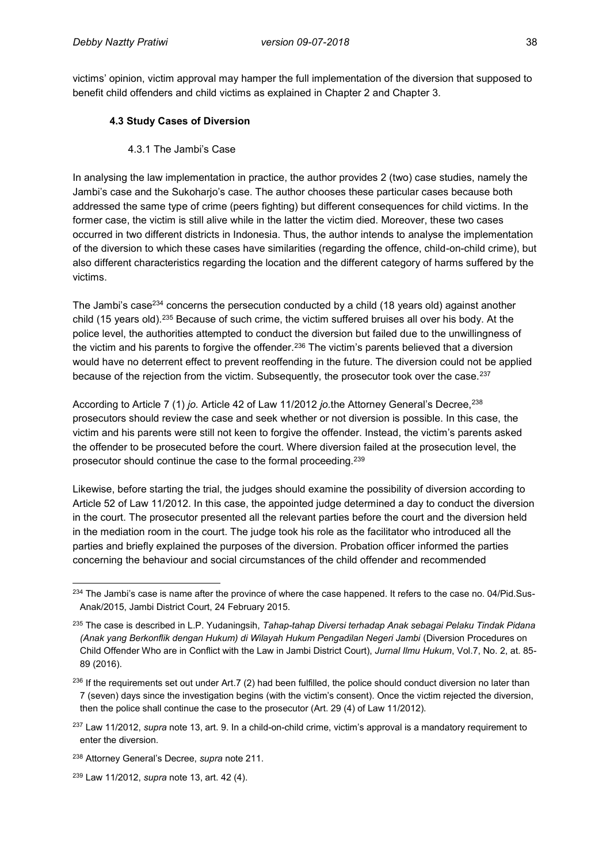victims' opinion, victim approval may hamper the full implementation of the diversion that supposed to benefit child offenders and child victims as explained in Chapter 2 and Chapter 3.

#### **4.3 Study Cases of Diversion**

#### 4.3.1 The Jambi's Case

In analysing the law implementation in practice, the author provides 2 (two) case studies, namely the Jambi's case and the Sukoharjo's case. The author chooses these particular cases because both addressed the same type of crime (peers fighting) but different consequences for child victims. In the former case, the victim is still alive while in the latter the victim died. Moreover, these two cases occurred in two different districts in Indonesia. Thus, the author intends to analyse the implementation of the diversion to which these cases have similarities (regarding the offence, child-on-child crime), but also different characteristics regarding the location and the different category of harms suffered by the victims.

The Jambi's case<sup>234</sup> concerns the persecution conducted by a child (18 years old) against another child (15 years old).<sup>235</sup> Because of such crime, the victim suffered bruises all over his body. At the police level, the authorities attempted to conduct the diversion but failed due to the unwillingness of the victim and his parents to forgive the offender.<sup>236</sup> The victim's parents believed that a diversion would have no deterrent effect to prevent reoffending in the future. The diversion could not be applied because of the rejection from the victim. Subsequently, the prosecutor took over the case.<sup>237</sup>

According to Article 7 (1) *jo.* Article 42 of Law 11/2012 *jo.*the Attorney General's Decree,<sup>238</sup> prosecutors should review the case and seek whether or not diversion is possible. In this case, the victim and his parents were still not keen to forgive the offender. Instead, the victim's parents asked the offender to be prosecuted before the court. Where diversion failed at the prosecution level, the prosecutor should continue the case to the formal proceeding.<sup>239</sup>

Likewise, before starting the trial, the judges should examine the possibility of diversion according to Article 52 of Law 11/2012. In this case, the appointed judge determined a day to conduct the diversion in the court. The prosecutor presented all the relevant parties before the court and the diversion held in the mediation room in the court. The judge took his role as the facilitator who introduced all the parties and briefly explained the purposes of the diversion. Probation officer informed the parties concerning the behaviour and social circumstances of the child offender and recommended

 $\overline{a}$ <sup>234</sup> The Jambi's case is name after the province of where the case happened. It refers to the case no. 04/Pid.Sus-Anak/2015, Jambi District Court, 24 February 2015.

<sup>235</sup> The case is described in L.P. Yudaningsih, *Tahap-tahap Diversi terhadap Anak sebagai Pelaku Tindak Pidana (Anak yang Berkonflik dengan Hukum) di Wilayah Hukum Pengadilan Negeri Jambi (Diversion Procedures on* Child Offender Who are in Conflict with the Law in Jambi District Court), *Jurnal Ilmu Hukum*, Vol.7, No. 2, at. 85- 89 (2016).

 $236$  If the requirements set out under Art.7 (2) had been fulfilled, the police should conduct diversion no later than 7 (seven) days since the investigation begins (with the victim's consent). Once the victim rejected the diversion, then the police shall continue the case to the prosecutor (Art. 29 (4) of Law 11/2012).

<sup>237</sup> Law 11/2012, *supra* note 13, art. 9. In a child-on-child crime, victim's approval is a mandatory requirement to enter the diversion.

<sup>238</sup> Attorney General's Decree, *supra* note 211.

<sup>239</sup> Law 11/2012, *supra* note 13, art. 42 (4).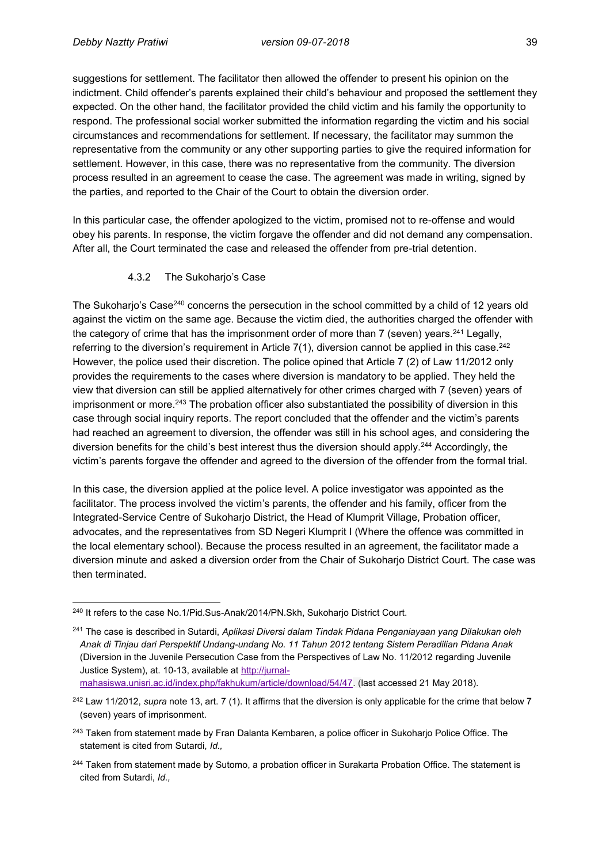suggestions for settlement. The facilitator then allowed the offender to present his opinion on the indictment. Child offender's parents explained their child's behaviour and proposed the settlement they expected. On the other hand, the facilitator provided the child victim and his family the opportunity to respond. The professional social worker submitted the information regarding the victim and his social circumstances and recommendations for settlement. If necessary, the facilitator may summon the representative from the community or any other supporting parties to give the required information for settlement. However, in this case, there was no representative from the community. The diversion process resulted in an agreement to cease the case. The agreement was made in writing, signed by the parties, and reported to the Chair of the Court to obtain the diversion order.

In this particular case, the offender apologized to the victim, promised not to re-offense and would obey his parents. In response, the victim forgave the offender and did not demand any compensation. After all, the Court terminated the case and released the offender from pre-trial detention.

#### 4.3.2 The Sukoharjo's Case

The Sukoharjo's Case<sup>240</sup> concerns the persecution in the school committed by a child of 12 years old against the victim on the same age. Because the victim died, the authorities charged the offender with the category of crime that has the imprisonment order of more than 7 (seven) years.<sup>241</sup> Legally, referring to the diversion's requirement in Article  $7(1)$ , diversion cannot be applied in this case.<sup>242</sup> However, the police used their discretion. The police opined that Article 7 (2) of Law 11/2012 only provides the requirements to the cases where diversion is mandatory to be applied. They held the view that diversion can still be applied alternatively for other crimes charged with 7 (seven) years of imprisonment or more.<sup>243</sup> The probation officer also substantiated the possibility of diversion in this case through social inquiry reports. The report concluded that the offender and the victim's parents had reached an agreement to diversion, the offender was still in his school ages, and considering the diversion benefits for the child's best interest thus the diversion should apply.<sup>244</sup> Accordingly, the victim's parents forgave the offender and agreed to the diversion of the offender from the formal trial.

In this case, the diversion applied at the police level. A police investigator was appointed as the facilitator. The process involved the victim's parents, the offender and his family, officer from the Integrated-Service Centre of Sukoharjo District, the Head of Klumprit Village, Probation officer, advocates, and the representatives from SD Negeri Klumprit I (Where the offence was committed in the local elementary school). Because the process resulted in an agreement, the facilitator made a diversion minute and asked a diversion order from the Chair of Sukoharjo District Court. The case was then terminated.

 $\overline{a}$ <sup>240</sup> It refers to the case No.1/Pid.Sus-Anak/2014/PN.Skh, Sukoharjo District Court.

<sup>241</sup> The case is described in Sutardi, *Aplikasi Diversi dalam Tindak Pidana Penganiayaan yang Dilakukan oleh Anak di Tinjau dari Perspektif Undang-undang No. 11 Tahun 2012 tentang Sistem Peradilian Pidana Anak*  (Diversion in the Juvenile Persecution Case from the Perspectives of Law No. 11/2012 regarding Juvenile Justice System), at. 10-13, available at [http://jurnal-](http://jurnal-mahasiswa.unisri.ac.id/index.php/fakhukum/article/download/54/47)

[mahasiswa.unisri.ac.id/index.php/fakhukum/article/download/54/47.](http://jurnal-mahasiswa.unisri.ac.id/index.php/fakhukum/article/download/54/47) (last accessed 21 May 2018).

<sup>242</sup> Law 11/2012, *supra* note 13, art. 7 (1). It affirms that the diversion is only applicable for the crime that below 7 (seven) years of imprisonment.

<sup>&</sup>lt;sup>243</sup> Taken from statement made by Fran Dalanta Kembaren, a police officer in Sukoharjo Police Office. The statement is cited from Sutardi, *Id.,*

<sup>&</sup>lt;sup>244</sup> Taken from statement made by Sutomo, a probation officer in Surakarta Probation Office. The statement is cited from Sutardi, *Id.,*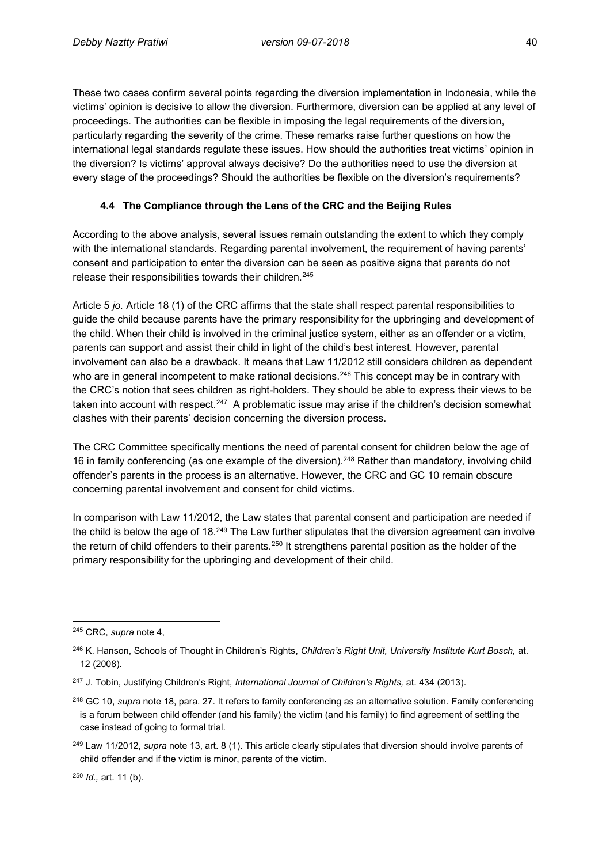These two cases confirm several points regarding the diversion implementation in Indonesia, while the victims' opinion is decisive to allow the diversion. Furthermore, diversion can be applied at any level of proceedings. The authorities can be flexible in imposing the legal requirements of the diversion, particularly regarding the severity of the crime. These remarks raise further questions on how the international legal standards regulate these issues. How should the authorities treat victims' opinion in the diversion? Is victims' approval always decisive? Do the authorities need to use the diversion at every stage of the proceedings? Should the authorities be flexible on the diversion's requirements?

# **4.4 The Compliance through the Lens of the CRC and the Beijing Rules**

According to the above analysis, several issues remain outstanding the extent to which they comply with the international standards. Regarding parental involvement, the requirement of having parents' consent and participation to enter the diversion can be seen as positive signs that parents do not release their responsibilities towards their children.<sup>245</sup>

Article 5 *jo.* Article 18 (1) of the CRC affirms that the state shall respect parental responsibilities to guide the child because parents have the primary responsibility for the upbringing and development of the child. When their child is involved in the criminal justice system, either as an offender or a victim, parents can support and assist their child in light of the child's best interest. However, parental involvement can also be a drawback. It means that Law 11/2012 still considers children as dependent who are in general incompetent to make rational decisions.<sup>246</sup> This concept may be in contrary with the CRC's notion that sees children as right-holders. They should be able to express their views to be taken into account with respect.<sup>247</sup> A problematic issue may arise if the children's decision somewhat clashes with their parents' decision concerning the diversion process.

The CRC Committee specifically mentions the need of parental consent for children below the age of 16 in family conferencing (as one example of the diversion).<sup>248</sup> Rather than mandatory, involving child offender's parents in the process is an alternative. However, the CRC and GC 10 remain obscure concerning parental involvement and consent for child victims.

In comparison with Law 11/2012, the Law states that parental consent and participation are needed if the child is below the age of 18.<sup>249</sup> The Law further stipulates that the diversion agreement can involve the return of child offenders to their parents.<sup>250</sup> It strengthens parental position as the holder of the primary responsibility for the upbringing and development of their child.

<sup>250</sup> *Id.,* art. 11 (b).

 $\overline{a}$ <sup>245</sup> CRC, *supra* note 4,

<sup>246</sup> K. Hanson, Schools of Thought in Children's Rights, *Children's Right Unit, University Institute Kurt Bosch,* at. 12 (2008).

<sup>247</sup> J. Tobin, Justifying Children's Right, *International Journal of Children's Rights,* at. 434 (2013).

<sup>248</sup> GC 10, *supra* note 18, para. 27. It refers to family conferencing as an alternative solution. Family conferencing is a forum between child offender (and his family) the victim (and his family) to find agreement of settling the case instead of going to formal trial.

<sup>249</sup> Law 11/2012, *supra* note 13, art. 8 (1). This article clearly stipulates that diversion should involve parents of child offender and if the victim is minor, parents of the victim.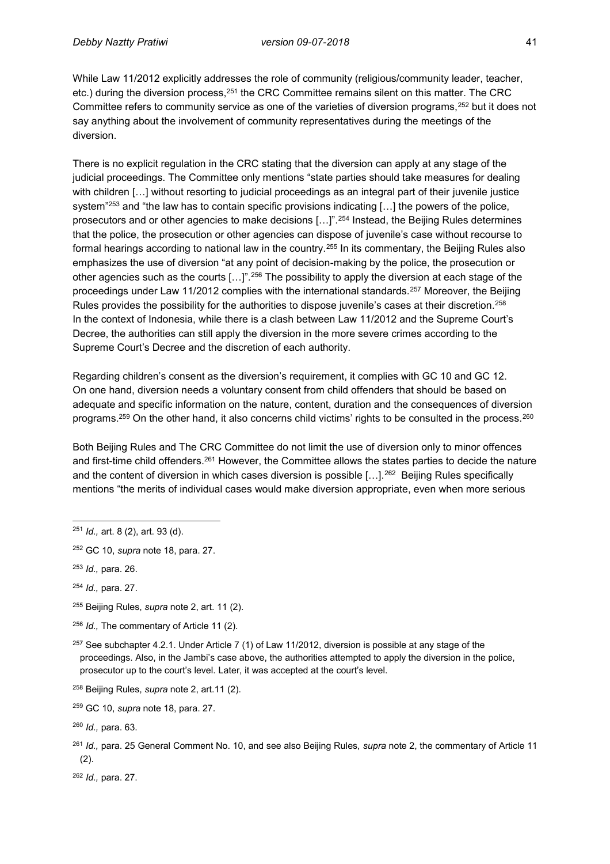While Law 11/2012 explicitly addresses the role of community (religious/community leader, teacher, etc.) during the diversion process, <sup>251</sup> the CRC Committee remains silent on this matter. The CRC Committee refers to community service as one of the varieties of diversion programs,<sup>252</sup> but it does not say anything about the involvement of community representatives during the meetings of the diversion.

There is no explicit regulation in the CRC stating that the diversion can apply at any stage of the judicial proceedings. The Committee only mentions "state parties should take measures for dealing with children […] without resorting to judicial proceedings as an integral part of their juvenile justice system"<sup>253</sup> and "the law has to contain specific provisions indicating [...] the powers of the police, prosecutors and or other agencies to make decisions […]".<sup>254</sup> Instead, the Beijing Rules determines that the police, the prosecution or other agencies can dispose of juvenile's case without recourse to formal hearings according to national law in the country.<sup>255</sup> In its commentary, the Beijing Rules also emphasizes the use of diversion "at any point of decision-making by the police, the prosecution or other agencies such as the courts  $[...]^{2.256}$  The possibility to apply the diversion at each stage of the proceedings under Law 11/2012 complies with the international standards.<sup>257</sup> Moreover, the Beijing Rules provides the possibility for the authorities to dispose juvenile's cases at their discretion.<sup>258</sup> In the context of Indonesia, while there is a clash between Law 11/2012 and the Supreme Court's Decree, the authorities can still apply the diversion in the more severe crimes according to the Supreme Court's Decree and the discretion of each authority.

Regarding children's consent as the diversion's requirement, it complies with GC 10 and GC 12. On one hand, diversion needs a voluntary consent from child offenders that should be based on adequate and specific information on the nature, content, duration and the consequences of diversion programs.<sup>259</sup> On the other hand, it also concerns child victims' rights to be consulted in the process.<sup>260</sup>

Both Beijing Rules and The CRC Committee do not limit the use of diversion only to minor offences and first-time child offenders.<sup>261</sup> However, the Committee allows the states parties to decide the nature and the content of diversion in which cases diversion is possible […]. $^{262}$  Beijing Rules specifically mentions "the merits of individual cases would make diversion appropriate, even when more serious

<sup>256</sup> *Id.,* The commentary of Article 11 (2).

<sup>262</sup> *Id.,* para. 27.

 $\overline{\phantom{a}}$ <sup>251</sup> *Id.,* art. 8 (2), art. 93 (d).

<sup>252</sup> GC 10, *supra* note 18, para. 27.

<sup>253</sup> *Id.,* para. 26.

<sup>254</sup> *Id.,* para. 27.

<sup>255</sup> Beijing Rules, *supra* note 2, art. 11 (2).

 $257$  See subchapter 4.2.1. Under Article 7 (1) of Law 11/2012, diversion is possible at any stage of the proceedings. Also, in the Jambi's case above, the authorities attempted to apply the diversion in the police, prosecutor up to the court's level. Later, it was accepted at the court's level.

<sup>258</sup> Beijing Rules, *supra* note 2, art.11 (2).

<sup>259</sup> GC 10, *supra* note 18, para. 27.

<sup>260</sup> *Id.,* para. 63.

<sup>261</sup> *Id.,* para. 25 General Comment No. 10, and see also Beijing Rules, *supra* note 2, the commentary of Article 11 (2).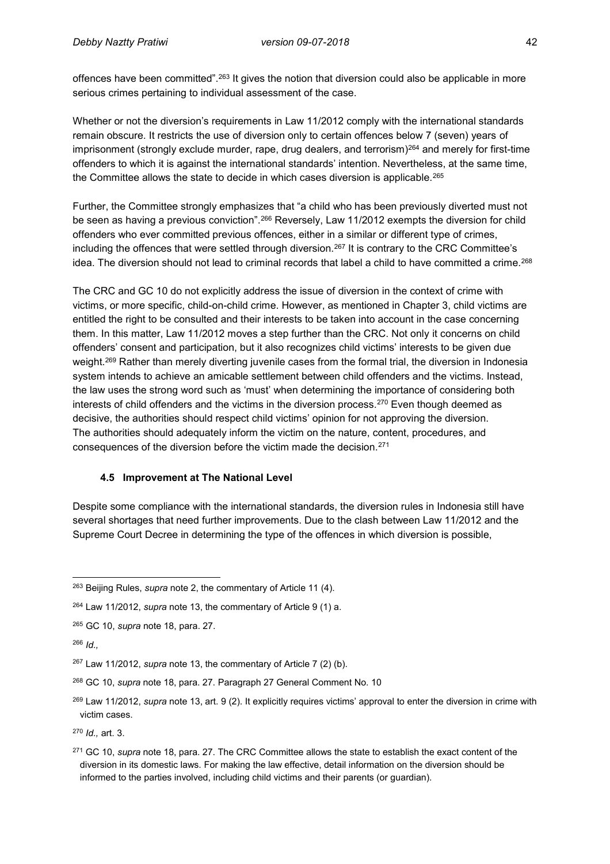offences have been committed".<sup>263</sup> It gives the notion that diversion could also be applicable in more serious crimes pertaining to individual assessment of the case.

Whether or not the diversion's requirements in Law 11/2012 comply with the international standards remain obscure. It restricts the use of diversion only to certain offences below 7 (seven) years of imprisonment (strongly exclude murder, rape, drug dealers, and terrorism)<sup>264</sup> and merely for first-time offenders to which it is against the international standards' intention. Nevertheless, at the same time, the Committee allows the state to decide in which cases diversion is applicable.<sup>265</sup>

Further, the Committee strongly emphasizes that "a child who has been previously diverted must not be seen as having a previous conviction".<sup>266</sup> Reversely, Law 11/2012 exempts the diversion for child offenders who ever committed previous offences, either in a similar or different type of crimes, including the offences that were settled through diversion.<sup>267</sup> It is contrary to the CRC Committee's idea. The diversion should not lead to criminal records that label a child to have committed a crime.<sup>268</sup>

The CRC and GC 10 do not explicitly address the issue of diversion in the context of crime with victims, or more specific, child-on-child crime. However, as mentioned in Chapter 3, child victims are entitled the right to be consulted and their interests to be taken into account in the case concerning them. In this matter, Law 11/2012 moves a step further than the CRC. Not only it concerns on child offenders' consent and participation, but it also recognizes child victims' interests to be given due weight.<sup>269</sup> Rather than merely diverting juvenile cases from the formal trial, the diversion in Indonesia system intends to achieve an amicable settlement between child offenders and the victims. Instead, the law uses the strong word such as 'must' when determining the importance of considering both interests of child offenders and the victims in the diversion process.<sup>270</sup> Even though deemed as decisive, the authorities should respect child victims' opinion for not approving the diversion. The authorities should adequately inform the victim on the nature, content, procedures, and consequences of the diversion before the victim made the decision.<sup>271</sup>

#### **4.5 Improvement at The National Level**

Despite some compliance with the international standards, the diversion rules in Indonesia still have several shortages that need further improvements. Due to the clash between Law 11/2012 and the Supreme Court Decree in determining the type of the offences in which diversion is possible,

 $\overline{a}$ <sup>263</sup> Beijing Rules, *supra* note 2, the commentary of Article 11 (4).

<sup>264</sup> Law 11/2012, *supra* note 13, the commentary of Article 9 (1) a.

<sup>265</sup> GC 10, *supra* note 18, para. 27.

<sup>266</sup> *Id.,*

<sup>267</sup> Law 11/2012, *supra* note 13, the commentary of Article 7 (2) (b).

<sup>268</sup> GC 10, *supra* note 18, para. 27. Paragraph 27 General Comment No. 10

<sup>269</sup> Law 11/2012, *supra* note 13, art. 9 (2). It explicitly requires victims' approval to enter the diversion in crime with victim cases.

<sup>270</sup> *Id.,* art. 3.

<sup>271</sup> GC 10, *supra* note 18, para. 27. The CRC Committee allows the state to establish the exact content of the diversion in its domestic laws. For making the law effective, detail information on the diversion should be informed to the parties involved, including child victims and their parents (or guardian).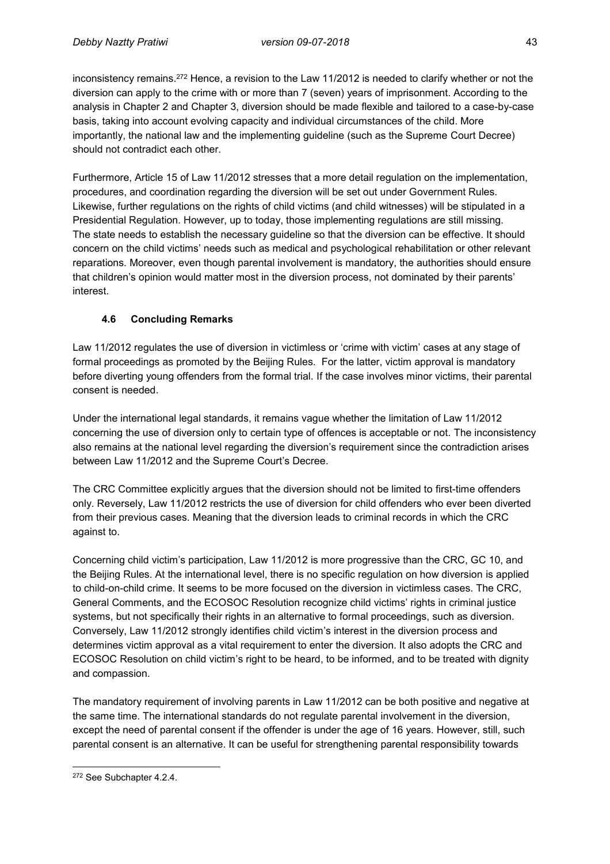inconsistency remains.<sup>272</sup> Hence, a revision to the Law 11/2012 is needed to clarify whether or not the diversion can apply to the crime with or more than 7 (seven) years of imprisonment. According to the analysis in Chapter 2 and Chapter 3, diversion should be made flexible and tailored to a case-by-case basis, taking into account evolving capacity and individual circumstances of the child. More importantly, the national law and the implementing guideline (such as the Supreme Court Decree) should not contradict each other.

Furthermore, Article 15 of Law 11/2012 stresses that a more detail regulation on the implementation, procedures, and coordination regarding the diversion will be set out under Government Rules. Likewise, further regulations on the rights of child victims (and child witnesses) will be stipulated in a Presidential Regulation. However, up to today, those implementing regulations are still missing. The state needs to establish the necessary guideline so that the diversion can be effective. It should concern on the child victims' needs such as medical and psychological rehabilitation or other relevant reparations. Moreover, even though parental involvement is mandatory, the authorities should ensure that children's opinion would matter most in the diversion process, not dominated by their parents' interest.

# **4.6 Concluding Remarks**

Law 11/2012 regulates the use of diversion in victimless or 'crime with victim' cases at any stage of formal proceedings as promoted by the Beijing Rules. For the latter, victim approval is mandatory before diverting young offenders from the formal trial. If the case involves minor victims, their parental consent is needed.

Under the international legal standards, it remains vague whether the limitation of Law 11/2012 concerning the use of diversion only to certain type of offences is acceptable or not. The inconsistency also remains at the national level regarding the diversion's requirement since the contradiction arises between Law 11/2012 and the Supreme Court's Decree.

The CRC Committee explicitly argues that the diversion should not be limited to first-time offenders only. Reversely, Law 11/2012 restricts the use of diversion for child offenders who ever been diverted from their previous cases. Meaning that the diversion leads to criminal records in which the CRC against to.

Concerning child victim's participation, Law 11/2012 is more progressive than the CRC, GC 10, and the Beijing Rules. At the international level, there is no specific regulation on how diversion is applied to child-on-child crime. It seems to be more focused on the diversion in victimless cases. The CRC, General Comments, and the ECOSOC Resolution recognize child victims' rights in criminal justice systems, but not specifically their rights in an alternative to formal proceedings, such as diversion. Conversely, Law 11/2012 strongly identifies child victim's interest in the diversion process and determines victim approval as a vital requirement to enter the diversion. It also adopts the CRC and ECOSOC Resolution on child victim's right to be heard, to be informed, and to be treated with dignity and compassion.

The mandatory requirement of involving parents in Law 11/2012 can be both positive and negative at the same time. The international standards do not regulate parental involvement in the diversion, except the need of parental consent if the offender is under the age of 16 years. However, still, such parental consent is an alternative. It can be useful for strengthening parental responsibility towards

 $\overline{\phantom{a}}$ <sup>272</sup> See Subchapter 4.2.4.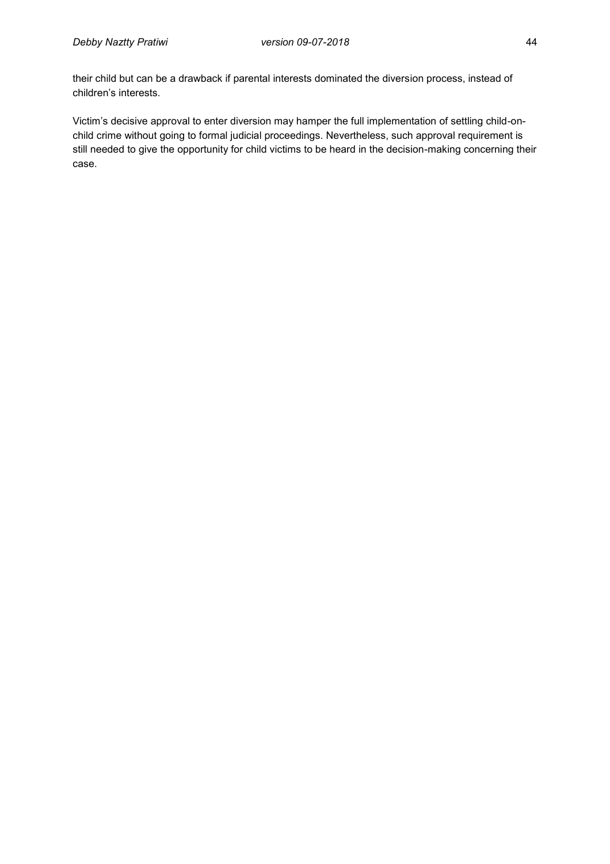their child but can be a drawback if parental interests dominated the diversion process, instead of children's interests.

Victim's decisive approval to enter diversion may hamper the full implementation of settling child-onchild crime without going to formal judicial proceedings. Nevertheless, such approval requirement is still needed to give the opportunity for child victims to be heard in the decision-making concerning their case.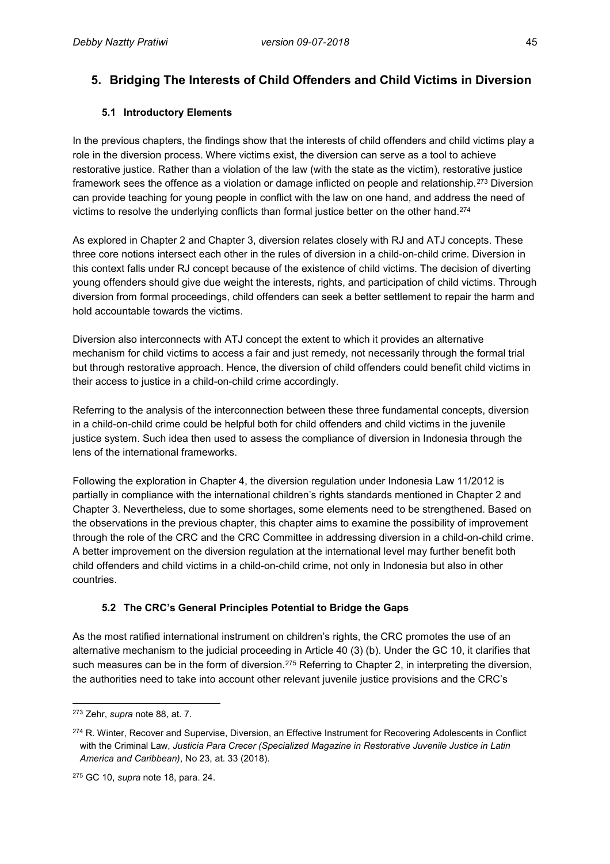# **5. Bridging The Interests of Child Offenders and Child Victims in Diversion**

#### **5.1 Introductory Elements**

In the previous chapters, the findings show that the interests of child offenders and child victims play a role in the diversion process. Where victims exist, the diversion can serve as a tool to achieve restorative justice. Rather than a violation of the law (with the state as the victim), restorative justice framework sees the offence as a violation or damage inflicted on people and relationship.<sup>273</sup> Diversion can provide teaching for young people in conflict with the law on one hand, and address the need of victims to resolve the underlying conflicts than formal justice better on the other hand. 274

As explored in Chapter 2 and Chapter 3, diversion relates closely with RJ and ATJ concepts. These three core notions intersect each other in the rules of diversion in a child-on-child crime. Diversion in this context falls under RJ concept because of the existence of child victims. The decision of diverting young offenders should give due weight the interests, rights, and participation of child victims. Through diversion from formal proceedings, child offenders can seek a better settlement to repair the harm and hold accountable towards the victims.

Diversion also interconnects with ATJ concept the extent to which it provides an alternative mechanism for child victims to access a fair and just remedy, not necessarily through the formal trial but through restorative approach. Hence, the diversion of child offenders could benefit child victims in their access to justice in a child-on-child crime accordingly.

Referring to the analysis of the interconnection between these three fundamental concepts, diversion in a child-on-child crime could be helpful both for child offenders and child victims in the juvenile justice system. Such idea then used to assess the compliance of diversion in Indonesia through the lens of the international frameworks.

Following the exploration in Chapter 4, the diversion regulation under Indonesia Law 11/2012 is partially in compliance with the international children's rights standards mentioned in Chapter 2 and Chapter 3. Nevertheless, due to some shortages, some elements need to be strengthened. Based on the observations in the previous chapter, this chapter aims to examine the possibility of improvement through the role of the CRC and the CRC Committee in addressing diversion in a child-on-child crime. A better improvement on the diversion regulation at the international level may further benefit both child offenders and child victims in a child-on-child crime, not only in Indonesia but also in other countries.

### **5.2 The CRC's General Principles Potential to Bridge the Gaps**

As the most ratified international instrument on children's rights, the CRC promotes the use of an alternative mechanism to the judicial proceeding in Article 40 (3) (b). Under the GC 10, it clarifies that such measures can be in the form of diversion.<sup>275</sup> Referring to Chapter 2, in interpreting the diversion, the authorities need to take into account other relevant juvenile justice provisions and the CRC's

 $\overline{\phantom{a}}$ <sup>273</sup> Zehr, *supra* note 88, at. 7.

<sup>&</sup>lt;sup>274</sup> R. Winter, Recover and Supervise, Diversion, an Effective Instrument for Recovering Adolescents in Conflict with the Criminal Law, *Justicia Para Crecer (Specialized Magazine in Restorative Juvenile Justice in Latin America and Caribbean)*, No 23, at. 33 (2018).

<sup>275</sup> GC 10, *supra* note 18, para. 24.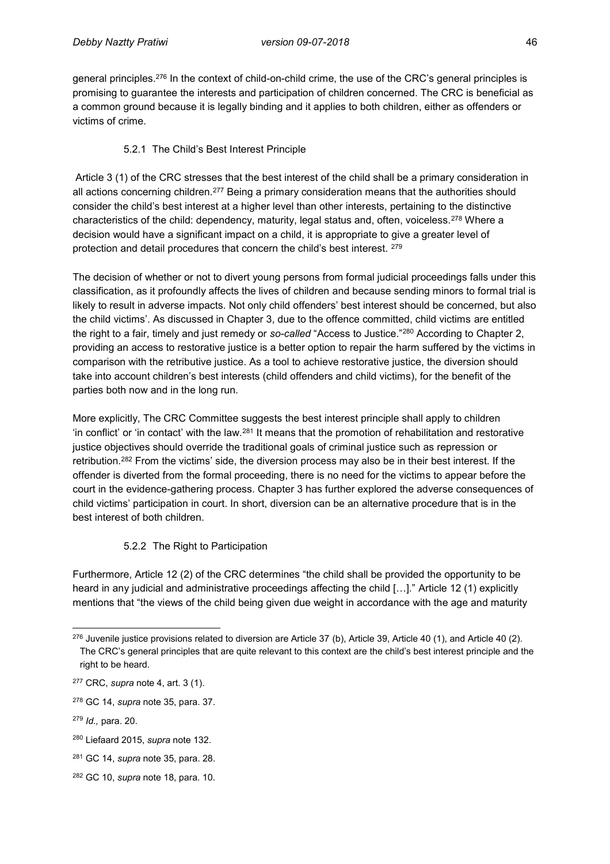general principles.<sup>276</sup> In the context of child-on-child crime, the use of the CRC's general principles is promising to guarantee the interests and participation of children concerned. The CRC is beneficial as a common ground because it is legally binding and it applies to both children, either as offenders or victims of crime.

#### 5.2.1 The Child's Best Interest Principle

Article 3 (1) of the CRC stresses that the best interest of the child shall be a primary consideration in all actions concerning children.<sup>277</sup> Being a primary consideration means that the authorities should consider the child's best interest at a higher level than other interests, pertaining to the distinctive characteristics of the child: dependency, maturity, legal status and, often, voiceless.<sup>278</sup> Where a decision would have a significant impact on a child, it is appropriate to give a greater level of protection and detail procedures that concern the child's best interest. <sup>279</sup>

The decision of whether or not to divert young persons from formal judicial proceedings falls under this classification, as it profoundly affects the lives of children and because sending minors to formal trial is likely to result in adverse impacts. Not only child offenders' best interest should be concerned, but also the child victims'. As discussed in Chapter 3, due to the offence committed, child victims are entitled the right to a fair, timely and just remedy or *so-called* "Access to Justice."<sup>280</sup> According to Chapter 2, providing an access to restorative justice is a better option to repair the harm suffered by the victims in comparison with the retributive justice. As a tool to achieve restorative justice, the diversion should take into account children's best interests (child offenders and child victims), for the benefit of the parties both now and in the long run.

More explicitly, The CRC Committee suggests the best interest principle shall apply to children 'in conflict' or 'in contact' with the law.<sup>281</sup> It means that the promotion of rehabilitation and restorative justice objectives should override the traditional goals of criminal justice such as repression or retribution.<sup>282</sup> From the victims' side, the diversion process may also be in their best interest. If the offender is diverted from the formal proceeding, there is no need for the victims to appear before the court in the evidence-gathering process. Chapter 3 has further explored the adverse consequences of child victims' participation in court. In short, diversion can be an alternative procedure that is in the best interest of both children.

### 5.2.2 The Right to Participation

Furthermore, Article 12 (2) of the CRC determines "the child shall be provided the opportunity to be heard in any judicial and administrative proceedings affecting the child [...]." Article 12 (1) explicitly mentions that "the views of the child being given due weight in accordance with the age and maturity

 $\overline{a}$  $276$  Juvenile justice provisions related to diversion are Article 37 (b), Article 39, Article 40 (1), and Article 40 (2). The CRC's general principles that are quite relevant to this context are the child's best interest principle and the right to be heard.

<sup>277</sup> CRC, *supra* note 4, art. 3 (1).

<sup>278</sup> GC 14, *supra* note 35, para. 37.

<sup>279</sup> *Id.,* para. 20.

<sup>280</sup> Liefaard 2015, *supra* note 132.

<sup>281</sup> GC 14, *supra* note 35, para. 28.

<sup>282</sup> GC 10, *supra* note 18, para. 10.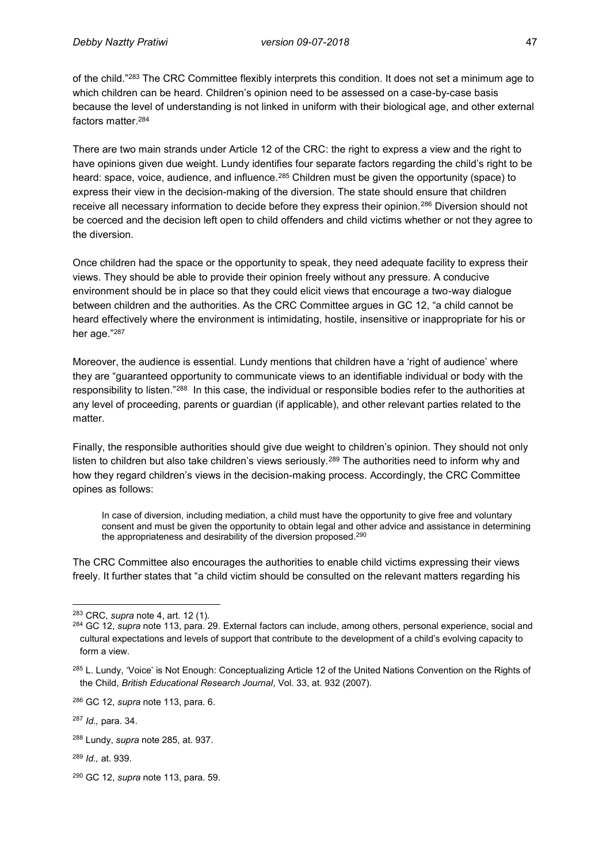of the child."<sup>283</sup> The CRC Committee flexibly interprets this condition. It does not set a minimum age to which children can be heard. Children's opinion need to be assessed on a case-by-case basis because the level of understanding is not linked in uniform with their biological age, and other external factors matter.<sup>284</sup>

There are two main strands under Article 12 of the CRC: the right to express a view and the right to have opinions given due weight. Lundy identifies four separate factors regarding the child's right to be heard: space, voice, audience, and influence.<sup>285</sup> Children must be given the opportunity (space) to express their view in the decision-making of the diversion. The state should ensure that children receive all necessary information to decide before they express their opinion.<sup>286</sup> Diversion should not be coerced and the decision left open to child offenders and child victims whether or not they agree to the diversion.

Once children had the space or the opportunity to speak, they need adequate facility to express their views. They should be able to provide their opinion freely without any pressure. A conducive environment should be in place so that they could elicit views that encourage a two-way dialogue between children and the authorities. As the CRC Committee argues in GC 12, "a child cannot be heard effectively where the environment is intimidating, hostile, insensitive or inappropriate for his or her age."<sup>287</sup>

Moreover, the audience is essential. Lundy mentions that children have a 'right of audience' where they are "guaranteed opportunity to communicate views to an identifiable individual or body with the responsibility to listen."<sup>288</sup> In this case, the individual or responsible bodies refer to the authorities at any level of proceeding, parents or guardian (if applicable), and other relevant parties related to the matter.

Finally, the responsible authorities should give due weight to children's opinion. They should not only listen to children but also take children's views seriously.<sup>289</sup> The authorities need to inform why and how they regard children's views in the decision-making process. Accordingly, the CRC Committee opines as follows:

In case of diversion, including mediation, a child must have the opportunity to give free and voluntary consent and must be given the opportunity to obtain legal and other advice and assistance in determining the appropriateness and desirability of the diversion proposed. 290

The CRC Committee also encourages the authorities to enable child victims expressing their views freely. It further states that "a child victim should be consulted on the relevant matters regarding his

 $\overline{\phantom{a}}$ <sup>283</sup> CRC, *supra* note 4, art. 12 (1).

<sup>284</sup> GC 12, *supra* note 113, para. 29. External factors can include, among others, personal experience, social and cultural expectations and levels of support that contribute to the development of a child's evolving capacity to form a view.

<sup>285</sup> L. Lundy, 'Voice' is Not Enough: Conceptualizing Article 12 of the United Nations Convention on the Rights of the Child, *British Educational Research Journal*, Vol. 33, at. 932 (2007).

<sup>286</sup> GC 12, *supra* note 113, para. 6.

<sup>287</sup> *Id.,* para. 34.

<sup>288</sup> Lundy, *supra* note 285, at. 937.

<sup>289</sup> *Id.,* at. 939.

<sup>290</sup> GC 12, *supra* note 113, para. 59.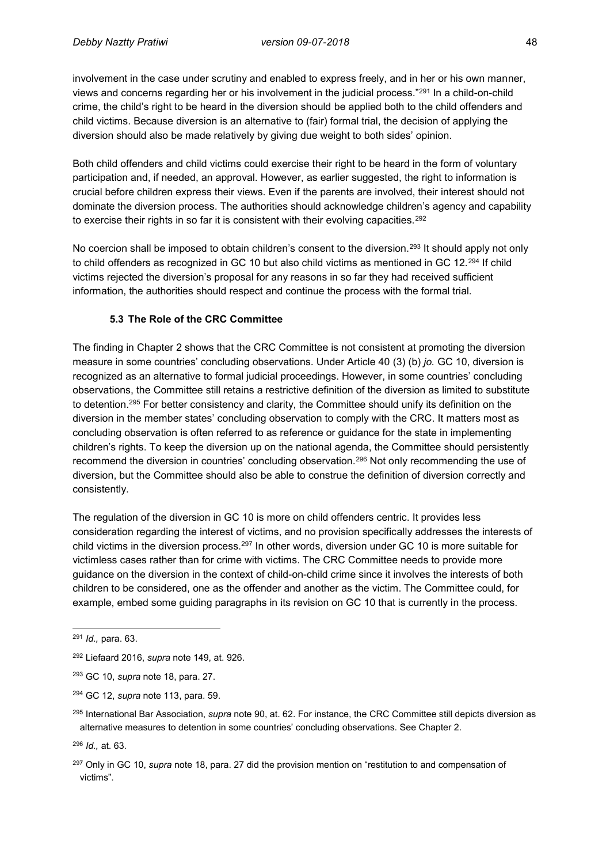involvement in the case under scrutiny and enabled to express freely, and in her or his own manner, views and concerns regarding her or his involvement in the judicial process."<sup>291</sup> In a child-on-child crime, the child's right to be heard in the diversion should be applied both to the child offenders and child victims. Because diversion is an alternative to (fair) formal trial, the decision of applying the diversion should also be made relatively by giving due weight to both sides' opinion.

Both child offenders and child victims could exercise their right to be heard in the form of voluntary participation and, if needed, an approval. However, as earlier suggested, the right to information is crucial before children express their views. Even if the parents are involved, their interest should not dominate the diversion process. The authorities should acknowledge children's agency and capability to exercise their rights in so far it is consistent with their evolving capacities.<sup>292</sup>

No coercion shall be imposed to obtain children's consent to the diversion.<sup>293</sup> It should apply not only to child offenders as recognized in GC 10 but also child victims as mentioned in GC 12.<sup>294</sup> If child victims rejected the diversion's proposal for any reasons in so far they had received sufficient information, the authorities should respect and continue the process with the formal trial.

#### **5.3 The Role of the CRC Committee**

The finding in Chapter 2 shows that the CRC Committee is not consistent at promoting the diversion measure in some countries' concluding observations. Under Article 40 (3) (b) *jo.* GC 10, diversion is recognized as an alternative to formal judicial proceedings. However, in some countries' concluding observations, the Committee still retains a restrictive definition of the diversion as limited to substitute to detention.<sup>295</sup> For better consistency and clarity, the Committee should unify its definition on the diversion in the member states' concluding observation to comply with the CRC. It matters most as concluding observation is often referred to as reference or guidance for the state in implementing children's rights. To keep the diversion up on the national agenda, the Committee should persistently recommend the diversion in countries' concluding observation.<sup>296</sup> Not only recommending the use of diversion, but the Committee should also be able to construe the definition of diversion correctly and consistently.

The regulation of the diversion in GC 10 is more on child offenders centric. It provides less consideration regarding the interest of victims, and no provision specifically addresses the interests of child victims in the diversion process.<sup>297</sup> In other words, diversion under GC 10 is more suitable for victimless cases rather than for crime with victims. The CRC Committee needs to provide more guidance on the diversion in the context of child-on-child crime since it involves the interests of both children to be considered, one as the offender and another as the victim. The Committee could, for example, embed some guiding paragraphs in its revision on GC 10 that is currently in the process.

 $\overline{a}$ <sup>291</sup> *Id.,* para. 63.

<sup>292</sup> Liefaard 2016, *supra* note 149, at. 926.

<sup>293</sup> GC 10, *supra* note 18, para. 27.

<sup>294</sup> GC 12, *supra* note 113, para. 59.

<sup>295</sup> International Bar Association, *supra* note 90, at. 62. For instance, the CRC Committee still depicts diversion as alternative measures to detention in some countries' concluding observations. See Chapter 2.

<sup>296</sup> *Id.,* at. 63.

<sup>&</sup>lt;sup>297</sup> Only in GC 10, *supra* note 18, para. 27 did the provision mention on "restitution to and compensation of victims".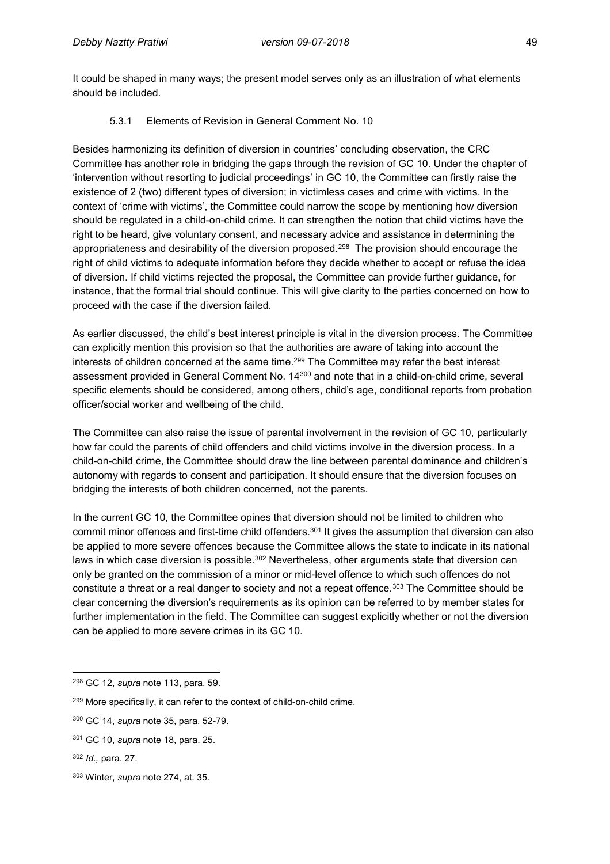It could be shaped in many ways; the present model serves only as an illustration of what elements should be included.

### 5.3.1 Elements of Revision in General Comment No. 10

Besides harmonizing its definition of diversion in countries' concluding observation, the CRC Committee has another role in bridging the gaps through the revision of GC 10. Under the chapter of 'intervention without resorting to judicial proceedings' in GC 10, the Committee can firstly raise the existence of 2 (two) different types of diversion; in victimless cases and crime with victims. In the context of 'crime with victims', the Committee could narrow the scope by mentioning how diversion should be regulated in a child-on-child crime. It can strengthen the notion that child victims have the right to be heard, give voluntary consent, and necessary advice and assistance in determining the appropriateness and desirability of the diversion proposed.<sup>298</sup> The provision should encourage the right of child victims to adequate information before they decide whether to accept or refuse the idea of diversion. If child victims rejected the proposal, the Committee can provide further guidance, for instance, that the formal trial should continue. This will give clarity to the parties concerned on how to proceed with the case if the diversion failed.

As earlier discussed, the child's best interest principle is vital in the diversion process. The Committee can explicitly mention this provision so that the authorities are aware of taking into account the interests of children concerned at the same time.<sup>299</sup> The Committee may refer the best interest assessment provided in General Comment No. 14<sup>300</sup> and note that in a child-on-child crime, several specific elements should be considered, among others, child's age, conditional reports from probation officer/social worker and wellbeing of the child.

The Committee can also raise the issue of parental involvement in the revision of GC 10, particularly how far could the parents of child offenders and child victims involve in the diversion process. In a child-on-child crime, the Committee should draw the line between parental dominance and children's autonomy with regards to consent and participation. It should ensure that the diversion focuses on bridging the interests of both children concerned, not the parents.

In the current GC 10, the Committee opines that diversion should not be limited to children who commit minor offences and first-time child offenders.<sup>301</sup> It gives the assumption that diversion can also be applied to more severe offences because the Committee allows the state to indicate in its national laws in which case diversion is possible. $302$  Nevertheless, other arguments state that diversion can only be granted on the commission of a minor or mid-level offence to which such offences do not constitute a threat or a real danger to society and not a repeat offence.<sup>303</sup> The Committee should be clear concerning the diversion's requirements as its opinion can be referred to by member states for further implementation in the field. The Committee can suggest explicitly whether or not the diversion can be applied to more severe crimes in its GC 10.

 $\overline{a}$ 

<sup>298</sup> GC 12, *supra* note 113, para. 59.

<sup>&</sup>lt;sup>299</sup> More specifically, it can refer to the context of child-on-child crime.

<sup>300</sup> GC 14, *supra* note 35, para. 52-79.

<sup>301</sup> GC 10, *supra* note 18, para. 25.

<sup>302</sup> *Id.,* para. 27.

<sup>303</sup> Winter, *supra* note 274, at. 35.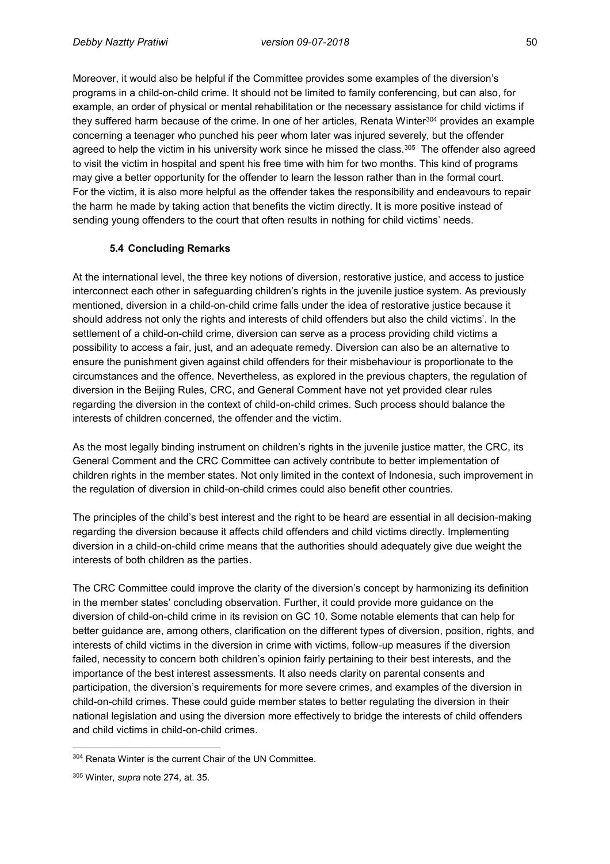Moreover, it would also be helpful if the Committee provides some examples of the diversion's programs in a child-on-child crime. It should not be limited to family conferencing, but can also, for example, an order of physical or mental rehabilitation or the necessary assistance for child victims if they suffered harm because of the crime. In one of her articles, Renata Winter<sup>304</sup> provides an example concerning a teenager who punched his peer whom later was injured severely, but the offender agreed to help the victim in his university work since he missed the class.<sup>305</sup> The offender also agreed l to visit the victim in hospital and spent his free time with him for two months. This kind of programs may give a better opportunity for the offender to learn the lesson rather than in the formal court. For the victim, it is also more helpful as the offender takes the responsibility and endeavours to repair the harm he made by taking action that benefits the victim directly. It is more positive instead of sending young offenders to the court that often results in nothing for child victims' needs.

#### **5.4 Concluding Remarks**

At the international level, the three key notions of diversion, restorative justice, and access to justice interconnect each other in safeguarding children's rights in the juvenile justice system. As previously mentioned, diversion in a child-on-child crime falls under the idea of restorative justice because it should address not only the rights and interests of child offenders but also the child victims'. In the settlement of a child-on-child crime, diversion can serve as a process providing child victims a possibility to access a fair, just, and an adequate remedy. Diversion can also be an alternative to ensure the punishment given against child offenders for their misbehaviour is proportionate to the circumstances and the offence. Nevertheless, as explored in the previous chapters, the regulation of diversion in the Beijing Rules, CRC, and General Comment have not yet provided clear rules regarding the diversion in the context of child-on-child crimes. Such process should balance the interests of children concerned, the offender and the victim.

As the most legally binding instrument on children's rights in the juvenile justice matter, the CRC, its General Comment and the CRC Committee can actively contribute to better implementation of children rights in the member states. Not only limited in the context of Indonesia, such improvement in the regulation of diversion in child-on-child crimes could also benefit other countries.

The principles of the child's best interest and the right to be heard are essential in all decision-making regarding the diversion because it affects child offenders and child victims directly. Implementing diversion in a child-on-child crime means that the authorities should adequately give due weight the interests of both children as the parties.

The CRC Committee could improve the clarity of the diversion's concept by harmonizing its definition in the member states' concluding observation. Further, it could provide more guidance on the diversion of child-on-child crime in its revision on GC 10. Some notable elements that can help for better guidance are, among others, clarification on the different types of diversion, position, rights, and interests of child victims in the diversion in crime with victims, follow-up measures if the diversion failed, necessity to concern both children's opinion fairly pertaining to their best interests, and the importance of the best interest assessments. It also needs clarity on parental consents and participation, the diversion's requirements for more severe crimes, and examples of the diversion in child-on-child crimes. These could guide member states to better regulating the diversion in their national legislation and using the diversion more effectively to bridge the interests of child offenders and child victims in child-on-child crimes.

 $\overline{a}$ <sup>304</sup> Renata Winter is the current Chair of the UN Committee.

<sup>305</sup> Winter, *supra* note 274, at. 35.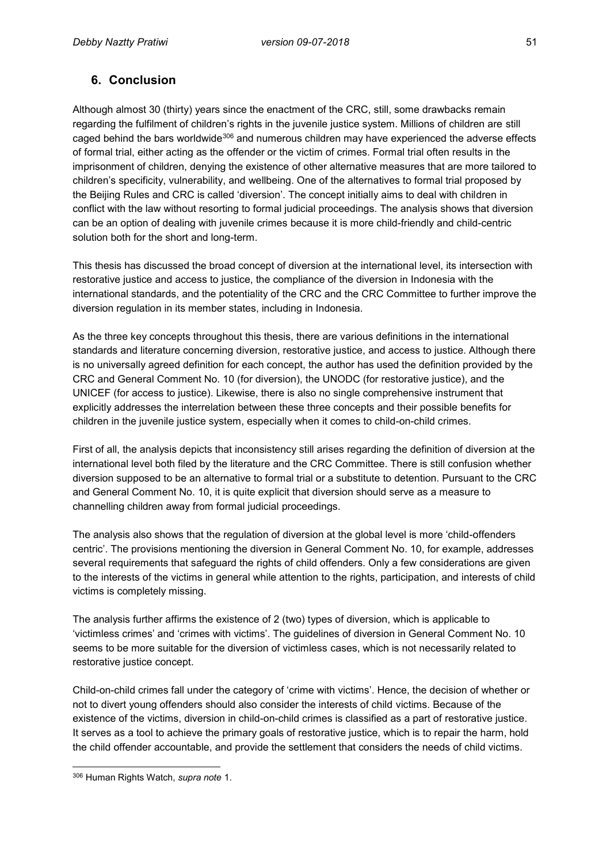# **6. Conclusion**

Although almost 30 (thirty) years since the enactment of the CRC, still, some drawbacks remain regarding the fulfilment of children's rights in the juvenile justice system. Millions of children are still caged behind the bars worldwide<sup>306</sup> and numerous children may have experienced the adverse effects of formal trial, either acting as the offender or the victim of crimes. Formal trial often results in the imprisonment of children, denying the existence of other alternative measures that are more tailored to children's specificity, vulnerability, and wellbeing. One of the alternatives to formal trial proposed by the Beijing Rules and CRC is called 'diversion'. The concept initially aims to deal with children in conflict with the law without resorting to formal judicial proceedings. The analysis shows that diversion can be an option of dealing with juvenile crimes because it is more child-friendly and child-centric solution both for the short and long-term.

This thesis has discussed the broad concept of diversion at the international level, its intersection with restorative justice and access to justice, the compliance of the diversion in Indonesia with the international standards, and the potentiality of the CRC and the CRC Committee to further improve the diversion regulation in its member states, including in Indonesia.

As the three key concepts throughout this thesis, there are various definitions in the international standards and literature concerning diversion, restorative justice, and access to justice. Although there is no universally agreed definition for each concept, the author has used the definition provided by the CRC and General Comment No. 10 (for diversion), the UNODC (for restorative justice), and the UNICEF (for access to justice). Likewise, there is also no single comprehensive instrument that explicitly addresses the interrelation between these three concepts and their possible benefits for children in the juvenile justice system, especially when it comes to child-on-child crimes.

First of all, the analysis depicts that inconsistency still arises regarding the definition of diversion at the international level both filed by the literature and the CRC Committee. There is still confusion whether diversion supposed to be an alternative to formal trial or a substitute to detention. Pursuant to the CRC and General Comment No. 10, it is quite explicit that diversion should serve as a measure to channelling children away from formal judicial proceedings.

The analysis also shows that the regulation of diversion at the global level is more 'child-offenders centric'. The provisions mentioning the diversion in General Comment No. 10, for example, addresses several requirements that safeguard the rights of child offenders. Only a few considerations are given to the interests of the victims in general while attention to the rights, participation, and interests of child victims is completely missing.

The analysis further affirms the existence of 2 (two) types of diversion, which is applicable to 'victimless crimes' and 'crimes with victims'. The guidelines of diversion in General Comment No. 10 seems to be more suitable for the diversion of victimless cases, which is not necessarily related to restorative justice concept.

Child-on-child crimes fall under the category of 'crime with victims'. Hence, the decision of whether or not to divert young offenders should also consider the interests of child victims. Because of the existence of the victims, diversion in child-on-child crimes is classified as a part of restorative justice. It serves as a tool to achieve the primary goals of restorative justice, which is to repair the harm, hold the child offender accountable, and provide the settlement that considers the needs of child victims.

 $\overline{a}$ <sup>306</sup> Human Rights Watch, *supra note* 1.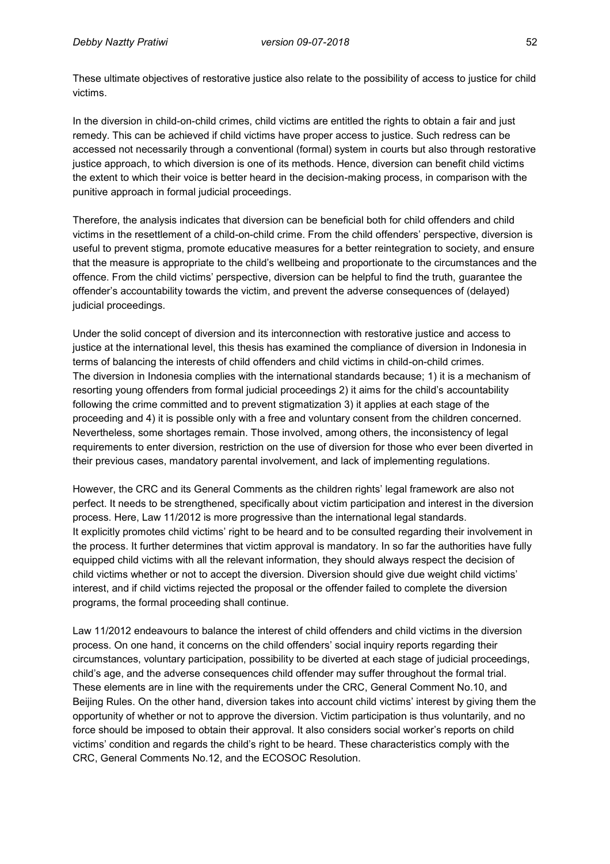These ultimate objectives of restorative justice also relate to the possibility of access to justice for child victims.

In the diversion in child-on-child crimes, child victims are entitled the rights to obtain a fair and just remedy. This can be achieved if child victims have proper access to justice. Such redress can be accessed not necessarily through a conventional (formal) system in courts but also through restorative justice approach, to which diversion is one of its methods. Hence, diversion can benefit child victims the extent to which their voice is better heard in the decision-making process, in comparison with the punitive approach in formal judicial proceedings.

Therefore, the analysis indicates that diversion can be beneficial both for child offenders and child victims in the resettlement of a child-on-child crime. From the child offenders' perspective, diversion is useful to prevent stigma, promote educative measures for a better reintegration to society, and ensure that the measure is appropriate to the child's wellbeing and proportionate to the circumstances and the offence. From the child victims' perspective, diversion can be helpful to find the truth, guarantee the offender's accountability towards the victim, and prevent the adverse consequences of (delayed) judicial proceedings.

Under the solid concept of diversion and its interconnection with restorative justice and access to justice at the international level, this thesis has examined the compliance of diversion in Indonesia in terms of balancing the interests of child offenders and child victims in child-on-child crimes. The diversion in Indonesia complies with the international standards because; 1) it is a mechanism of resorting young offenders from formal judicial proceedings 2) it aims for the child's accountability following the crime committed and to prevent stigmatization 3) it applies at each stage of the proceeding and 4) it is possible only with a free and voluntary consent from the children concerned. Nevertheless, some shortages remain. Those involved, among others, the inconsistency of legal requirements to enter diversion, restriction on the use of diversion for those who ever been diverted in their previous cases, mandatory parental involvement, and lack of implementing regulations.

However, the CRC and its General Comments as the children rights' legal framework are also not perfect. It needs to be strengthened, specifically about victim participation and interest in the diversion process. Here, Law 11/2012 is more progressive than the international legal standards. It explicitly promotes child victims' right to be heard and to be consulted regarding their involvement in the process. It further determines that victim approval is mandatory. In so far the authorities have fully equipped child victims with all the relevant information, they should always respect the decision of child victims whether or not to accept the diversion. Diversion should give due weight child victims' interest, and if child victims rejected the proposal or the offender failed to complete the diversion programs, the formal proceeding shall continue.

Law 11/2012 endeavours to balance the interest of child offenders and child victims in the diversion process. On one hand, it concerns on the child offenders' social inquiry reports regarding their circumstances, voluntary participation, possibility to be diverted at each stage of judicial proceedings, child's age, and the adverse consequences child offender may suffer throughout the formal trial. These elements are in line with the requirements under the CRC, General Comment No.10, and Beijing Rules. On the other hand, diversion takes into account child victims' interest by giving them the opportunity of whether or not to approve the diversion. Victim participation is thus voluntarily, and no force should be imposed to obtain their approval. It also considers social worker's reports on child victims' condition and regards the child's right to be heard. These characteristics comply with the CRC, General Comments No.12, and the ECOSOC Resolution.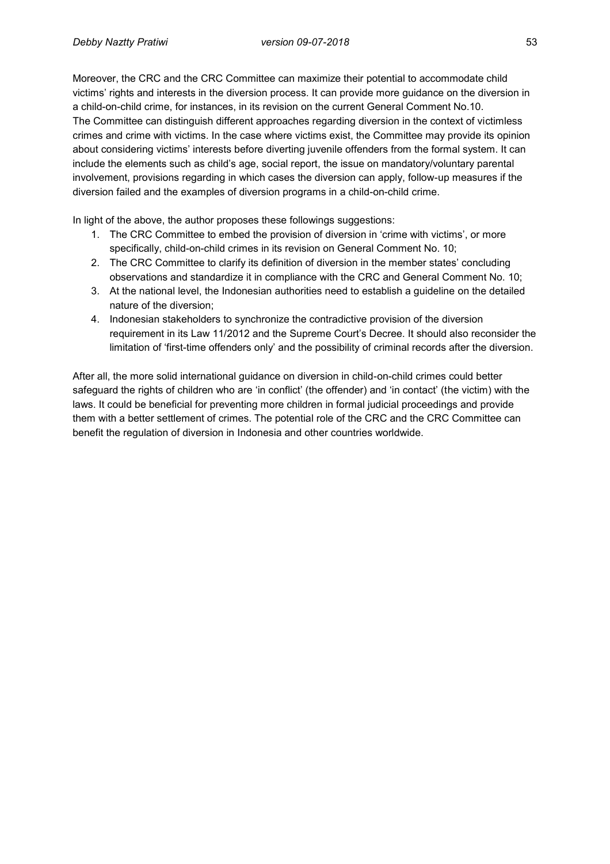Moreover, the CRC and the CRC Committee can maximize their potential to accommodate child victims' rights and interests in the diversion process. It can provide more guidance on the diversion in a child-on-child crime, for instances, in its revision on the current General Comment No.10. The Committee can distinguish different approaches regarding diversion in the context of victimless crimes and crime with victims. In the case where victims exist, the Committee may provide its opinion about considering victims' interests before diverting juvenile offenders from the formal system. It can include the elements such as child's age, social report, the issue on mandatory/voluntary parental involvement, provisions regarding in which cases the diversion can apply, follow-up measures if the diversion failed and the examples of diversion programs in a child-on-child crime.

In light of the above, the author proposes these followings suggestions:

- 1. The CRC Committee to embed the provision of diversion in 'crime with victims', or more specifically, child-on-child crimes in its revision on General Comment No. 10;
- 2. The CRC Committee to clarify its definition of diversion in the member states' concluding observations and standardize it in compliance with the CRC and General Comment No. 10;
- 3. At the national level, the Indonesian authorities need to establish a guideline on the detailed nature of the diversion;
- 4. Indonesian stakeholders to synchronize the contradictive provision of the diversion requirement in its Law 11/2012 and the Supreme Court's Decree. It should also reconsider the limitation of 'first-time offenders only' and the possibility of criminal records after the diversion.

After all, the more solid international guidance on diversion in child-on-child crimes could better safeguard the rights of children who are 'in conflict' (the offender) and 'in contact' (the victim) with the laws. It could be beneficial for preventing more children in formal judicial proceedings and provide them with a better settlement of crimes. The potential role of the CRC and the CRC Committee can benefit the regulation of diversion in Indonesia and other countries worldwide.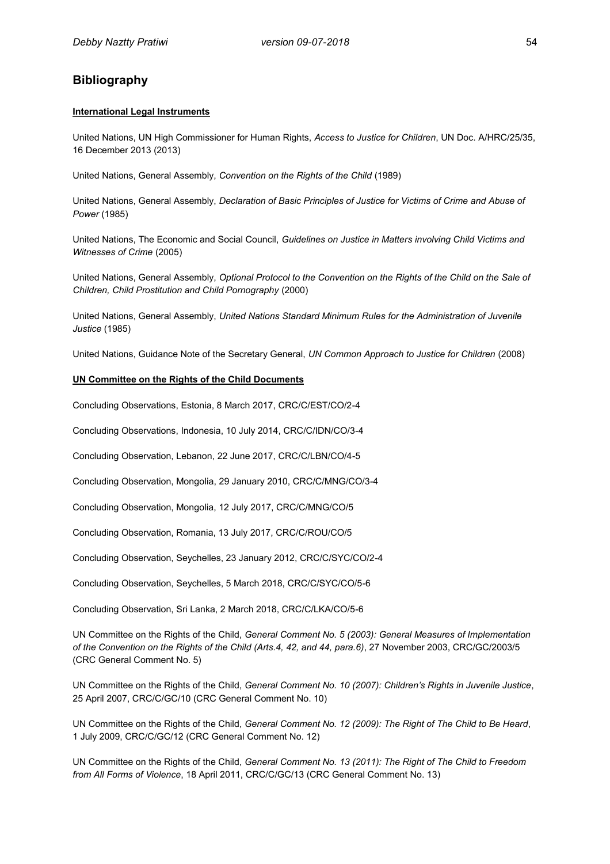### **Bibliography**

#### **International Legal Instruments**

United Nations, UN High Commissioner for Human Rights, *Access to Justice for Children*, UN Doc. A/HRC/25/35, 16 December 2013 (2013)

United Nations, General Assembly, *Convention on the Rights of the Child* (1989)

United Nations, General Assembly, *Declaration of Basic Principles of Justice for Victims of Crime and Abuse of Power* (1985)

United Nations, The Economic and Social Council, *Guidelines on Justice in Matters involving Child Victims and Witnesses of Crime* (2005)

United Nations, General Assembly, *Optional Protocol to the Convention on the Rights of the Child on the Sale of Children, Child Prostitution and Child Pornography* (2000)

United Nations, General Assembly, *United Nations Standard Minimum Rules for the Administration of Juvenile Justice* (1985)

United Nations, Guidance Note of the Secretary General, *UN Common Approach to Justice for Children* (2008)

#### **UN Committee on the Rights of the Child Documents**

Concluding Observations, Estonia, 8 March 2017, CRC/C/EST/CO/2-4

Concluding Observations, Indonesia, 10 July 2014, CRC/C/IDN/CO/3-4

Concluding Observation, Lebanon, 22 June 2017, CRC/C/LBN/CO/4-5

Concluding Observation, Mongolia, 29 January 2010, CRC/C/MNG/CO/3-4

Concluding Observation, Mongolia, 12 July 2017, CRC/C/MNG/CO/5

Concluding Observation, Romania, 13 July 2017, CRC/C/ROU/CO/5

Concluding Observation, Seychelles, 23 January 2012, CRC/C/SYC/CO/2-4

Concluding Observation, Seychelles, 5 March 2018, CRC/C/SYC/CO/5-6

Concluding Observation, Sri Lanka, 2 March 2018, CRC/C/LKA/CO/5-6

UN Committee on the Rights of the Child, *General Comment No. 5 (2003): General Measures of Implementation of the Convention on the Rights of the Child (Arts.4, 42, and 44, para.6)*, 27 November 2003, CRC/GC/2003/5 (CRC General Comment No. 5)

UN Committee on the Rights of the Child, *General Comment No. 10 (2007): Children's Rights in Juvenile Justice*, 25 April 2007, CRC/C/GC/10 (CRC General Comment No. 10)

UN Committee on the Rights of the Child, *General Comment No. 12 (2009): The Right of The Child to Be Heard*, 1 July 2009, CRC/C/GC/12 (CRC General Comment No. 12)

UN Committee on the Rights of the Child, *General Comment No. 13 (2011): The Right of The Child to Freedom from All Forms of Violence*, 18 April 2011, CRC/C/GC/13 (CRC General Comment No. 13)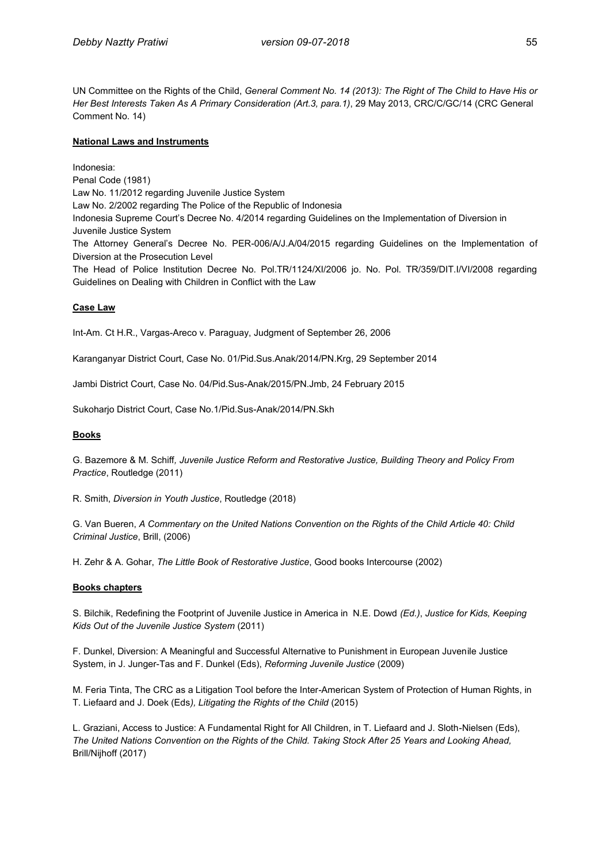UN Committee on the Rights of the Child, *General Comment No. 14 (2013): The Right of The Child to Have His or Her Best Interests Taken As A Primary Consideration (Art.3, para.1)*, 29 May 2013, CRC/C/GC/14 (CRC General Comment No. 14)

#### **National Laws and Instruments**

Indonesia: Penal Code (1981) Law No. 11/2012 regarding Juvenile Justice System Law No. 2/2002 regarding The Police of the Republic of Indonesia Indonesia Supreme Court's Decree No. 4/2014 regarding Guidelines on the Implementation of Diversion in Juvenile Justice System The Attorney General's Decree No. PER-006/A/J.A/04/2015 regarding Guidelines on the Implementation of Diversion at the Prosecution Level The Head of Police Institution Decree No. Pol.TR/1124/XI/2006 jo. No. Pol. TR/359/DIT.I/VI/2008 regarding Guidelines on Dealing with Children in Conflict with the Law

#### **Case Law**

Int-Am. Ct H.R., Vargas-Areco v. Paraguay, Judgment of September 26, 2006

Karanganyar District Court, Case No. 01/Pid.Sus.Anak/2014/PN.Krg, 29 September 2014

Jambi District Court, Case No. 04/Pid.Sus-Anak/2015/PN.Jmb, 24 February 2015

Sukoharjo District Court, Case No.1/Pid.Sus-Anak/2014/PN.Skh

#### **Books**

G. Bazemore & M. Schiff*, Juvenile Justice Reform and Restorative Justice, Building Theory and Policy From Practice*, Routledge (2011)

R. Smith, *Diversion in Youth Justice*, Routledge (2018)

G. Van Bueren, *A Commentary on the United Nations Convention on the Rights of the Child Article 40: Child Criminal Justice*, Brill, (2006)

H. Zehr & A. Gohar, *The Little Book of Restorative Justice*, Good books Intercourse (2002)

#### **Books chapters**

S. Bilchik, Redefining the Footprint of Juvenile Justice in America in N.E. Dowd *(Ed.)*, *Justice for Kids, Keeping Kids Out of the Juvenile Justice System* (2011)

F. Dunkel, Diversion: A Meaningful and Successful Alternative to Punishment in European Juvenile Justice System, in J. Junger-Tas and F. Dunkel (Eds), *Reforming Juvenile Justice* (2009)

M. Feria Tinta, The CRC as a Litigation Tool before the Inter-American System of Protection of Human Rights, in T. Liefaard and J. Doek (Eds*), Litigating the Rights of the Child* (2015)

L. Graziani, Access to Justice: A Fundamental Right for All Children, in T. Liefaard and J. Sloth-Nielsen (Eds), *The United Nations Convention on the Rights of the Child. Taking Stock After 25 Years and Looking Ahead,* Brill/Nijhoff (2017)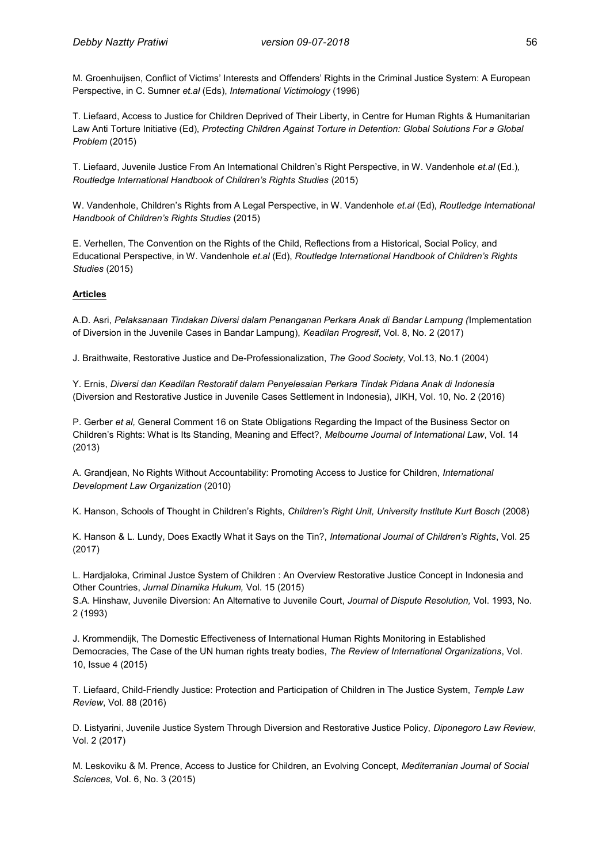M. Groenhuijsen, Conflict of Victims' Interests and Offenders' Rights in the Criminal Justice System: A European Perspective, in C. Sumner *et.al* (Eds), *International Victimology* (1996)

T. Liefaard, Access to Justice for Children Deprived of Their Liberty, in Centre for Human Rights & Humanitarian Law Anti Torture Initiative (Ed), *Protecting Children Against Torture in Detention: Global Solutions For a Global Problem* (2015)

T. Liefaard, Juvenile Justice From An International Children's Right Perspective, in W. Vandenhole *et.al* (Ed.)*, Routledge International Handbook of Children's Rights Studies* (2015)

W. Vandenhole, Children's Rights from A Legal Perspective, in W. Vandenhole *et.al* (Ed), *Routledge International Handbook of Children's Rights Studies* (2015)

E. Verhellen, The Convention on the Rights of the Child, Reflections from a Historical, Social Policy, and Educational Perspective, in W. Vandenhole *et.al* (Ed), *Routledge International Handbook of Children's Rights Studies* (2015)

#### **Articles**

A.D. Asri, *Pelaksanaan Tindakan Diversi dalam Penanganan Perkara Anak di Bandar Lampung (*Implementation of Diversion in the Juvenile Cases in Bandar Lampung), *Keadilan Progresif*, Vol. 8, No. 2 (2017)

J. Braithwaite, Restorative Justice and De-Professionalization, *The Good Society,* Vol.13, No.1 (2004)

Y. Ernis, *Diversi dan Keadilan Restoratif dalam Penyelesaian Perkara Tindak Pidana Anak di Indonesia* (Diversion and Restorative Justice in Juvenile Cases Settlement in Indonesia), JIKH, Vol. 10, No. 2 (2016)

P. Gerber *et al,* General Comment 16 on State Obligations Regarding the Impact of the Business Sector on Children's Rights: What is Its Standing, Meaning and Effect?, *Melbourne Journal of International Law*, Vol. 14 (2013)

A. Grandjean, No Rights Without Accountability: Promoting Access to Justice for Children, *International Development Law Organization* (2010)

K. Hanson, Schools of Thought in Children's Rights, *Children's Right Unit, University Institute Kurt Bosch* (2008)

K. Hanson & L. Lundy, Does Exactly What it Says on the Tin?, *International Journal of Children's Rights*, Vol. 25 (2017)

L. Hardjaloka, Criminal Justce System of Children : An Overview Restorative Justice Concept in Indonesia and Other Countries, *Jurnal Dinamika Hukum,* Vol. 15 (2015)

S.A. Hinshaw, Juvenile Diversion: An Alternative to Juvenile Court, *Journal of Dispute Resolution,* Vol. 1993, No. 2 (1993)

J. Krommendijk, The Domestic Effectiveness of International Human Rights Monitoring in Established Democracies, The Case of the UN human rights treaty bodies, *The Review of International Organizations*, Vol. 10, Issue 4 (2015)

T. Liefaard, Child-Friendly Justice: Protection and Participation of Children in The Justice System, *Temple Law Review*, Vol. 88 (2016)

D. Listyarini, Juvenile Justice System Through Diversion and Restorative Justice Policy, *Diponegoro Law Review*, Vol. 2 (2017)

M. Leskoviku & M. Prence, Access to Justice for Children, an Evolving Concept, *Mediterranian Journal of Social Sciences,* Vol. 6, No. 3 (2015)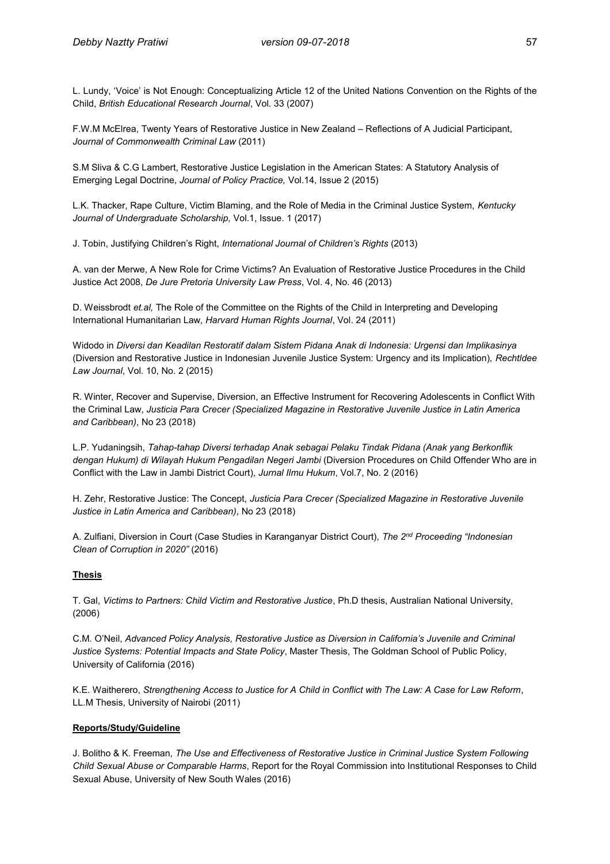L. Lundy, 'Voice' is Not Enough: Conceptualizing Article 12 of the United Nations Convention on the Rights of the Child, *British Educational Research Journal*, Vol. 33 (2007)

F.W.M McElrea, Twenty Years of Restorative Justice in New Zealand – Reflections of A Judicial Participant, *Journal of Commonwealth Criminal Law* (2011)

S.M Sliva & C.G Lambert, Restorative Justice Legislation in the American States: A Statutory Analysis of Emerging Legal Doctrine, *Journal of Policy Practice,* Vol.14, Issue 2 (2015)

L.K. Thacker, Rape Culture, Victim Blaming, and the Role of Media in the Criminal Justice System, *Kentucky Journal of Undergraduate Scholarship,* Vol.1, Issue. 1 (2017)

J. Tobin, Justifying Children's Right, *International Journal of Children's Rights* (2013)

A. van der Merwe, A New Role for Crime Victims? An Evaluation of Restorative Justice Procedures in the Child Justice Act 2008, *De Jure Pretoria University Law Press*, Vol. 4, No. 46 (2013)

D. Weissbrodt *et.al,* The Role of the Committee on the Rights of the Child in Interpreting and Developing International Humanitarian Law, *Harvard Human Rights Journal*, Vol. 24 (2011)

Widodo in *Diversi dan Keadilan Restoratif dalam Sistem Pidana Anak di Indonesia: Urgensi dan Implikasinya*  (Diversion and Restorative Justice in Indonesian Juvenile Justice System: Urgency and its Implication), *Rechtldee Law Journal*, Vol. 10, No. 2 (2015)

R. Winter, Recover and Supervise, Diversion, an Effective Instrument for Recovering Adolescents in Conflict With the Criminal Law, *Justicia Para Crecer (Specialized Magazine in Restorative Juvenile Justice in Latin America and Caribbean)*, No 23 (2018)

L.P. Yudaningsih, *Tahap-tahap Diversi terhadap Anak sebagai Pelaku Tindak Pidana (Anak yang Berkonflik dengan Hukum) di Wilayah Hukum Pengadilan Negeri Jambi* (Diversion Procedures on Child Offender Who are in Conflict with the Law in Jambi District Court), *Jurnal Ilmu Hukum*, Vol.7, No. 2 (2016)

H. Zehr, Restorative Justice: The Concept, *Justicia Para Crecer (Specialized Magazine in Restorative Juvenile Justice in Latin America and Caribbean)*, No 23 (2018)

A. Zulfiani, Diversion in Court (Case Studies in Karanganyar District Court), *The 2nd Proceeding "Indonesian Clean of Corruption in 2020"* (2016)

#### **Thesis**

T. Gal, *Victims to Partners: Child Victim and Restorative Justice*, Ph.D thesis, Australian National University, (2006)

C.M. O'Neil, *Advanced Policy Analysis, Restorative Justice as Diversion in California's Juvenile and Criminal Justice Systems: Potential Impacts and State Policy*, Master Thesis, The Goldman School of Public Policy, University of California (2016)

K.E. Waitherero, *Strengthening Access to Justice for A Child in Conflict with The Law: A Case for Law Reform*, LL.M Thesis, University of Nairobi (2011)

#### **Reports/Study/Guideline**

J. Bolitho & K. Freeman, *The Use and Effectiveness of Restorative Justice in Criminal Justice System Following Child Sexual Abuse or Comparable Harms*, Report for the Royal Commission into Institutional Responses to Child Sexual Abuse, University of New South Wales (2016)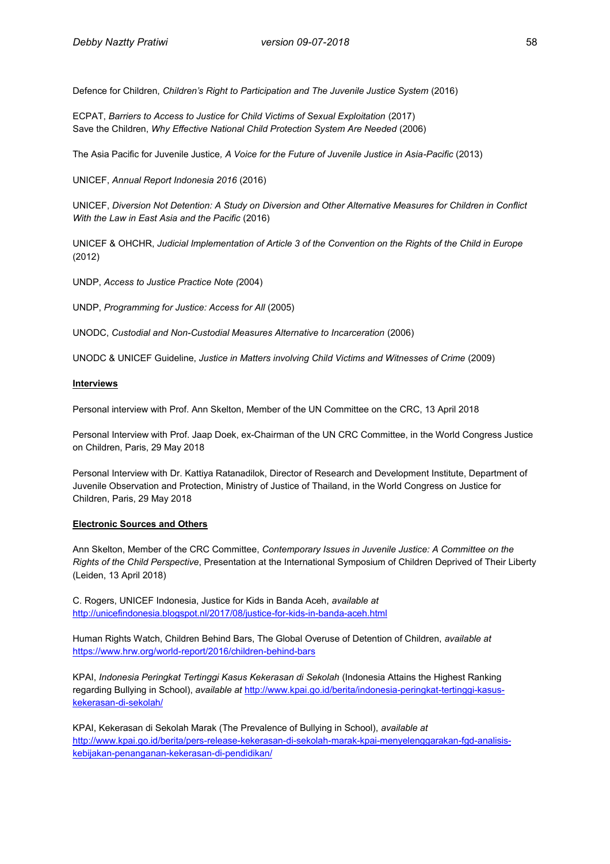Defence for Children, *Children's Right to Participation and The Juvenile Justice System* (2016)

ECPAT, *Barriers to Access to Justice for Child Victims of Sexual Exploitation* (2017) Save the Children, *Why Effective National Child Protection System Are Needed* (2006)

The Asia Pacific for Juvenile Justice*, A Voice for the Future of Juvenile Justice in Asia-Pacific* (2013)

UNICEF, *Annual Report Indonesia 2016* (2016)

UNICEF, *Diversion Not Detention: A Study on Diversion and Other Alternative Measures for Children in Conflict With the Law in East Asia and the Pacific* (2016)

UNICEF & OHCHR, *Judicial Implementation of Article 3 of the Convention on the Rights of the Child in Europe* (2012)

UNDP, *Access to Justice Practice Note (*2004)

UNDP, *Programming for Justice: Access for All* (2005)

UNODC, *Custodial and Non-Custodial Measures Alternative to Incarceration* (2006)

UNODC & UNICEF Guideline, *Justice in Matters involving Child Victims and Witnesses of Crime* (2009)

#### **Interviews**

Personal interview with Prof. Ann Skelton, Member of the UN Committee on the CRC, 13 April 2018

Personal Interview with Prof. Jaap Doek, ex-Chairman of the UN CRC Committee, in the World Congress Justice on Children, Paris, 29 May 2018

Personal Interview with Dr. Kattiya Ratanadilok, Director of Research and Development Institute, Department of Juvenile Observation and Protection, Ministry of Justice of Thailand, in the World Congress on Justice for Children, Paris, 29 May 2018

#### **Electronic Sources and Others**

Ann Skelton, Member of the CRC Committee, *Contemporary Issues in Juvenile Justice: A Committee on the Rights of the Child Perspective*, Presentation at the International Symposium of Children Deprived of Their Liberty (Leiden, 13 April 2018)

C. Rogers, UNICEF Indonesia, Justice for Kids in Banda Aceh, *available at* <http://unicefindonesia.blogspot.nl/2017/08/justice-for-kids-in-banda-aceh.html>

Human Rights Watch, Children Behind Bars, The Global Overuse of Detention of Children, *available at* <https://www.hrw.org/world-report/2016/children-behind-bars>

KPAI, *Indonesia Peringkat Tertinggi Kasus Kekerasan di Sekolah* (Indonesia Attains the Highest Ranking regarding Bullying in School), *available at* [http://www.kpai.go.id/berita/indonesia-peringkat-tertinggi-kasus](http://www.kpai.go.id/berita/indonesia-peringkat-tertinggi-kasus-kekerasan-di-sekolah/)[kekerasan-di-sekolah/](http://www.kpai.go.id/berita/indonesia-peringkat-tertinggi-kasus-kekerasan-di-sekolah/)

KPAI, Kekerasan di Sekolah Marak (The Prevalence of Bullying in School), *available at* [http://www.kpai.go.id/berita/pers-release-kekerasan-di-sekolah-marak-kpai-menyelenggarakan-fgd-analisis](http://www.kpai.go.id/berita/pers-release-kekerasan-di-sekolah-marak-kpai-menyelenggarakan-fgd-analisis-kebijakan-penanganan-kekerasan-di-pendidikan/)[kebijakan-penanganan-kekerasan-di-pendidikan/](http://www.kpai.go.id/berita/pers-release-kekerasan-di-sekolah-marak-kpai-menyelenggarakan-fgd-analisis-kebijakan-penanganan-kekerasan-di-pendidikan/)